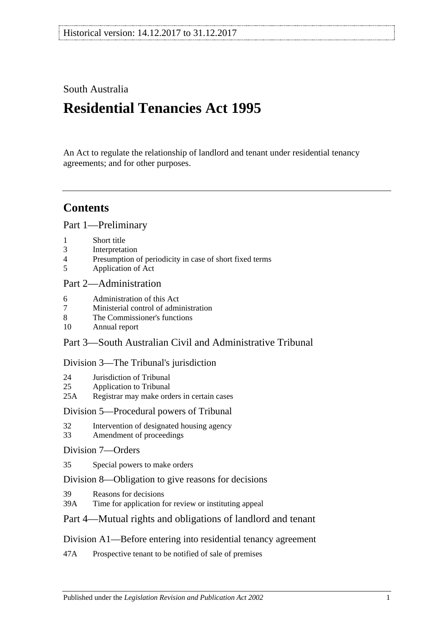# South Australia

# **Residential Tenancies Act 1995**

An Act to regulate the relationship of landlord and tenant under residential tenancy agreements; and for other purposes.

# **Contents**

[Part 1—Preliminary](#page-5-0)

- 1 [Short title](#page-5-1)
- 3 [Interpretation](#page-5-2)
- 4 [Presumption of periodicity in case of short fixed terms](#page-9-0)
- 5 [Application of Act](#page-10-0)

## [Part 2—Administration](#page-11-0)

- 6 [Administration of this Act](#page-11-1)
- 7 [Ministerial control of administration](#page-11-2)
- 8 [The Commissioner's functions](#page-11-3)
- 10 [Annual report](#page-12-0)

# Part [3—South Australian Civil and Administrative Tribunal](#page-12-1)

#### [Division 3—The Tribunal's jurisdiction](#page-12-2)

- 24 [Jurisdiction of Tribunal](#page-12-3)
- 25 [Application to Tribunal](#page-13-0)
- 25A [Registrar may make orders in certain cases](#page-13-1)

#### [Division 5—Procedural powers of Tribunal](#page-13-2)

- 32 [Intervention of designated housing agency](#page-13-3)
- 33 [Amendment of proceedings](#page-13-4)

#### [Division 7—Orders](#page-13-5)

35 [Special powers to make orders](#page-13-6)

## [Division 8—Obligation to give reasons for decisions](#page-14-0)

- 39 [Reasons for decisions](#page-14-1)
- 39A [Time for application for review or instituting appeal](#page-14-2)

## [Part 4—Mutual rights and obligations of landlord and tenant](#page-14-3)

## [Division A1—Before entering into residential tenancy agreement](#page-14-4)

47A [Prospective tenant to be notified of sale of premises](#page-14-5)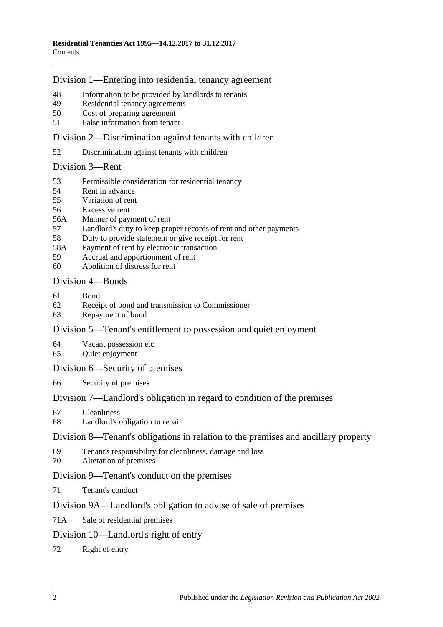#### [Division 1—Entering into residential tenancy agreement](#page-14-6)

- [Information to be provided by landlords to tenants](#page-14-7)
- [Residential tenancy agreements](#page-15-0)
- [Cost of preparing agreement](#page-17-0)
- False [information from tenant](#page-17-1)

[Division 2—Discrimination against tenants with children](#page-17-2)

[Discrimination against tenants with children](#page-17-3)

#### [Division 3—Rent](#page-17-4)

- [Permissible consideration for residential tenancy](#page-17-5)
- [Rent in advance](#page-18-0)
- [Variation of rent](#page-18-1)
- [Excessive rent](#page-20-0)
- 56A [Manner of payment of rent](#page-20-1)
- [Landlord's duty to keep proper records of rent and other payments](#page-21-0)
- [Duty to provide statement or give receipt for rent](#page-21-1)
- 58A [Payment of rent by electronic transaction](#page-21-2)
- [Accrual and apportionment of rent](#page-21-3)
- [Abolition of distress for rent](#page-22-0)

## [Division 4—Bonds](#page-22-1)

- [Bond](#page-22-2)
- [Receipt of bond and transmission to Commissioner](#page-23-0)
- [Repayment of bond](#page-23-1)

## [Division 5—Tenant's entitlement to possession and quiet enjoyment](#page-25-0)

- [Vacant possession etc](#page-25-1)
- [Quiet enjoyment](#page-25-2)

#### [Division 6—Security of premises](#page-26-0)

[Security of premises](#page-26-1)

## [Division 7—Landlord's obligation in regard to condition of the premises](#page-26-2)

- [Cleanliness](#page-26-3)
- [Landlord's obligation to repair](#page-26-4)

#### [Division 8—Tenant's obligations in relation to the premises and ancillary property](#page-27-0)

- [Tenant's responsibility for cleanliness, damage and loss](#page-27-1)
- [Alteration of premises](#page-28-0)

## [Division 9—Tenant's conduct on the premises](#page-28-1)

[Tenant's conduct](#page-28-2)

## [Division 9A—Landlord's obligation to advise of sale of premises](#page-29-0)

71A [Sale of residential premises](#page-29-1)

## [Division 10—Landlord's right of entry](#page-29-2)

[Right of entry](#page-29-3)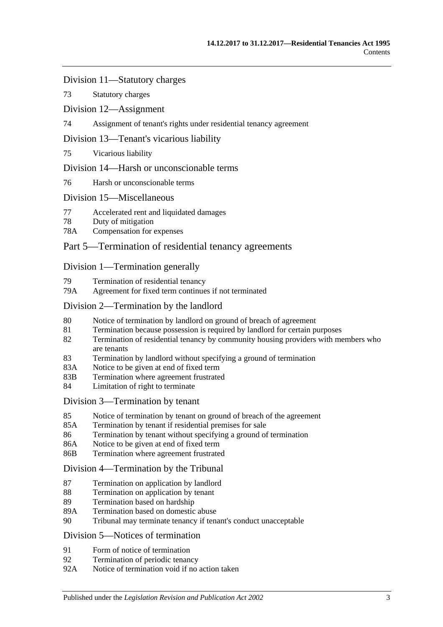#### [Division 11—Statutory charges](#page-31-0)

73 [Statutory charges](#page-31-1)

[Division 12—Assignment](#page-32-0)

74 [Assignment of tenant's rights under residential tenancy agreement](#page-32-1)

#### [Division 13—Tenant's vicarious liability](#page-33-0)

75 [Vicarious liability](#page-33-1)

#### [Division 14—Harsh or unconscionable terms](#page-33-2)

76 [Harsh or unconscionable terms](#page-33-3)

#### [Division 15—Miscellaneous](#page-34-0)

- 77 [Accelerated rent and liquidated damages](#page-34-1)
- 78 [Duty of mitigation](#page-34-2)
- 78A [Compensation for expenses](#page-34-3)

# [Part 5—Termination of residential tenancy agreements](#page-35-0)

#### [Division 1—Termination generally](#page-35-1)

- 79 [Termination of residential tenancy](#page-35-2)
- 79A [Agreement for fixed term continues if not terminated](#page-35-3)

#### [Division 2—Termination by the landlord](#page-35-4)

- 80 [Notice of termination by landlord on ground of breach of agreement](#page-35-5)
- 81 [Termination because possession is required by landlord for certain purposes](#page-37-0)
- 82 [Termination of residential tenancy by community housing providers with members who](#page-37-1)  [are tenants](#page-37-1)
- 83 [Termination by landlord without specifying a ground of termination](#page-38-0)
- 83A [Notice to be given at end of fixed term](#page-38-1)
- 83B [Termination where agreement frustrated](#page-38-2)
- 84 [Limitation of right to terminate](#page-39-0)

#### [Division 3—Termination by tenant](#page-39-1)

- 85 [Notice of termination by tenant on ground of breach of the agreement](#page-39-2)
- 85A [Termination by tenant if residential premises for sale](#page-40-0)
- 86 [Termination by tenant without specifying a ground of termination](#page-40-1)
- 86A [Notice to be given at end of fixed term](#page-40-2)
- 86B [Termination where agreement frustrated](#page-40-3)

#### [Division 4—Termination by the Tribunal](#page-41-0)

- 87 [Termination on application by landlord](#page-41-1)
- 88 [Termination on application by tenant](#page-41-2)
- 89 [Termination based on hardship](#page-42-0)
- 89A [Termination based on domestic abuse](#page-42-1)
- 90 [Tribunal may terminate tenancy if tenant's conduct unacceptable](#page-44-0)

#### [Division 5—Notices of termination](#page-45-0)

- 91 [Form of notice of termination](#page-45-1)
- 92 [Termination of periodic tenancy](#page-46-0)
- 92A [Notice of termination void if no action taken](#page-46-1)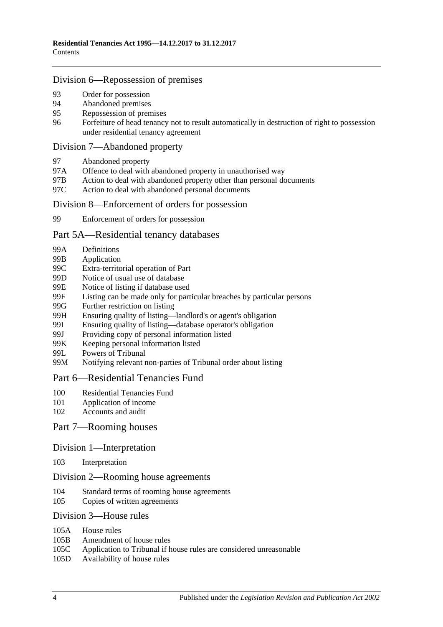#### [Division 6—Repossession of premises](#page-47-0)

- 93 [Order for possession](#page-47-1)<br>94 Abandoned premises
- [Abandoned premises](#page-47-2)
- 95 [Repossession of premises](#page-48-0)
- 96 [Forfeiture of head tenancy not to result automatically in destruction of right to possession](#page-48-1)  [under residential tenancy agreement](#page-48-1)

#### [Division 7—Abandoned property](#page-49-0)

- 97 [Abandoned property](#page-49-1)
- 97A [Offence to deal with abandoned property in unauthorised way](#page-49-2)
- 97B [Action to deal with abandoned property other than personal documents](#page-49-3)
- 97C [Action to deal with abandoned personal documents](#page-50-0)

#### [Division 8—Enforcement of orders for possession](#page-50-1)

99 [Enforcement of orders for possession](#page-50-2)

#### [Part 5A—Residential tenancy databases](#page-51-0)

- 99A [Definitions](#page-51-1)
- 99B [Application](#page-52-0)
- 99C [Extra-territorial operation of Part](#page-52-1)
- 99D [Notice of usual use of database](#page-53-0)
- 99E [Notice of listing if database used](#page-53-1)
- 99F [Listing can be made only for particular breaches by particular persons](#page-54-0)
- 99G [Further restriction on listing](#page-55-0)<br>99H Ensuring quality of listing—
- [Ensuring quality of listing—landlord's or agent's obligation](#page-55-1)
- 99I [Ensuring quality of listing—database operator's obligation](#page-56-0)
- 99J [Providing copy of personal information listed](#page-56-1)
- 99K [Keeping personal information listed](#page-56-2)
- 99L [Powers of Tribunal](#page-57-0)
- 99M [Notifying relevant non-parties of Tribunal order about listing](#page-57-1)

#### [Part 6—Residential Tenancies Fund](#page-58-0)

- 100 [Residential Tenancies Fund](#page-58-1)
- 101 [Application of income](#page-58-2)
- 102 [Accounts and audit](#page-59-0)

## Part [7—Rooming houses](#page-59-1)

#### Division [1—Interpretation](#page-59-2)

103 [Interpretation](#page-59-3)

#### Division [2—Rooming house agreements](#page-59-4)

- 104 [Standard terms of rooming house agreements](#page-59-5)
- 105 [Copies of written agreements](#page-59-6)

#### Division [3—House rules](#page-60-0)

- 105A [House rules](#page-60-1)
- 105B [Amendment of house rules](#page-60-2)
- 105C [Application to Tribunal if house rules are considered unreasonable](#page-60-3)
- 105D [Availability of house rules](#page-61-0)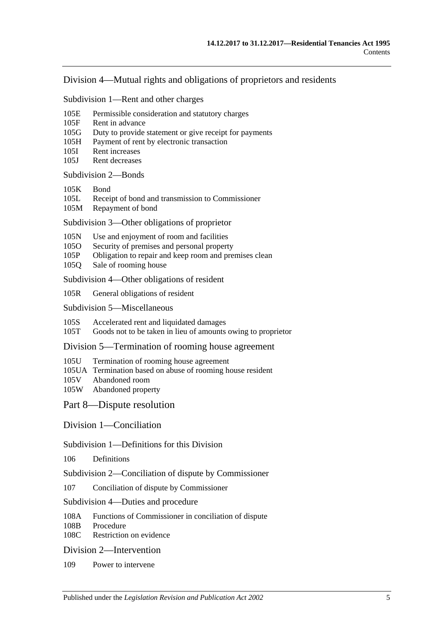#### Division [4—Mutual rights and obligations of proprietors and residents](#page-61-1)

Subdivision [1—Rent and other charges](#page-61-2)

- 105E [Permissible consideration and statutory charges](#page-61-3)
- 105F [Rent in advance](#page-61-4)
- 105G [Duty to provide statement or give receipt for payments](#page-62-0)
- 105H [Payment of rent by electronic transaction](#page-62-1)
- 105I [Rent increases](#page-63-0)
- 105J [Rent decreases](#page-63-1)

#### [Subdivision](#page-64-0) 2—Bonds

- [105K](#page-64-1) Bond
- 105L [Receipt of bond and transmission to Commissioner](#page-64-2)
- 105M [Repayment of bond](#page-64-3)

Subdivision [3—Other obligations of proprietor](#page-66-0)

- 105N [Use and enjoyment of room and facilities](#page-66-1)
- 105O [Security of premises and personal property](#page-67-0)
- 105P [Obligation to repair and keep room and premises clean](#page-67-1)
- 105Q [Sale of rooming house](#page-68-0)

Subdivision [4—Other obligations of resident](#page-68-1)

105R [General obligations of resident](#page-68-2)

Subdivision [5—Miscellaneous](#page-69-0)

105S [Accelerated rent and liquidated damages](#page-69-1)

105T [Goods not to be taken in lieu of amounts owing to proprietor](#page-69-2)

Division [5—Termination of rooming house agreement](#page-69-3)

- 105U [Termination of rooming house agreement](#page-69-4)
- 105UA [Termination based on abuse of rooming house resident](#page-71-0)
- 105V [Abandoned room](#page-72-0)<br>105W Abandoned prope
- [Abandoned property](#page-73-0)

[Part 8—Dispute resolution](#page-74-0)

[Division 1—Conciliation](#page-74-1)

#### Subdivision [1—Definitions for this Division](#page-74-2)

106 [Definitions](#page-74-3)

Subdivision [2—Conciliation of dispute by Commissioner](#page-74-4)

- 107 [Conciliation of dispute by Commissioner](#page-74-5)
- Subdivision [4—Duties and procedure](#page-74-6)
- 108A [Functions of Commissioner in conciliation of dispute](#page-74-7)<br>108B Procedure
- [Procedure](#page-75-0)
- 108C [Restriction on evidence](#page-75-1)

#### [Division 2—Intervention](#page-75-2)

109 [Power to intervene](#page-75-3)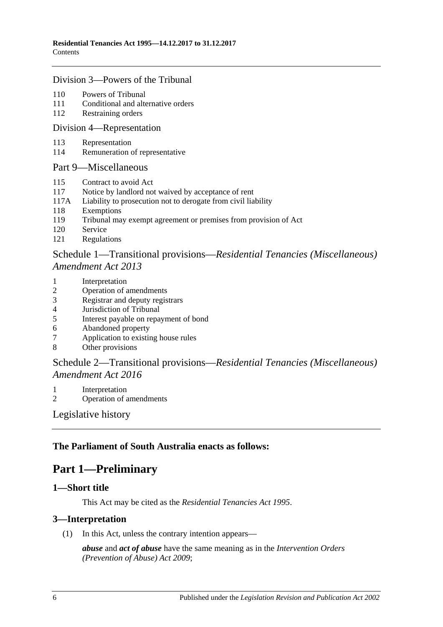#### [Division 3—Powers of the Tribunal](#page-75-4)

- 110 [Powers of Tribunal](#page-75-5)
- 111 [Conditional and alternative orders](#page-76-0)
- 112 [Restraining orders](#page-76-1)

#### [Division 4—Representation](#page-77-0)

- 113 [Representation](#page-77-1)
- 114 [Remuneration of representative](#page-78-0)

#### [Part 9—Miscellaneous](#page-78-1)

- 115 [Contract to avoid Act](#page-78-2)
- 117 [Notice by landlord not waived by acceptance of rent](#page-79-0)
- 117A [Liability to prosecution not to derogate from civil liability](#page-79-1)
- 118 [Exemptions](#page-79-2)
- 119 [Tribunal may exempt agreement or premises from provision of Act](#page-79-3)
- 120 [Service](#page-79-4)
- 121 [Regulations](#page-80-0)

# Schedule 1—Transitional provisions—*[Residential Tenancies \(Miscellaneous\)](#page-80-1)  [Amendment Act](#page-80-1) 2013*

- 1 [Interpretation](#page-80-2)
- 2 [Operation of amendments](#page-80-3)
- 3 [Registrar and deputy registrars](#page-80-4)
- 4 [Jurisdiction of Tribunal](#page-81-0)
- 5 [Interest payable on repayment of bond](#page-81-1)
- 6 [Abandoned property](#page-81-2)<br>7 Application to existin
- [Application to existing house rules](#page-81-3)
- 8 [Other provisions](#page-81-4)

## Schedule 2—Transitional provisions—*[Residential Tenancies \(Miscellaneous\)](#page-82-0)  [Amendment Act](#page-82-0) 2016*

- 1 [Interpretation](#page-82-1)
- 2 [Operation of amendments](#page-82-2)

[Legislative history](#page-83-0)

## <span id="page-5-0"></span>**The Parliament of South Australia enacts as follows:**

# **Part 1—Preliminary**

#### <span id="page-5-1"></span>**1—Short title**

This Act may be cited as the *Residential Tenancies Act 1995*.

#### <span id="page-5-2"></span>**3—Interpretation**

(1) In this Act, unless the contrary intention appears—

*abuse* and *act of abuse* have the same meaning as in the *[Intervention Orders](http://www.legislation.sa.gov.au/index.aspx?action=legref&type=act&legtitle=Intervention%20Orders%20(Prevention%20of%20Abuse)%20Act%202009)  [\(Prevention of Abuse\) Act](http://www.legislation.sa.gov.au/index.aspx?action=legref&type=act&legtitle=Intervention%20Orders%20(Prevention%20of%20Abuse)%20Act%202009) 2009*;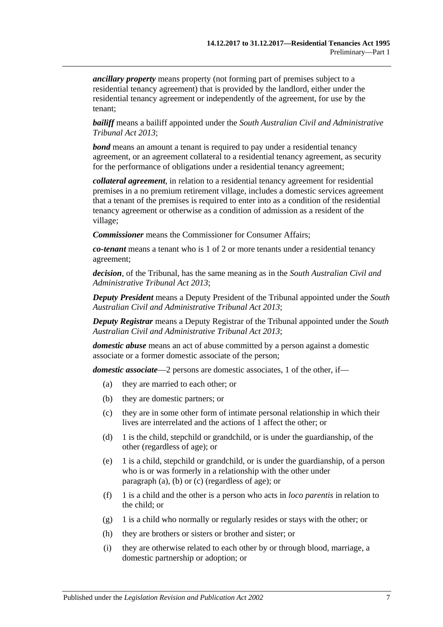*ancillary property* means property (not forming part of premises subject to a residential tenancy agreement) that is provided by the landlord, either under the residential tenancy agreement or independently of the agreement, for use by the tenant;

*bailiff* means a bailiff appointed under the *[South Australian Civil and Administrative](http://www.legislation.sa.gov.au/index.aspx?action=legref&type=act&legtitle=South%20Australian%20Civil%20and%20Administrative%20Tribunal%20Act%202013)  [Tribunal Act](http://www.legislation.sa.gov.au/index.aspx?action=legref&type=act&legtitle=South%20Australian%20Civil%20and%20Administrative%20Tribunal%20Act%202013) 2013*;

*bond* means an amount a tenant is required to pay under a residential tenancy agreement, or an agreement collateral to a residential tenancy agreement, as security for the performance of obligations under a residential tenancy agreement;

*collateral agreement*, in relation to a residential tenancy agreement for residential premises in a no premium retirement village, includes a domestic services agreement that a tenant of the premises is required to enter into as a condition of the residential tenancy agreement or otherwise as a condition of admission as a resident of the village;

*Commissioner* means the Commissioner for Consumer Affairs;

*co-tenant* means a tenant who is 1 of 2 or more tenants under a residential tenancy agreement;

*decision*, of the Tribunal, has the same meaning as in the *[South Australian Civil and](http://www.legislation.sa.gov.au/index.aspx?action=legref&type=act&legtitle=South%20Australian%20Civil%20and%20Administrative%20Tribunal%20Act%202013)  [Administrative Tribunal Act](http://www.legislation.sa.gov.au/index.aspx?action=legref&type=act&legtitle=South%20Australian%20Civil%20and%20Administrative%20Tribunal%20Act%202013) 2013*;

*Deputy President* means a Deputy President of the Tribunal appointed under the *[South](http://www.legislation.sa.gov.au/index.aspx?action=legref&type=act&legtitle=South%20Australian%20Civil%20and%20Administrative%20Tribunal%20Act%202013)  [Australian Civil and Administrative Tribunal Act](http://www.legislation.sa.gov.au/index.aspx?action=legref&type=act&legtitle=South%20Australian%20Civil%20and%20Administrative%20Tribunal%20Act%202013) 2013*;

*Deputy Registrar* means a Deputy Registrar of the Tribunal appointed under the *[South](http://www.legislation.sa.gov.au/index.aspx?action=legref&type=act&legtitle=South%20Australian%20Civil%20and%20Administrative%20Tribunal%20Act%202013)  [Australian Civil and Administrative Tribunal Act](http://www.legislation.sa.gov.au/index.aspx?action=legref&type=act&legtitle=South%20Australian%20Civil%20and%20Administrative%20Tribunal%20Act%202013) 2013*;

*domestic abuse* means an act of abuse committed by a person against a domestic associate or a former domestic associate of the person;

<span id="page-6-1"></span><span id="page-6-0"></span>*domestic associate*—2 persons are domestic associates, 1 of the other, if—

- (a) they are married to each other; or
- (b) they are domestic partners; or
- <span id="page-6-2"></span>(c) they are in some other form of intimate personal relationship in which their lives are interrelated and the actions of 1 affect the other; or
- (d) 1 is the child, stepchild or grandchild, or is under the guardianship, of the other (regardless of age); or
- (e) 1 is a child, stepchild or grandchild, or is under the guardianship, of a person who is or was formerly in a relationship with the other under [paragraph](#page-6-0) (a), [\(b\)](#page-6-1) or [\(c\)](#page-6-2) (regardless of age); or
- (f) 1 is a child and the other is a person who acts in *loco parentis* in relation to the child; or
- (g) 1 is a child who normally or regularly resides or stays with the other; or
- (h) they are brothers or sisters or brother and sister; or
- (i) they are otherwise related to each other by or through blood, marriage, a domestic partnership or adoption; or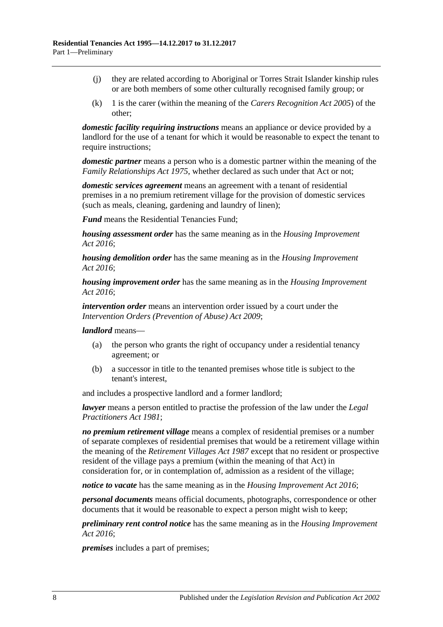- (j) they are related according to Aboriginal or Torres Strait Islander kinship rules or are both members of some other culturally recognised family group; or
- (k) 1 is the carer (within the meaning of the *[Carers Recognition Act](http://www.legislation.sa.gov.au/index.aspx?action=legref&type=act&legtitle=Carers%20Recognition%20Act%202005) 2005*) of the other;

*domestic facility requiring instructions* means an appliance or device provided by a landlord for the use of a tenant for which it would be reasonable to expect the tenant to require instructions;

*domestic partner* means a person who is a domestic partner within the meaning of the *[Family Relationships Act](http://www.legislation.sa.gov.au/index.aspx?action=legref&type=act&legtitle=Family%20Relationships%20Act%201975) 1975*, whether declared as such under that Act or not;

*domestic services agreement* means an agreement with a tenant of residential premises in a no premium retirement village for the provision of domestic services (such as meals, cleaning, gardening and laundry of linen);

*Fund* means the Residential Tenancies Fund;

*housing assessment order* has the same meaning as in the *[Housing Improvement](http://www.legislation.sa.gov.au/index.aspx?action=legref&type=act&legtitle=Housing%20Improvement%20Act%202016)  Act [2016](http://www.legislation.sa.gov.au/index.aspx?action=legref&type=act&legtitle=Housing%20Improvement%20Act%202016)*;

*housing demolition order* has the same meaning as in the *[Housing Improvement](http://www.legislation.sa.gov.au/index.aspx?action=legref&type=act&legtitle=Housing%20Improvement%20Act%202016)  Act [2016](http://www.legislation.sa.gov.au/index.aspx?action=legref&type=act&legtitle=Housing%20Improvement%20Act%202016)*;

*housing improvement order* has the same meaning as in the *[Housing Improvement](http://www.legislation.sa.gov.au/index.aspx?action=legref&type=act&legtitle=Housing%20Improvement%20Act%202016)  Act [2016](http://www.legislation.sa.gov.au/index.aspx?action=legref&type=act&legtitle=Housing%20Improvement%20Act%202016)*;

*intervention order* means an intervention order issued by a court under the *[Intervention Orders \(Prevention of Abuse\) Act](http://www.legislation.sa.gov.au/index.aspx?action=legref&type=act&legtitle=Intervention%20Orders%20(Prevention%20of%20Abuse)%20Act%202009) 2009*;

*landlord* means—

- (a) the person who grants the right of occupancy under a residential tenancy agreement; or
- (b) a successor in title to the tenanted premises whose title is subject to the tenant's interest,

and includes a prospective landlord and a former landlord;

*lawyer* means a person entitled to practise the profession of the law under the *[Legal](http://www.legislation.sa.gov.au/index.aspx?action=legref&type=act&legtitle=Legal%20Practitioners%20Act%201981)  [Practitioners Act](http://www.legislation.sa.gov.au/index.aspx?action=legref&type=act&legtitle=Legal%20Practitioners%20Act%201981) 1981*;

*no premium retirement village* means a complex of residential premises or a number of separate complexes of residential premises that would be a retirement village within the meaning of the *[Retirement Villages Act](http://www.legislation.sa.gov.au/index.aspx?action=legref&type=act&legtitle=Retirement%20Villages%20Act%201987) 1987* except that no resident or prospective resident of the village pays a premium (within the meaning of that Act) in consideration for, or in contemplation of, admission as a resident of the village;

*notice to vacate* has the same meaning as in the *[Housing Improvement Act](http://www.legislation.sa.gov.au/index.aspx?action=legref&type=act&legtitle=Housing%20Improvement%20Act%202016) 2016*;

*personal documents* means official documents, photographs, correspondence or other documents that it would be reasonable to expect a person might wish to keep;

*preliminary rent control notice* has the same meaning as in the *[Housing Improvement](http://www.legislation.sa.gov.au/index.aspx?action=legref&type=act&legtitle=Housing%20Improvement%20Act%202016)  Act [2016](http://www.legislation.sa.gov.au/index.aspx?action=legref&type=act&legtitle=Housing%20Improvement%20Act%202016)*;

*premises* includes a part of premises;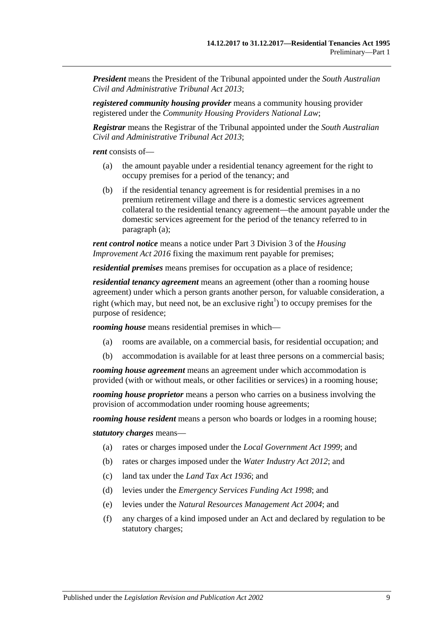*President* means the President of the Tribunal appointed under the *[South Australian](http://www.legislation.sa.gov.au/index.aspx?action=legref&type=act&legtitle=South%20Australian%20Civil%20and%20Administrative%20Tribunal%20Act%202013) [Civil and Administrative Tribunal Act](http://www.legislation.sa.gov.au/index.aspx?action=legref&type=act&legtitle=South%20Australian%20Civil%20and%20Administrative%20Tribunal%20Act%202013) 2013*;

*registered community housing provider* means a community housing provider registered under the *Community Housing Providers National Law*;

*Registrar* means the Registrar of the Tribunal appointed under the *[South Australian](http://www.legislation.sa.gov.au/index.aspx?action=legref&type=act&legtitle=South%20Australian%20Civil%20and%20Administrative%20Tribunal%20Act%202013)  [Civil and Administrative Tribunal Act](http://www.legislation.sa.gov.au/index.aspx?action=legref&type=act&legtitle=South%20Australian%20Civil%20and%20Administrative%20Tribunal%20Act%202013) 2013*;

<span id="page-8-0"></span>*rent* consists of—

- (a) the amount payable under a residential tenancy agreement for the right to occupy premises for a period of the tenancy; and
- (b) if the residential tenancy agreement is for residential premises in a no premium retirement village and there is a domestic services agreement collateral to the residential tenancy agreement—the amount payable under the domestic services agreement for the period of the tenancy referred to in [paragraph](#page-8-0) (a);

*rent control notice* means a notice under Part 3 Division 3 of the *[Housing](http://www.legislation.sa.gov.au/index.aspx?action=legref&type=act&legtitle=Housing%20Improvement%20Act%202016)  [Improvement Act](http://www.legislation.sa.gov.au/index.aspx?action=legref&type=act&legtitle=Housing%20Improvement%20Act%202016) 2016* fixing the maximum rent payable for premises;

*residential premises* means premises for occupation as a place of residence;

*residential tenancy agreement* means an agreement (other than a rooming house agreement) under which a person grants another person, for valuable consideration, a right (which may, but need not, be an exclusive right<sup>1</sup>) to occupy premises for the purpose of residence;

*rooming house* means residential premises in which—

- (a) rooms are available, on a commercial basis, for residential occupation; and
- (b) accommodation is available for at least three persons on a commercial basis;

*rooming house agreement* means an agreement under which accommodation is provided (with or without meals, or other facilities or services) in a rooming house;

*rooming house proprietor* means a person who carries on a business involving the provision of accommodation under rooming house agreements;

*rooming house resident* means a person who boards or lodges in a rooming house;

*statutory charges* means—

- (a) rates or charges imposed under the *[Local Government Act](http://www.legislation.sa.gov.au/index.aspx?action=legref&type=act&legtitle=Local%20Government%20Act%201999) 1999*; and
- (b) rates or charges imposed under the *[Water Industry Act](http://www.legislation.sa.gov.au/index.aspx?action=legref&type=act&legtitle=Water%20Industry%20Act%202012) 2012*; and
- (c) land tax under the *[Land Tax Act](http://www.legislation.sa.gov.au/index.aspx?action=legref&type=act&legtitle=Land%20Tax%20Act%201936) 1936*; and
- (d) levies under the *[Emergency Services Funding Act](http://www.legislation.sa.gov.au/index.aspx?action=legref&type=act&legtitle=Emergency%20Services%20Funding%20Act%201998) 1998*; and
- (e) levies under the *[Natural Resources Management Act](http://www.legislation.sa.gov.au/index.aspx?action=legref&type=act&legtitle=Natural%20Resources%20Management%20Act%202004) 2004*; and
- (f) any charges of a kind imposed under an Act and declared by regulation to be statutory charges;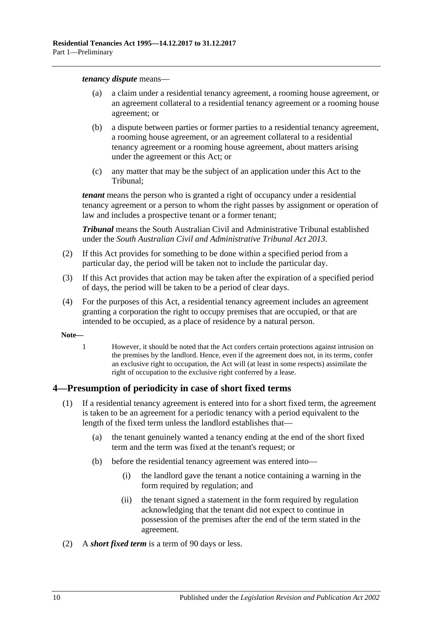#### *tenancy dispute* means—

- (a) a claim under a residential tenancy agreement, a rooming house agreement, or an agreement collateral to a residential tenancy agreement or a rooming house agreement; or
- (b) a dispute between parties or former parties to a residential tenancy agreement, a rooming house agreement, or an agreement collateral to a residential tenancy agreement or a rooming house agreement, about matters arising under the agreement or this Act; or
- (c) any matter that may be the subject of an application under this Act to the Tribunal;

*tenant* means the person who is granted a right of occupancy under a residential tenancy agreement or a person to whom the right passes by assignment or operation of law and includes a prospective tenant or a former tenant;

*Tribunal* means the South Australian Civil and Administrative Tribunal established under the *[South Australian Civil and Administrative Tribunal Act](http://www.legislation.sa.gov.au/index.aspx?action=legref&type=act&legtitle=South%20Australian%20Civil%20and%20Administrative%20Tribunal%20Act%202013) 2013*.

- (2) If this Act provides for something to be done within a specified period from a particular day, the period will be taken not to include the particular day.
- (3) If this Act provides that action may be taken after the expiration of a specified period of days, the period will be taken to be a period of clear days.
- (4) For the purposes of this Act, a residential tenancy agreement includes an agreement granting a corporation the right to occupy premises that are occupied, or that are intended to be occupied, as a place of residence by a natural person.
- **Note—**
	- 1 However, it should be noted that the Act confers certain protections against intrusion on the premises by the landlord. Hence, even if the agreement does not, in its terms, confer an exclusive right to occupation, the Act will (at least in some respects) assimilate the right of occupation to the exclusive right conferred by a lease.

## <span id="page-9-0"></span>**4—Presumption of periodicity in case of short fixed terms**

- (1) If a residential tenancy agreement is entered into for a short fixed term, the agreement is taken to be an agreement for a periodic tenancy with a period equivalent to the length of the fixed term unless the landlord establishes that—
	- (a) the tenant genuinely wanted a tenancy ending at the end of the short fixed term and the term was fixed at the tenant's request; or
	- (b) before the residential tenancy agreement was entered into—
		- (i) the landlord gave the tenant a notice containing a warning in the form required by regulation; and
		- (ii) the tenant signed a statement in the form required by regulation acknowledging that the tenant did not expect to continue in possession of the premises after the end of the term stated in the agreement.
- (2) A *short fixed term* is a term of 90 days or less.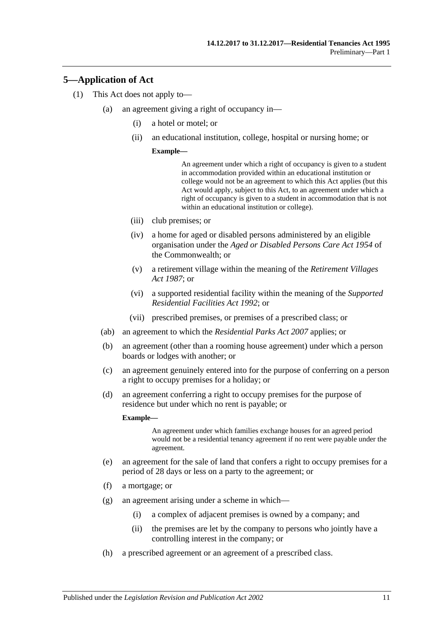## <span id="page-10-0"></span>**5—Application of Act**

- (1) This Act does not apply to—
	- (a) an agreement giving a right of occupancy in—
		- (i) a hotel or motel; or
		- (ii) an educational institution, college, hospital or nursing home; or

#### **Example—**

An agreement under which a right of occupancy is given to a student in accommodation provided within an educational institution or college would not be an agreement to which this Act applies (but this Act would apply, subject to this Act, to an agreement under which a right of occupancy is given to a student in accommodation that is not within an educational institution or college).

- (iii) club premises; or
- (iv) a home for aged or disabled persons administered by an eligible organisation under the *Aged or Disabled Persons Care Act 1954* of the Commonwealth; or
- (v) a retirement village within the meaning of the *[Retirement Villages](http://www.legislation.sa.gov.au/index.aspx?action=legref&type=act&legtitle=Retirement%20Villages%20Act%201987)  Act [1987](http://www.legislation.sa.gov.au/index.aspx?action=legref&type=act&legtitle=Retirement%20Villages%20Act%201987)*; or
- (vi) a supported residential facility within the meaning of the *[Supported](http://www.legislation.sa.gov.au/index.aspx?action=legref&type=act&legtitle=Supported%20Residential%20Facilities%20Act%201992)  [Residential Facilities Act](http://www.legislation.sa.gov.au/index.aspx?action=legref&type=act&legtitle=Supported%20Residential%20Facilities%20Act%201992) 1992*; or
- (vii) prescribed premises, or premises of a prescribed class; or
- (ab) an agreement to which the *[Residential Parks Act](http://www.legislation.sa.gov.au/index.aspx?action=legref&type=act&legtitle=Residential%20Parks%20Act%202007) 2007* applies; or
- (b) an agreement (other than a rooming house agreement) under which a person boards or lodges with another; or
- <span id="page-10-2"></span>(c) an agreement genuinely entered into for the purpose of conferring on a person a right to occupy premises for a holiday; or
- (d) an agreement conferring a right to occupy premises for the purpose of residence but under which no rent is payable; or

#### **Example—**

An agreement under which families exchange houses for an agreed period would not be a residential tenancy agreement if no rent were payable under the agreement.

- <span id="page-10-1"></span>(e) an agreement for the sale of land that confers a right to occupy premises for a period of 28 days or less on a party to the agreement; or
- (f) a mortgage; or
- (g) an agreement arising under a scheme in which—
	- (i) a complex of adjacent premises is owned by a company; and
	- (ii) the premises are let by the company to persons who jointly have a controlling interest in the company; or
- (h) a prescribed agreement or an agreement of a prescribed class.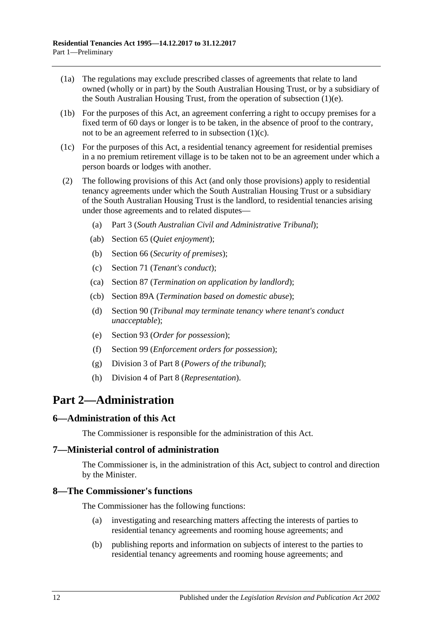- (1a) The regulations may exclude prescribed classes of agreements that relate to land owned (wholly or in part) by the South Australian Housing Trust, or by a subsidiary of the South Australian Housing Trust, from the operation of [subsection](#page-10-1) (1)(e).
- (1b) For the purposes of this Act, an agreement conferring a right to occupy premises for a fixed term of 60 days or longer is to be taken, in the absence of proof to the contrary, not to be an agreement referred to in [subsection](#page-10-2)  $(1)(c)$ .
- (1c) For the purposes of this Act, a residential tenancy agreement for residential premises in a no premium retirement village is to be taken not to be an agreement under which a person boards or lodges with another.
- (2) The following provisions of this Act (and only those provisions) apply to residential tenancy agreements under which the South Australian Housing Trust or a subsidiary of the South Australian Housing Trust is the landlord, to residential tenancies arising under those agreements and to related disputes—
	- (a) [Part 3](#page-12-1) (*South Australian Civil and Administrative Tribunal*);
	- (ab) [Section](#page-25-2) 65 (*Quiet enjoyment*);
	- (b) [Section](#page-26-1) 66 (*Security of premises*);
	- (c) [Section](#page-28-2) 71 (*Tenant's conduct*);
	- (ca) [Section](#page-41-1) 87 (*Termination on application by landlord*);
	- (cb) [Section](#page-42-1) 89A (*Termination based on domestic abuse*);
	- (d) [Section](#page-44-0) 90 (*Tribunal may terminate tenancy where tenant's conduct unacceptable*);
	- (e) [Section](#page-47-1) 93 (*Order for possession*);
	- (f) [Section](#page-50-2) 99 (*Enforcement orders for possession*);
	- (g) [Division 3](#page-75-4) of [Part 8](#page-74-0) (*Powers of the tribunal*);
	- (h) [Division 4](#page-77-0) of [Part 8](#page-74-0) (*Representation*).

# <span id="page-11-0"></span>**Part 2—Administration**

## <span id="page-11-1"></span>**6—Administration of this Act**

The Commissioner is responsible for the administration of this Act.

## <span id="page-11-2"></span>**7—Ministerial control of administration**

The Commissioner is, in the administration of this Act, subject to control and direction by the Minister.

## <span id="page-11-3"></span>**8—The Commissioner's functions**

The Commissioner has the following functions:

- (a) investigating and researching matters affecting the interests of parties to residential tenancy agreements and rooming house agreements; and
- (b) publishing reports and information on subjects of interest to the parties to residential tenancy agreements and rooming house agreements; and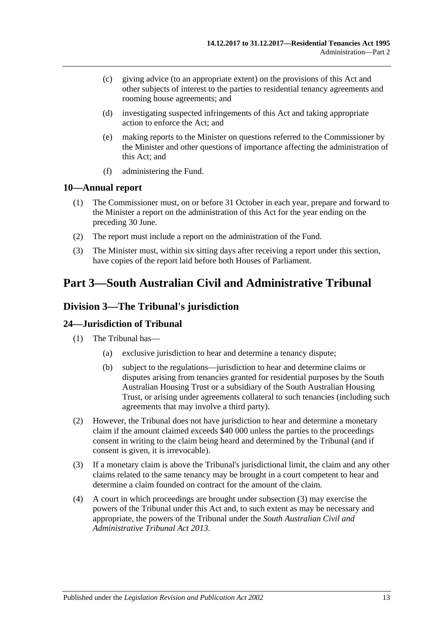- (c) giving advice (to an appropriate extent) on the provisions of this Act and other subjects of interest to the parties to residential tenancy agreements and rooming house agreements; and
- (d) investigating suspected infringements of this Act and taking appropriate action to enforce the Act; and
- (e) making reports to the Minister on questions referred to the Commissioner by the Minister and other questions of importance affecting the administration of this Act; and
- (f) administering the Fund.

## <span id="page-12-0"></span>**10—Annual report**

- (1) The Commissioner must, on or before 31 October in each year, prepare and forward to the Minister a report on the administration of this Act for the year ending on the preceding 30 June.
- (2) The report must include a report on the administration of the Fund.
- (3) The Minister must, within six sitting days after receiving a report under this section, have copies of the report laid before both Houses of Parliament.

# <span id="page-12-1"></span>**Part 3—South Australian Civil and Administrative Tribunal**

# <span id="page-12-2"></span>**Division 3—The Tribunal's jurisdiction**

## <span id="page-12-3"></span>**24—Jurisdiction of Tribunal**

- (1) The Tribunal has—
	- (a) exclusive jurisdiction to hear and determine a tenancy dispute;
	- (b) subject to the regulations—jurisdiction to hear and determine claims or disputes arising from tenancies granted for residential purposes by the South Australian Housing Trust or a subsidiary of the South Australian Housing Trust, or arising under agreements collateral to such tenancies (including such agreements that may involve a third party).
- (2) However, the Tribunal does not have jurisdiction to hear and determine a monetary claim if the amount claimed exceeds \$40 000 unless the parties to the proceedings consent in writing to the claim being heard and determined by the Tribunal (and if consent is given, it is irrevocable).
- <span id="page-12-4"></span>(3) If a monetary claim is above the Tribunal's jurisdictional limit, the claim and any other claims related to the same tenancy may be brought in a court competent to hear and determine a claim founded on contract for the amount of the claim.
- (4) A court in which proceedings are brought under [subsection](#page-12-4) (3) may exercise the powers of the Tribunal under this Act and, to such extent as may be necessary and appropriate, the powers of the Tribunal under the *[South Australian Civil and](http://www.legislation.sa.gov.au/index.aspx?action=legref&type=act&legtitle=South%20Australian%20Civil%20and%20Administrative%20Tribunal%20Act%202013)  [Administrative Tribunal Act](http://www.legislation.sa.gov.au/index.aspx?action=legref&type=act&legtitle=South%20Australian%20Civil%20and%20Administrative%20Tribunal%20Act%202013) 2013*.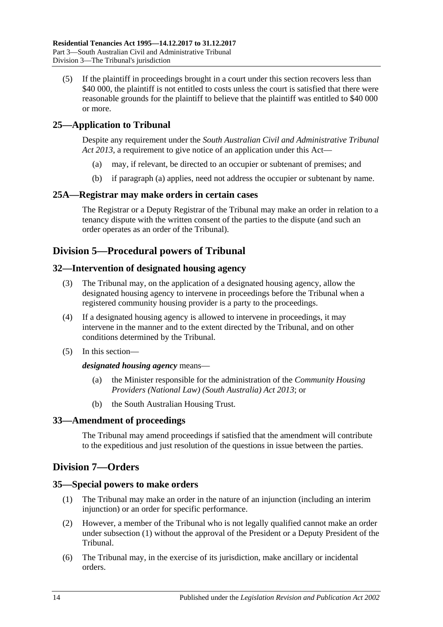(5) If the plaintiff in proceedings brought in a court under this section recovers less than \$40 000, the plaintiff is not entitled to costs unless the court is satisfied that there were reasonable grounds for the plaintiff to believe that the plaintiff was entitled to \$40 000 or more.

# <span id="page-13-7"></span><span id="page-13-0"></span>**25—Application to Tribunal**

Despite any requirement under the *[South Australian Civil and Administrative Tribunal](http://www.legislation.sa.gov.au/index.aspx?action=legref&type=act&legtitle=South%20Australian%20Civil%20and%20Administrative%20Tribunal%20Act%202013)  Act [2013](http://www.legislation.sa.gov.au/index.aspx?action=legref&type=act&legtitle=South%20Australian%20Civil%20and%20Administrative%20Tribunal%20Act%202013)*, a requirement to give notice of an application under this Act—

- (a) may, if relevant, be directed to an occupier or subtenant of premises; and
- (b) if [paragraph](#page-13-7) (a) applies, need not address the occupier or subtenant by name.

## <span id="page-13-1"></span>**25A—Registrar may make orders in certain cases**

The Registrar or a Deputy Registrar of the Tribunal may make an order in relation to a tenancy dispute with the written consent of the parties to the dispute (and such an order operates as an order of the Tribunal).

# <span id="page-13-2"></span>**Division 5—Procedural powers of Tribunal**

## <span id="page-13-3"></span>**32—Intervention of designated housing agency**

- (3) The Tribunal may, on the application of a designated housing agency, allow the designated housing agency to intervene in proceedings before the Tribunal when a registered community housing provider is a party to the proceedings.
- (4) If a designated housing agency is allowed to intervene in proceedings, it may intervene in the manner and to the extent directed by the Tribunal, and on other conditions determined by the Tribunal.
- (5) In this section—

#### *designated housing agency* means—

- (a) the Minister responsible for the administration of the *[Community Housing](http://www.legislation.sa.gov.au/index.aspx?action=legref&type=act&legtitle=Community%20Housing%20Providers%20(National%20Law)%20(South%20Australia)%20Act%202013)  [Providers \(National Law\) \(South Australia\) Act](http://www.legislation.sa.gov.au/index.aspx?action=legref&type=act&legtitle=Community%20Housing%20Providers%20(National%20Law)%20(South%20Australia)%20Act%202013) 2013*; or
- (b) the South Australian Housing Trust.

## <span id="page-13-4"></span>**33—Amendment of proceedings**

The Tribunal may amend proceedings if satisfied that the amendment will contribute to the expeditious and just resolution of the questions in issue between the parties.

# <span id="page-13-5"></span>**Division 7—Orders**

## <span id="page-13-8"></span><span id="page-13-6"></span>**35—Special powers to make orders**

- (1) The Tribunal may make an order in the nature of an injunction (including an interim injunction) or an order for specific performance.
- (2) However, a member of the Tribunal who is not legally qualified cannot make an order under [subsection](#page-13-8) (1) without the approval of the President or a Deputy President of the Tribunal.
- (6) The Tribunal may, in the exercise of its jurisdiction, make ancillary or incidental orders.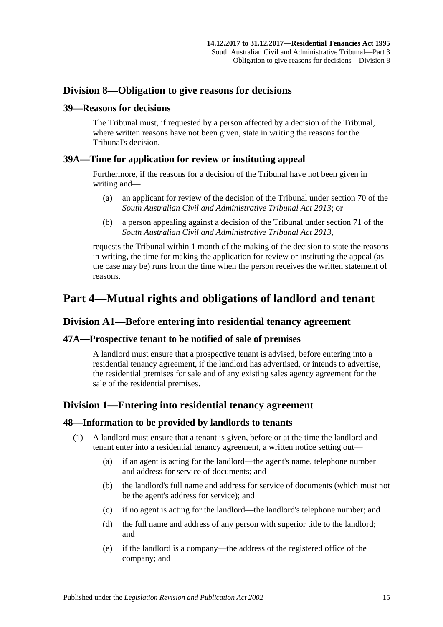# <span id="page-14-0"></span>**Division 8—Obligation to give reasons for decisions**

#### <span id="page-14-1"></span>**39—Reasons for decisions**

The Tribunal must, if requested by a person affected by a decision of the Tribunal, where written reasons have not been given, state in writing the reasons for the Tribunal's decision.

### <span id="page-14-2"></span>**39A—Time for application for review or instituting appeal**

Furthermore, if the reasons for a decision of the Tribunal have not been given in writing and—

- (a) an applicant for review of the decision of the Tribunal under section 70 of the *[South Australian Civil and Administrative Tribunal Act](http://www.legislation.sa.gov.au/index.aspx?action=legref&type=act&legtitle=South%20Australian%20Civil%20and%20Administrative%20Tribunal%20Act%202013) 2013*; or
- (b) a person appealing against a decision of the Tribunal under section 71 of the *[South Australian Civil and Administrative Tribunal Act](http://www.legislation.sa.gov.au/index.aspx?action=legref&type=act&legtitle=South%20Australian%20Civil%20and%20Administrative%20Tribunal%20Act%202013) 2013*,

requests the Tribunal within 1 month of the making of the decision to state the reasons in writing, the time for making the application for review or instituting the appeal (as the case may be) runs from the time when the person receives the written statement of reasons.

# <span id="page-14-3"></span>**Part 4—Mutual rights and obligations of landlord and tenant**

# <span id="page-14-4"></span>**Division A1—Before entering into residential tenancy agreement**

## <span id="page-14-5"></span>**47A—Prospective tenant to be notified of sale of premises**

A landlord must ensure that a prospective tenant is advised, before entering into a residential tenancy agreement, if the landlord has advertised, or intends to advertise, the residential premises for sale and of any existing sales agency agreement for the sale of the residential premises.

# <span id="page-14-6"></span>**Division 1—Entering into residential tenancy agreement**

#### <span id="page-14-7"></span>**48—Information to be provided by landlords to tenants**

- (1) A landlord must ensure that a tenant is given, before or at the time the landlord and tenant enter into a residential tenancy agreement, a written notice setting out—
	- (a) if an agent is acting for the landlord—the agent's name, telephone number and address for service of documents; and
	- (b) the landlord's full name and address for service of documents (which must not be the agent's address for service); and
	- (c) if no agent is acting for the landlord—the landlord's telephone number; and
	- (d) the full name and address of any person with superior title to the landlord; and
	- (e) if the landlord is a company—the address of the registered office of the company; and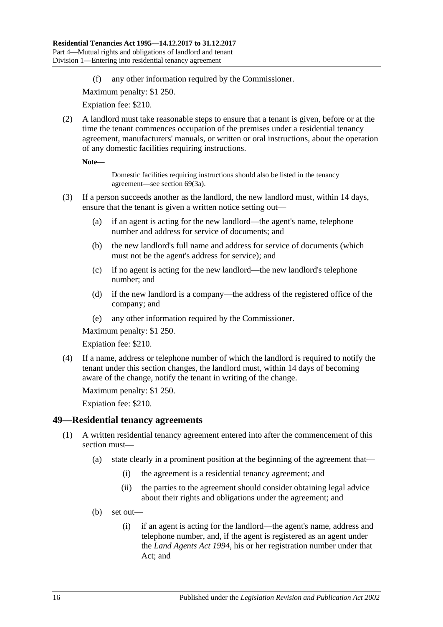(f) any other information required by the Commissioner.

Maximum penalty: \$1 250.

Expiation fee: \$210.

<span id="page-15-2"></span>(2) A landlord must take reasonable steps to ensure that a tenant is given, before or at the time the tenant commences occupation of the premises under a residential tenancy agreement, manufacturers' manuals, or written or oral instructions, about the operation of any domestic facilities requiring instructions.

**Note—**

Domestic facilities requiring instructions should also be listed in the tenancy agreement—see [section](#page-28-3) 69(3a).

- (3) If a person succeeds another as the landlord, the new landlord must, within 14 days, ensure that the tenant is given a written notice setting out—
	- (a) if an agent is acting for the new landlord—the agent's name, telephone number and address for service of documents; and
	- (b) the new landlord's full name and address for service of documents (which must not be the agent's address for service); and
	- (c) if no agent is acting for the new landlord—the new landlord's telephone number; and
	- (d) if the new landlord is a company—the address of the registered office of the company; and
	- (e) any other information required by the Commissioner.

Maximum penalty: \$1 250.

Expiation fee: \$210.

(4) If a name, address or telephone number of which the landlord is required to notify the tenant under this section changes, the landlord must, within 14 days of becoming aware of the change, notify the tenant in writing of the change.

Maximum penalty: \$1 250.

Expiation fee: \$210.

#### <span id="page-15-1"></span><span id="page-15-0"></span>**49—Residential tenancy agreements**

- (1) A written residential tenancy agreement entered into after the commencement of this section must—
	- (a) state clearly in a prominent position at the beginning of the agreement that—
		- (i) the agreement is a residential tenancy agreement; and
		- (ii) the parties to the agreement should consider obtaining legal advice about their rights and obligations under the agreement; and
	- (b) set out—
		- (i) if an agent is acting for the landlord—the agent's name, address and telephone number, and, if the agent is registered as an agent under the *[Land Agents Act](http://www.legislation.sa.gov.au/index.aspx?action=legref&type=act&legtitle=Land%20Agents%20Act%201994) 1994*, his or her registration number under that Act; and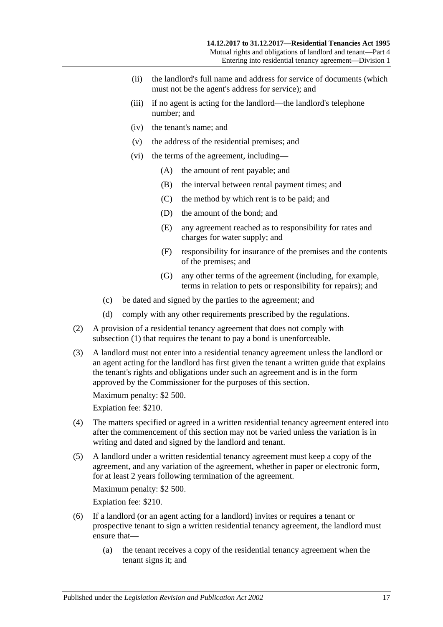- (ii) the landlord's full name and address for service of documents (which must not be the agent's address for service); and
- (iii) if no agent is acting for the landlord—the landlord's telephone number; and
- (iv) the tenant's name; and
- (v) the address of the residential premises; and
- (vi) the terms of the agreement, including—
	- (A) the amount of rent payable; and
	- (B) the interval between rental payment times; and
	- (C) the method by which rent is to be paid; and
	- (D) the amount of the bond; and
	- (E) any agreement reached as to responsibility for rates and charges for water supply; and
	- (F) responsibility for insurance of the premises and the contents of the premises; and
	- (G) any other terms of the agreement (including, for example, terms in relation to pets or responsibility for repairs); and
- (c) be dated and signed by the parties to the agreement; and
- (d) comply with any other requirements prescribed by the regulations.
- <span id="page-16-0"></span>(2) A provision of a residential tenancy agreement that does not comply with [subsection](#page-15-1) (1) that requires the tenant to pay a bond is unenforceable.
- (3) A landlord must not enter into a residential tenancy agreement unless the landlord or an agent acting for the landlord has first given the tenant a written guide that explains the tenant's rights and obligations under such an agreement and is in the form approved by the Commissioner for the purposes of this section.

Maximum penalty: \$2 500.

Expiation fee: \$210.

- (4) The matters specified or agreed in a written residential tenancy agreement entered into after the commencement of this section may not be varied unless the variation is in writing and dated and signed by the landlord and tenant.
- (5) A landlord under a written residential tenancy agreement must keep a copy of the agreement, and any variation of the agreement, whether in paper or electronic form, for at least 2 years following termination of the agreement.

Maximum penalty: \$2 500.

Expiation fee: \$210.

- (6) If a landlord (or an agent acting for a landlord) invites or requires a tenant or prospective tenant to sign a written residential tenancy agreement, the landlord must ensure that—
	- (a) the tenant receives a copy of the residential tenancy agreement when the tenant signs it; and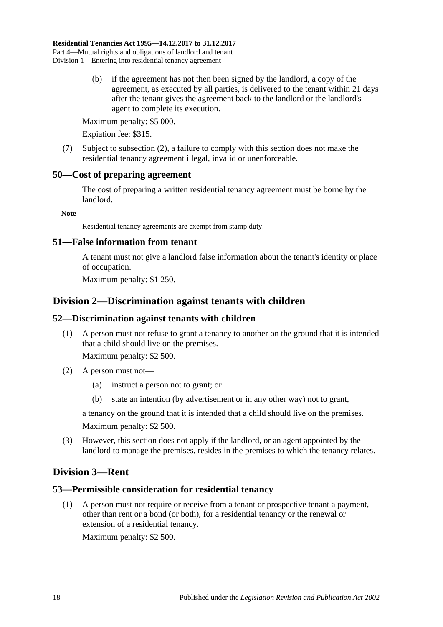(b) if the agreement has not then been signed by the landlord, a copy of the agreement, as executed by all parties, is delivered to the tenant within 21 days after the tenant gives the agreement back to the landlord or the landlord's agent to complete its execution.

Maximum penalty: \$5 000.

Expiation fee: \$315.

(7) Subject to [subsection](#page-16-0) (2), a failure to comply with this section does not make the residential tenancy agreement illegal, invalid or unenforceable.

## <span id="page-17-0"></span>**50—Cost of preparing agreement**

The cost of preparing a written residential tenancy agreement must be borne by the landlord.

**Note—**

Residential tenancy agreements are exempt from stamp duty.

## <span id="page-17-1"></span>**51—False information from tenant**

A tenant must not give a landlord false information about the tenant's identity or place of occupation.

Maximum penalty: \$1 250.

# <span id="page-17-2"></span>**Division 2—Discrimination against tenants with children**

## <span id="page-17-3"></span>**52—Discrimination against tenants with children**

(1) A person must not refuse to grant a tenancy to another on the ground that it is intended that a child should live on the premises.

Maximum penalty: \$2 500.

- (2) A person must not—
	- (a) instruct a person not to grant; or
	- (b) state an intention (by advertisement or in any other way) not to grant,

a tenancy on the ground that it is intended that a child should live on the premises. Maximum penalty: \$2 500.

(3) However, this section does not apply if the landlord, or an agent appointed by the landlord to manage the premises, resides in the premises to which the tenancy relates.

# <span id="page-17-4"></span>**Division 3—Rent**

## <span id="page-17-5"></span>**53—Permissible consideration for residential tenancy**

(1) A person must not require or receive from a tenant or prospective tenant a payment, other than rent or a bond (or both), for a residential tenancy or the renewal or extension of a residential tenancy.

Maximum penalty: \$2 500.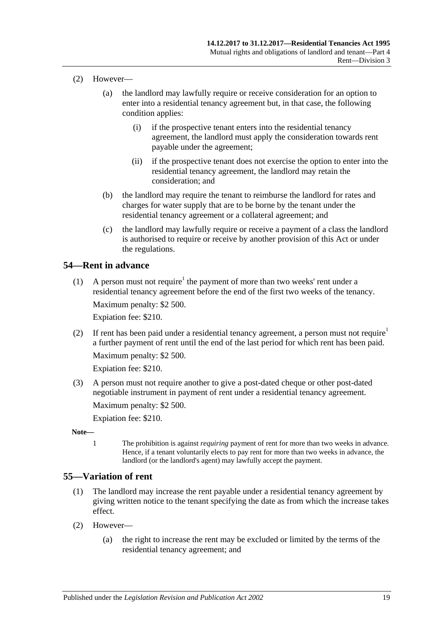- (2) However—
	- (a) the landlord may lawfully require or receive consideration for an option to enter into a residential tenancy agreement but, in that case, the following condition applies:
		- (i) if the prospective tenant enters into the residential tenancy agreement, the landlord must apply the consideration towards rent payable under the agreement;
		- (ii) if the prospective tenant does not exercise the option to enter into the residential tenancy agreement, the landlord may retain the consideration; and
	- (b) the landlord may require the tenant to reimburse the landlord for rates and charges for water supply that are to be borne by the tenant under the residential tenancy agreement or a collateral agreement; and
	- (c) the landlord may lawfully require or receive a payment of a class the landlord is authorised to require or receive by another provision of this Act or under the regulations.

# <span id="page-18-0"></span>**54—Rent in advance**

(1) A person must not require<sup>1</sup> the payment of more than two weeks' rent under a residential tenancy agreement before the end of the first two weeks of the tenancy.

Maximum penalty: \$2 500.

Expiation fee: \$210.

(2) If rent has been paid under a residential tenancy agreement, a person must not require<sup>1</sup> a further payment of rent until the end of the last period for which rent has been paid. Maximum penalty: \$2 500.

Expiation fee: \$210.

(3) A person must not require another to give a post-dated cheque or other post-dated negotiable instrument in payment of rent under a residential tenancy agreement.

Maximum penalty: \$2 500.

Expiation fee: \$210.

- **Note—**
	- 1 The prohibition is against *requiring* payment of rent for more than two weeks in advance. Hence, if a tenant voluntarily elects to pay rent for more than two weeks in advance, the landlord (or the landlord's agent) may lawfully accept the payment.

## <span id="page-18-2"></span><span id="page-18-1"></span>**55—Variation of rent**

- (1) The landlord may increase the rent payable under a residential tenancy agreement by giving written notice to the tenant specifying the date as from which the increase takes effect.
- (2) However—
	- (a) the right to increase the rent may be excluded or limited by the terms of the residential tenancy agreement; and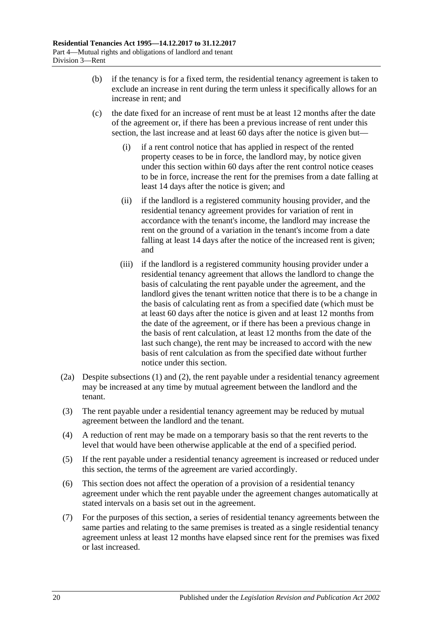- (b) if the tenancy is for a fixed term, the residential tenancy agreement is taken to exclude an increase in rent during the term unless it specifically allows for an increase in rent; and
- (c) the date fixed for an increase of rent must be at least 12 months after the date of the agreement or, if there has been a previous increase of rent under this section, the last increase and at least 60 days after the notice is given but—
	- (i) if a rent control notice that has applied in respect of the rented property ceases to be in force, the landlord may, by notice given under this section within 60 days after the rent control notice ceases to be in force, increase the rent for the premises from a date falling at least 14 days after the notice is given; and
	- (ii) if the landlord is a registered community housing provider, and the residential tenancy agreement provides for variation of rent in accordance with the tenant's income, the landlord may increase the rent on the ground of a variation in the tenant's income from a date falling at least 14 days after the notice of the increased rent is given; and
	- (iii) if the landlord is a registered community housing provider under a residential tenancy agreement that allows the landlord to change the basis of calculating the rent payable under the agreement, and the landlord gives the tenant written notice that there is to be a change in the basis of calculating rent as from a specified date (which must be at least 60 days after the notice is given and at least 12 months from the date of the agreement, or if there has been a previous change in the basis of rent calculation, at least 12 months from the date of the last such change), the rent may be increased to accord with the new basis of rent calculation as from the specified date without further notice under this section.
- <span id="page-19-0"></span>(2a) Despite [subsections](#page-18-2) (1) and [\(2\),](#page-20-2) the rent payable under a residential tenancy agreement may be increased at any time by mutual agreement between the landlord and the tenant.
- (3) The rent payable under a residential tenancy agreement may be reduced by mutual agreement between the landlord and the tenant.
- (4) A reduction of rent may be made on a temporary basis so that the rent reverts to the level that would have been otherwise applicable at the end of a specified period.
- (5) If the rent payable under a residential tenancy agreement is increased or reduced under this section, the terms of the agreement are varied accordingly.
- (6) This section does not affect the operation of a provision of a residential tenancy agreement under which the rent payable under the agreement changes automatically at stated intervals on a basis set out in the agreement.
- (7) For the purposes of this section, a series of residential tenancy agreements between the same parties and relating to the same premises is treated as a single residential tenancy agreement unless at least 12 months have elapsed since rent for the premises was fixed or last increased.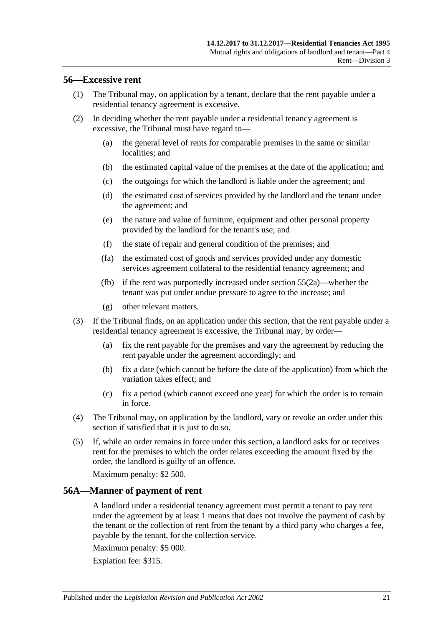#### <span id="page-20-0"></span>**56—Excessive rent**

- (1) The Tribunal may, on application by a tenant, declare that the rent payable under a residential tenancy agreement is excessive.
- <span id="page-20-2"></span>(2) In deciding whether the rent payable under a residential tenancy agreement is excessive, the Tribunal must have regard to—
	- (a) the general level of rents for comparable premises in the same or similar localities; and
	- (b) the estimated capital value of the premises at the date of the application; and
	- (c) the outgoings for which the landlord is liable under the agreement; and
	- (d) the estimated cost of services provided by the landlord and the tenant under the agreement; and
	- (e) the nature and value of furniture, equipment and other personal property provided by the landlord for the tenant's use; and
	- (f) the state of repair and general condition of the premises; and
	- (fa) the estimated cost of goods and services provided under any domestic services agreement collateral to the residential tenancy agreement; and
	- (fb) if the rent was purportedly increased under [section](#page-19-0) 55(2a)—whether the tenant was put under undue pressure to agree to the increase; and
	- (g) other relevant matters.
- (3) If the Tribunal finds, on an application under this section, that the rent payable under a residential tenancy agreement is excessive, the Tribunal may, by order—
	- (a) fix the rent payable for the premises and vary the agreement by reducing the rent payable under the agreement accordingly; and
	- (b) fix a date (which cannot be before the date of the application) from which the variation takes effect; and
	- (c) fix a period (which cannot exceed one year) for which the order is to remain in force.
- (4) The Tribunal may, on application by the landlord, vary or revoke an order under this section if satisfied that it is just to do so.
- (5) If, while an order remains in force under this section, a landlord asks for or receives rent for the premises to which the order relates exceeding the amount fixed by the order, the landlord is guilty of an offence.

Maximum penalty: \$2 500.

## <span id="page-20-1"></span>**56A—Manner of payment of rent**

A landlord under a residential tenancy agreement must permit a tenant to pay rent under the agreement by at least 1 means that does not involve the payment of cash by the tenant or the collection of rent from the tenant by a third party who charges a fee, payable by the tenant, for the collection service.

Maximum penalty: \$5 000.

Expiation fee: \$315.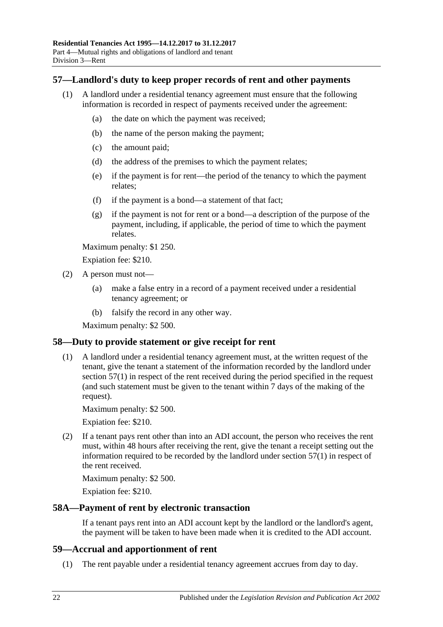## <span id="page-21-4"></span><span id="page-21-0"></span>**57—Landlord's duty to keep proper records of rent and other payments**

- (1) A landlord under a residential tenancy agreement must ensure that the following information is recorded in respect of payments received under the agreement:
	- (a) the date on which the payment was received;
	- (b) the name of the person making the payment;
	- (c) the amount paid;
	- (d) the address of the premises to which the payment relates;
	- (e) if the payment is for rent—the period of the tenancy to which the payment relates;
	- (f) if the payment is a bond—a statement of that fact;
	- (g) if the payment is not for rent or a bond—a description of the purpose of the payment, including, if applicable, the period of time to which the payment relates.

Maximum penalty: \$1 250.

Expiation fee: \$210.

- (2) A person must not—
	- (a) make a false entry in a record of a payment received under a residential tenancy agreement; or
	- (b) falsify the record in any other way.

Maximum penalty: \$2 500.

## <span id="page-21-1"></span>**58—Duty to provide statement or give receipt for rent**

(1) A landlord under a residential tenancy agreement must, at the written request of the tenant, give the tenant a statement of the information recorded by the landlord under [section](#page-21-4) 57(1) in respect of the rent received during the period specified in the request (and such statement must be given to the tenant within 7 days of the making of the request).

Maximum penalty: \$2 500.

Expiation fee: \$210.

(2) If a tenant pays rent other than into an ADI account, the person who receives the rent must, within 48 hours after receiving the rent, give the tenant a receipt setting out the information required to be recorded by the landlord under [section](#page-21-4) 57(1) in respect of the rent received.

Maximum penalty: \$2 500.

Expiation fee: \$210.

#### <span id="page-21-2"></span>**58A—Payment of rent by electronic transaction**

If a tenant pays rent into an ADI account kept by the landlord or the landlord's agent, the payment will be taken to have been made when it is credited to the ADI account.

#### <span id="page-21-3"></span>**59—Accrual and apportionment of rent**

(1) The rent payable under a residential tenancy agreement accrues from day to day.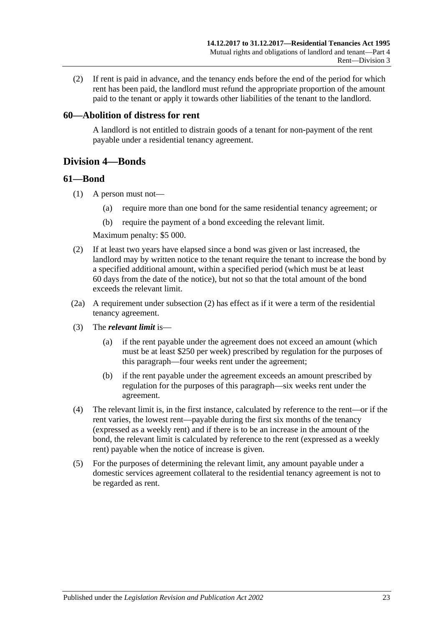(2) If rent is paid in advance, and the tenancy ends before the end of the period for which rent has been paid, the landlord must refund the appropriate proportion of the amount paid to the tenant or apply it towards other liabilities of the tenant to the landlord.

#### <span id="page-22-0"></span>**60—Abolition of distress for rent**

A landlord is not entitled to distrain goods of a tenant for non-payment of the rent payable under a residential tenancy agreement.

# <span id="page-22-1"></span>**Division 4—Bonds**

#### <span id="page-22-2"></span>**61—Bond**

- (1) A person must not—
	- (a) require more than one bond for the same residential tenancy agreement; or
	- (b) require the payment of a bond exceeding the relevant limit.

Maximum penalty: \$5 000.

- <span id="page-22-3"></span>(2) If at least two years have elapsed since a bond was given or last increased, the landlord may by written notice to the tenant require the tenant to increase the bond by a specified additional amount, within a specified period (which must be at least 60 days from the date of the notice), but not so that the total amount of the bond exceeds the relevant limit.
- (2a) A requirement under [subsection](#page-22-3) (2) has effect as if it were a term of the residential tenancy agreement.
- (3) The *relevant limit* is—
	- (a) if the rent payable under the agreement does not exceed an amount (which must be at least \$250 per week) prescribed by regulation for the purposes of this paragraph—four weeks rent under the agreement;
	- (b) if the rent payable under the agreement exceeds an amount prescribed by regulation for the purposes of this paragraph—six weeks rent under the agreement.
- (4) The relevant limit is, in the first instance, calculated by reference to the rent—or if the rent varies, the lowest rent—payable during the first six months of the tenancy (expressed as a weekly rent) and if there is to be an increase in the amount of the bond, the relevant limit is calculated by reference to the rent (expressed as a weekly rent) payable when the notice of increase is given.
- (5) For the purposes of determining the relevant limit, any amount payable under a domestic services agreement collateral to the residential tenancy agreement is not to be regarded as rent.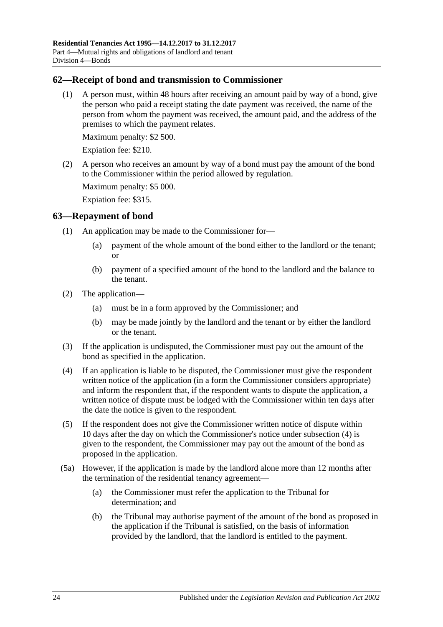## <span id="page-23-0"></span>**62—Receipt of bond and transmission to Commissioner**

(1) A person must, within 48 hours after receiving an amount paid by way of a bond, give the person who paid a receipt stating the date payment was received, the name of the person from whom the payment was received, the amount paid, and the address of the premises to which the payment relates.

Maximum penalty: \$2 500.

Expiation fee: \$210.

(2) A person who receives an amount by way of a bond must pay the amount of the bond to the Commissioner within the period allowed by regulation.

Maximum penalty: \$5 000.

Expiation fee: \$315.

#### <span id="page-23-1"></span>**63—Repayment of bond**

- (1) An application may be made to the Commissioner for—
	- (a) payment of the whole amount of the bond either to the landlord or the tenant; or
	- (b) payment of a specified amount of the bond to the landlord and the balance to the tenant.
- (2) The application—
	- (a) must be in a form approved by the Commissioner; and
	- (b) may be made jointly by the landlord and the tenant or by either the landlord or the tenant.
- (3) If the application is undisputed, the Commissioner must pay out the amount of the bond as specified in the application.
- <span id="page-23-2"></span>(4) If an application is liable to be disputed, the Commissioner must give the respondent written notice of the application (in a form the Commissioner considers appropriate) and inform the respondent that, if the respondent wants to dispute the application, a written notice of dispute must be lodged with the Commissioner within ten days after the date the notice is given to the respondent.
- <span id="page-23-3"></span>(5) If the respondent does not give the Commissioner written notice of dispute within 10 days after the day on which the Commissioner's notice under [subsection](#page-23-2) (4) is given to the respondent, the Commissioner may pay out the amount of the bond as proposed in the application.
- (5a) However, if the application is made by the landlord alone more than 12 months after the termination of the residential tenancy agreement—
	- (a) the Commissioner must refer the application to the Tribunal for determination; and
	- (b) the Tribunal may authorise payment of the amount of the bond as proposed in the application if the Tribunal is satisfied, on the basis of information provided by the landlord, that the landlord is entitled to the payment.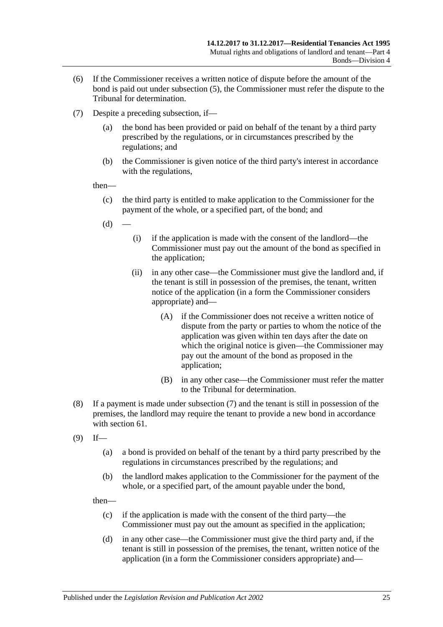- (6) If the Commissioner receives a written notice of dispute before the amount of the bond is paid out under [subsection](#page-23-3) (5), the Commissioner must refer the dispute to the Tribunal for determination.
- <span id="page-24-0"></span>(7) Despite a preceding subsection, if—
	- (a) the bond has been provided or paid on behalf of the tenant by a third party prescribed by the regulations, or in circumstances prescribed by the regulations; and
	- (b) the Commissioner is given notice of the third party's interest in accordance with the regulations,

then—

- (c) the third party is entitled to make application to the Commissioner for the payment of the whole, or a specified part, of the bond; and
- $(d)$
- (i) if the application is made with the consent of the landlord—the Commissioner must pay out the amount of the bond as specified in the application;
- (ii) in any other case—the Commissioner must give the landlord and, if the tenant is still in possession of the premises, the tenant, written notice of the application (in a form the Commissioner considers appropriate) and—
	- (A) if the Commissioner does not receive a written notice of dispute from the party or parties to whom the notice of the application was given within ten days after the date on which the original notice is given—the Commissioner may pay out the amount of the bond as proposed in the application;
	- (B) in any other case—the Commissioner must refer the matter to the Tribunal for determination.
- (8) If a payment is made under [subsection](#page-24-0) (7) and the tenant is still in possession of the premises, the landlord may require the tenant to provide a new bond in accordance with [section](#page-22-2) 61.
- <span id="page-24-1"></span> $(9)$  If—
	- (a) a bond is provided on behalf of the tenant by a third party prescribed by the regulations in circumstances prescribed by the regulations; and
	- (b) the landlord makes application to the Commissioner for the payment of the whole, or a specified part, of the amount payable under the bond,

then—

- (c) if the application is made with the consent of the third party—the Commissioner must pay out the amount as specified in the application;
- (d) in any other case—the Commissioner must give the third party and, if the tenant is still in possession of the premises, the tenant, written notice of the application (in a form the Commissioner considers appropriate) and—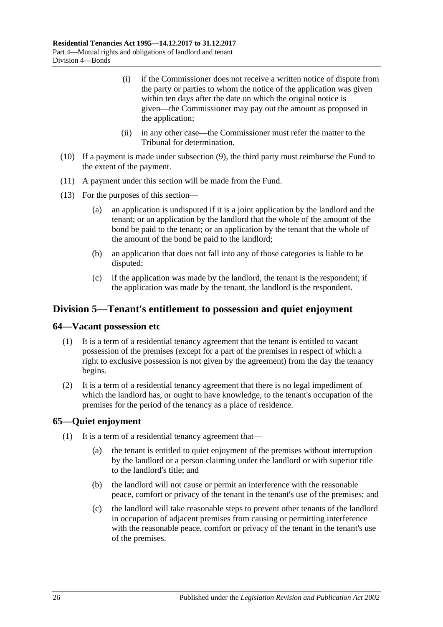- (i) if the Commissioner does not receive a written notice of dispute from the party or parties to whom the notice of the application was given within ten days after the date on which the original notice is given—the Commissioner may pay out the amount as proposed in the application;
- (ii) in any other case—the Commissioner must refer the matter to the Tribunal for determination.
- (10) If a payment is made under [subsection](#page-24-1) (9), the third party must reimburse the Fund to the extent of the payment.
- (11) A payment under this section will be made from the Fund.
- (13) For the purposes of this section—
	- (a) an application is undisputed if it is a joint application by the landlord and the tenant; or an application by the landlord that the whole of the amount of the bond be paid to the tenant; or an application by the tenant that the whole of the amount of the bond be paid to the landlord;
	- (b) an application that does not fall into any of those categories is liable to be disputed;
	- (c) if the application was made by the landlord, the tenant is the respondent; if the application was made by the tenant, the landlord is the respondent.

# <span id="page-25-0"></span>**Division 5—Tenant's entitlement to possession and quiet enjoyment**

#### <span id="page-25-1"></span>**64—Vacant possession etc**

- (1) It is a term of a residential tenancy agreement that the tenant is entitled to vacant possession of the premises (except for a part of the premises in respect of which a right to exclusive possession is not given by the agreement) from the day the tenancy begins.
- (2) It is a term of a residential tenancy agreement that there is no legal impediment of which the landlord has, or ought to have knowledge, to the tenant's occupation of the premises for the period of the tenancy as a place of residence.

## <span id="page-25-2"></span>**65—Quiet enjoyment**

- (1) It is a term of a residential tenancy agreement that—
	- (a) the tenant is entitled to quiet enjoyment of the premises without interruption by the landlord or a person claiming under the landlord or with superior title to the landlord's title; and
	- (b) the landlord will not cause or permit an interference with the reasonable peace, comfort or privacy of the tenant in the tenant's use of the premises; and
	- (c) the landlord will take reasonable steps to prevent other tenants of the landlord in occupation of adjacent premises from causing or permitting interference with the reasonable peace, comfort or privacy of the tenant in the tenant's use of the premises.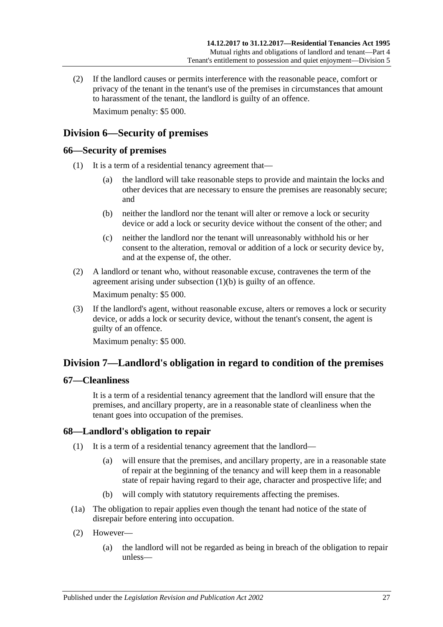(2) If the landlord causes or permits interference with the reasonable peace, comfort or privacy of the tenant in the tenant's use of the premises in circumstances that amount to harassment of the tenant, the landlord is guilty of an offence. Maximum penalty: \$5 000.

# <span id="page-26-0"></span>**Division 6—Security of premises**

# <span id="page-26-1"></span>**66—Security of premises**

- <span id="page-26-5"></span>(1) It is a term of a residential tenancy agreement that—
	- (a) the landlord will take reasonable steps to provide and maintain the locks and other devices that are necessary to ensure the premises are reasonably secure; and
	- (b) neither the landlord nor the tenant will alter or remove a lock or security device or add a lock or security device without the consent of the other; and
	- (c) neither the landlord nor the tenant will unreasonably withhold his or her consent to the alteration, removal or addition of a lock or security device by, and at the expense of, the other.
- (2) A landlord or tenant who, without reasonable excuse, contravenes the term of the agreement arising under [subsection](#page-26-5) (1)(b) is guilty of an offence. Maximum penalty: \$5 000.
- (3) If the landlord's agent, without reasonable excuse, alters or removes a lock or security device, or adds a lock or security device, without the tenant's consent, the agent is guilty of an offence.

Maximum penalty: \$5 000.

# <span id="page-26-2"></span>**Division 7—Landlord's obligation in regard to condition of the premises**

# <span id="page-26-3"></span>**67—Cleanliness**

It is a term of a residential tenancy agreement that the landlord will ensure that the premises, and ancillary property, are in a reasonable state of cleanliness when the tenant goes into occupation of the premises.

## <span id="page-26-6"></span><span id="page-26-4"></span>**68—Landlord's obligation to repair**

- (1) It is a term of a residential tenancy agreement that the landlord—
	- (a) will ensure that the premises, and ancillary property, are in a reasonable state of repair at the beginning of the tenancy and will keep them in a reasonable state of repair having regard to their age, character and prospective life; and
	- (b) will comply with statutory requirements affecting the premises.
- (1a) The obligation to repair applies even though the tenant had notice of the state of disrepair before entering into occupation.
- (2) However—
	- (a) the landlord will not be regarded as being in breach of the obligation to repair unless—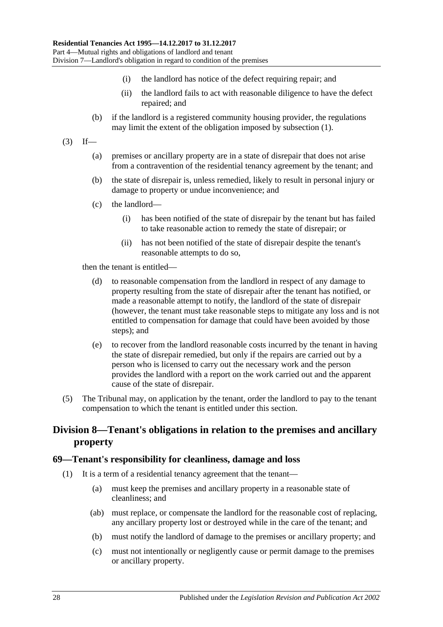- (i) the landlord has notice of the defect requiring repair; and
- (ii) the landlord fails to act with reasonable diligence to have the defect repaired; and
- (b) if the landlord is a registered community housing provider, the regulations may limit the extent of the obligation imposed by [subsection](#page-26-6) (1).
- $(3)$  If—
	- (a) premises or ancillary property are in a state of disrepair that does not arise from a contravention of the residential tenancy agreement by the tenant; and
	- (b) the state of disrepair is, unless remedied, likely to result in personal injury or damage to property or undue inconvenience; and
	- (c) the landlord—
		- (i) has been notified of the state of disrepair by the tenant but has failed to take reasonable action to remedy the state of disrepair; or
		- (ii) has not been notified of the state of disrepair despite the tenant's reasonable attempts to do so,

then the tenant is entitled—

- (d) to reasonable compensation from the landlord in respect of any damage to property resulting from the state of disrepair after the tenant has notified, or made a reasonable attempt to notify, the landlord of the state of disrepair (however, the tenant must take reasonable steps to mitigate any loss and is not entitled to compensation for damage that could have been avoided by those steps); and
- (e) to recover from the landlord reasonable costs incurred by the tenant in having the state of disrepair remedied, but only if the repairs are carried out by a person who is licensed to carry out the necessary work and the person provides the landlord with a report on the work carried out and the apparent cause of the state of disrepair.
- (5) The Tribunal may, on application by the tenant, order the landlord to pay to the tenant compensation to which the tenant is entitled under this section.

# <span id="page-27-0"></span>**Division 8—Tenant's obligations in relation to the premises and ancillary property**

#### <span id="page-27-1"></span>**69—Tenant's responsibility for cleanliness, damage and loss**

- (1) It is a term of a residential tenancy agreement that the tenant—
	- (a) must keep the premises and ancillary property in a reasonable state of cleanliness; and
	- (ab) must replace, or compensate the landlord for the reasonable cost of replacing, any ancillary property lost or destroyed while in the care of the tenant; and
	- (b) must notify the landlord of damage to the premises or ancillary property; and
	- (c) must not intentionally or negligently cause or permit damage to the premises or ancillary property.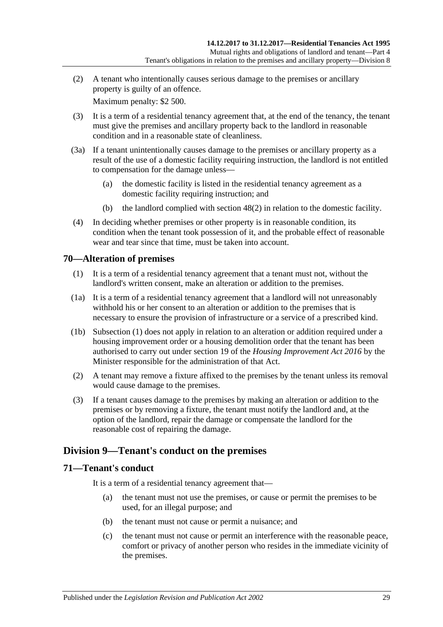(2) A tenant who intentionally causes serious damage to the premises or ancillary property is guilty of an offence.

Maximum penalty: \$2 500.

- (3) It is a term of a residential tenancy agreement that, at the end of the tenancy, the tenant must give the premises and ancillary property back to the landlord in reasonable condition and in a reasonable state of cleanliness.
- <span id="page-28-3"></span>(3a) If a tenant unintentionally causes damage to the premises or ancillary property as a result of the use of a domestic facility requiring instruction, the landlord is not entitled to compensation for the damage unless—
	- (a) the domestic facility is listed in the residential tenancy agreement as a domestic facility requiring instruction; and
	- (b) the landlord complied with [section](#page-15-2) 48(2) in relation to the domestic facility.
- (4) In deciding whether premises or other property is in reasonable condition, its condition when the tenant took possession of it, and the probable effect of reasonable wear and tear since that time, must be taken into account.

# <span id="page-28-4"></span><span id="page-28-0"></span>**70—Alteration of premises**

- (1) It is a term of a residential tenancy agreement that a tenant must not, without the landlord's written consent, make an alteration or addition to the premises.
- (1a) It is a term of a residential tenancy agreement that a landlord will not unreasonably withhold his or her consent to an alteration or addition to the premises that is necessary to ensure the provision of infrastructure or a service of a prescribed kind.
- (1b) [Subsection](#page-28-4) (1) does not apply in relation to an alteration or addition required under a housing improvement order or a housing demolition order that the tenant has been authorised to carry out under section 19 of the *[Housing Improvement Act](http://www.legislation.sa.gov.au/index.aspx?action=legref&type=act&legtitle=Housing%20Improvement%20Act%202016) 2016* by the Minister responsible for the administration of that Act.
- (2) A tenant may remove a fixture affixed to the premises by the tenant unless its removal would cause damage to the premises.
- (3) If a tenant causes damage to the premises by making an alteration or addition to the premises or by removing a fixture, the tenant must notify the landlord and, at the option of the landlord, repair the damage or compensate the landlord for the reasonable cost of repairing the damage.

# <span id="page-28-1"></span>**Division 9—Tenant's conduct on the premises**

## <span id="page-28-2"></span>**71—Tenant's conduct**

It is a term of a residential tenancy agreement that—

- (a) the tenant must not use the premises, or cause or permit the premises to be used, for an illegal purpose; and
- (b) the tenant must not cause or permit a nuisance; and
- (c) the tenant must not cause or permit an interference with the reasonable peace, comfort or privacy of another person who resides in the immediate vicinity of the premises.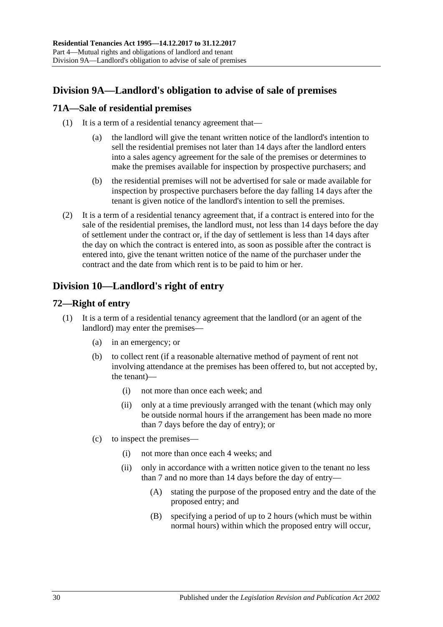# <span id="page-29-0"></span>**Division 9A—Landlord's obligation to advise of sale of premises**

# <span id="page-29-1"></span>**71A—Sale of residential premises**

- (1) It is a term of a residential tenancy agreement that—
	- (a) the landlord will give the tenant written notice of the landlord's intention to sell the residential premises not later than 14 days after the landlord enters into a sales agency agreement for the sale of the premises or determines to make the premises available for inspection by prospective purchasers; and
	- (b) the residential premises will not be advertised for sale or made available for inspection by prospective purchasers before the day falling 14 days after the tenant is given notice of the landlord's intention to sell the premises.
- (2) It is a term of a residential tenancy agreement that, if a contract is entered into for the sale of the residential premises, the landlord must, not less than 14 days before the day of settlement under the contract or, if the day of settlement is less than 14 days after the day on which the contract is entered into, as soon as possible after the contract is entered into, give the tenant written notice of the name of the purchaser under the contract and the date from which rent is to be paid to him or her.

# <span id="page-29-2"></span>**Division 10—Landlord's right of entry**

# <span id="page-29-3"></span>**72—Right of entry**

- <span id="page-29-4"></span>(1) It is a term of a residential tenancy agreement that the landlord (or an agent of the landlord) may enter the premises—
	- (a) in an emergency; or
	- (b) to collect rent (if a reasonable alternative method of payment of rent not involving attendance at the premises has been offered to, but not accepted by, the tenant)—
		- (i) not more than once each week; and
		- (ii) only at a time previously arranged with the tenant (which may only be outside normal hours if the arrangement has been made no more than 7 days before the day of entry); or
	- (c) to inspect the premises—
		- (i) not more than once each 4 weeks; and
		- (ii) only in accordance with a written notice given to the tenant no less than 7 and no more than 14 days before the day of entry—
			- (A) stating the purpose of the proposed entry and the date of the proposed entry; and
			- (B) specifying a period of up to 2 hours (which must be within normal hours) within which the proposed entry will occur,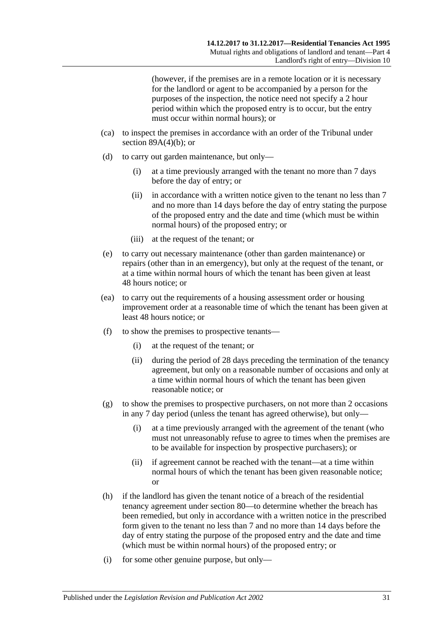(however, if the premises are in a remote location or it is necessary for the landlord or agent to be accompanied by a person for the purposes of the inspection, the notice need not specify a 2 hour period within which the proposed entry is to occur, but the entry must occur within normal hours); or

- (ca) to inspect the premises in accordance with an order of the Tribunal under section  $89A(4)(b)$ ; or
- (d) to carry out garden maintenance, but only—
	- (i) at a time previously arranged with the tenant no more than 7 days before the day of entry; or
	- (ii) in accordance with a written notice given to the tenant no less than 7 and no more than 14 days before the day of entry stating the purpose of the proposed entry and the date and time (which must be within normal hours) of the proposed entry; or
	- (iii) at the request of the tenant; or
- (e) to carry out necessary maintenance (other than garden maintenance) or repairs (other than in an emergency), but only at the request of the tenant, or at a time within normal hours of which the tenant has been given at least 48 hours notice; or
- (ea) to carry out the requirements of a housing assessment order or housing improvement order at a reasonable time of which the tenant has been given at least 48 hours notice; or
- (f) to show the premises to prospective tenants—
	- (i) at the request of the tenant; or
	- (ii) during the period of 28 days preceding the termination of the tenancy agreement, but only on a reasonable number of occasions and only at a time within normal hours of which the tenant has been given reasonable notice; or
- (g) to show the premises to prospective purchasers, on not more than 2 occasions in any 7 day period (unless the tenant has agreed otherwise), but only—
	- (i) at a time previously arranged with the agreement of the tenant (who must not unreasonably refuse to agree to times when the premises are to be available for inspection by prospective purchasers); or
	- (ii) if agreement cannot be reached with the tenant—at a time within normal hours of which the tenant has been given reasonable notice; or
- <span id="page-30-0"></span>(h) if the landlord has given the tenant notice of a breach of the residential tenancy agreement under [section](#page-35-5) 80—to determine whether the breach has been remedied, but only in accordance with a written notice in the prescribed form given to the tenant no less than 7 and no more than 14 days before the day of entry stating the purpose of the proposed entry and the date and time (which must be within normal hours) of the proposed entry; or
- (i) for some other genuine purpose, but only—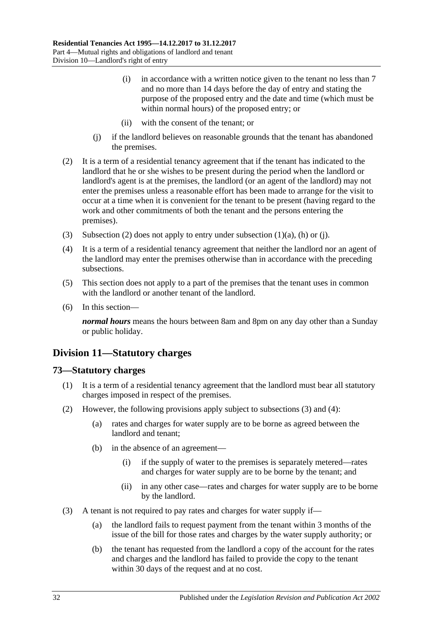- (i) in accordance with a written notice given to the tenant no less than 7 and no more than 14 days before the day of entry and stating the purpose of the proposed entry and the date and time (which must be within normal hours) of the proposed entry; or
- (ii) with the consent of the tenant; or
- (j) if the landlord believes on reasonable grounds that the tenant has abandoned the premises.
- <span id="page-31-3"></span><span id="page-31-2"></span>(2) It is a term of a residential tenancy agreement that if the tenant has indicated to the landlord that he or she wishes to be present during the period when the landlord or landlord's agent is at the premises, the landlord (or an agent of the landlord) may not enter the premises unless a reasonable effort has been made to arrange for the visit to occur at a time when it is convenient for the tenant to be present (having regard to the work and other commitments of both the tenant and the persons entering the premises).
- (3) [Subsection](#page-31-2) (2) does not apply to entry under [subsection](#page-29-4) (1)(a), [\(h\)](#page-30-0) or (i).
- (4) It is a term of a residential tenancy agreement that neither the landlord nor an agent of the landlord may enter the premises otherwise than in accordance with the preceding subsections.
- (5) This section does not apply to a part of the premises that the tenant uses in common with the landlord or another tenant of the landlord.
- (6) In this section—

*normal hours* means the hours between 8am and 8pm on any day other than a Sunday or public holiday.

# <span id="page-31-0"></span>**Division 11—Statutory charges**

#### <span id="page-31-1"></span>**73—Statutory charges**

- (1) It is a term of a residential tenancy agreement that the landlord must bear all statutory charges imposed in respect of the premises.
- <span id="page-31-6"></span><span id="page-31-5"></span>(2) However, the following provisions apply subject to [subsections](#page-31-4) (3) and [\(4\):](#page-32-2)
	- (a) rates and charges for water supply are to be borne as agreed between the landlord and tenant;
	- (b) in the absence of an agreement—
		- (i) if the supply of water to the premises is separately metered—rates and charges for water supply are to be borne by the tenant; and
		- (ii) in any other case—rates and charges for water supply are to be borne by the landlord.
- <span id="page-31-4"></span>(3) A tenant is not required to pay rates and charges for water supply if—
	- (a) the landlord fails to request payment from the tenant within 3 months of the issue of the bill for those rates and charges by the water supply authority; or
	- (b) the tenant has requested from the landlord a copy of the account for the rates and charges and the landlord has failed to provide the copy to the tenant within 30 days of the request and at no cost.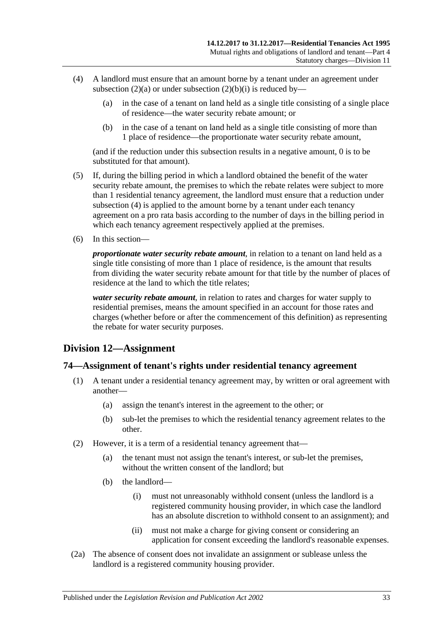- <span id="page-32-2"></span>(4) A landlord must ensure that an amount borne by a tenant under an agreement under [subsection](#page-31-5) (2)(a) or under [subsection](#page-31-6) (2)(b)(i) is reduced by—
	- (a) in the case of a tenant on land held as a single title consisting of a single place of residence—the water security rebate amount; or
	- (b) in the case of a tenant on land held as a single title consisting of more than 1 place of residence—the proportionate water security rebate amount,

(and if the reduction under this subsection results in a negative amount, 0 is to be substituted for that amount).

- (5) If, during the billing period in which a landlord obtained the benefit of the water security rebate amount, the premises to which the rebate relates were subject to more than 1 residential tenancy agreement, the landlord must ensure that a reduction under [subsection](#page-32-2) (4) is applied to the amount borne by a tenant under each tenancy agreement on a pro rata basis according to the number of days in the billing period in which each tenancy agreement respectively applied at the premises.
- (6) In this section—

*proportionate water security rebate amount*, in relation to a tenant on land held as a single title consisting of more than 1 place of residence, is the amount that results from dividing the water security rebate amount for that title by the number of places of residence at the land to which the title relates;

*water security rebate amount*, in relation to rates and charges for water supply to residential premises, means the amount specified in an account for those rates and charges (whether before or after the commencement of this definition) as representing the rebate for water security purposes.

# <span id="page-32-0"></span>**Division 12—Assignment**

#### <span id="page-32-1"></span>**74—Assignment of tenant's rights under residential tenancy agreement**

- (1) A tenant under a residential tenancy agreement may, by written or oral agreement with another—
	- (a) assign the tenant's interest in the agreement to the other; or
	- (b) sub-let the premises to which the residential tenancy agreement relates to the other.
- (2) However, it is a term of a residential tenancy agreement that—
	- (a) the tenant must not assign the tenant's interest, or sub-let the premises, without the written consent of the landlord; but
	- (b) the landlord—
		- (i) must not unreasonably withhold consent (unless the landlord is a registered community housing provider, in which case the landlord has an absolute discretion to withhold consent to an assignment); and
		- (ii) must not make a charge for giving consent or considering an application for consent exceeding the landlord's reasonable expenses.
- (2a) The absence of consent does not invalidate an assignment or sublease unless the landlord is a registered community housing provider.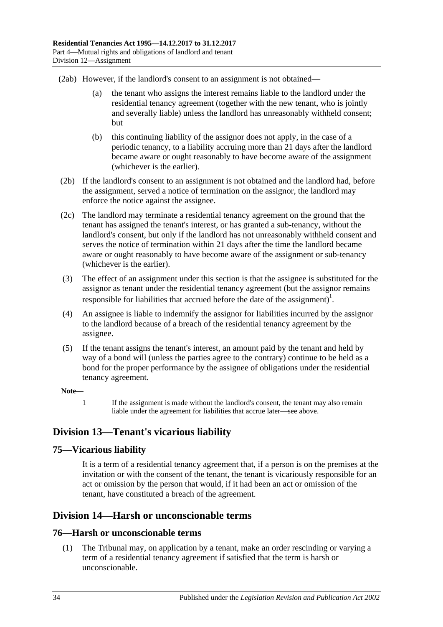(2ab) However, if the landlord's consent to an assignment is not obtained—

- (a) the tenant who assigns the interest remains liable to the landlord under the residential tenancy agreement (together with the new tenant, who is jointly and severally liable) unless the landlord has unreasonably withheld consent; but
- (b) this continuing liability of the assignor does not apply, in the case of a periodic tenancy, to a liability accruing more than 21 days after the landlord became aware or ought reasonably to have become aware of the assignment (whichever is the earlier).
- (2b) If the landlord's consent to an assignment is not obtained and the landlord had, before the assignment, served a notice of termination on the assignor, the landlord may enforce the notice against the assignee.
- (2c) The landlord may terminate a residential tenancy agreement on the ground that the tenant has assigned the tenant's interest, or has granted a sub-tenancy, without the landlord's consent, but only if the landlord has not unreasonably withheld consent and serves the notice of termination within 21 days after the time the landlord became aware or ought reasonably to have become aware of the assignment or sub-tenancy (whichever is the earlier).
- (3) The effect of an assignment under this section is that the assignee is substituted for the assignor as tenant under the residential tenancy agreement (but the assignor remains responsible for liabilities that accrued before the date of the assignment)<sup>1</sup>.
- (4) An assignee is liable to indemnify the assignor for liabilities incurred by the assignor to the landlord because of a breach of the residential tenancy agreement by the assignee.
- (5) If the tenant assigns the tenant's interest, an amount paid by the tenant and held by way of a bond will (unless the parties agree to the contrary) continue to be held as a bond for the proper performance by the assignee of obligations under the residential tenancy agreement.

#### **Note—**

1 If the assignment is made without the landlord's consent, the tenant may also remain liable under the agreement for liabilities that accrue later—see above.

# <span id="page-33-0"></span>**Division 13—Tenant's vicarious liability**

# <span id="page-33-1"></span>**75—Vicarious liability**

It is a term of a residential tenancy agreement that, if a person is on the premises at the invitation or with the consent of the tenant, the tenant is vicariously responsible for an act or omission by the person that would, if it had been an act or omission of the tenant, have constituted a breach of the agreement.

# <span id="page-33-2"></span>**Division 14—Harsh or unconscionable terms**

## <span id="page-33-4"></span><span id="page-33-3"></span>**76—Harsh or unconscionable terms**

(1) The Tribunal may, on application by a tenant, make an order rescinding or varying a term of a residential tenancy agreement if satisfied that the term is harsh or unconscionable.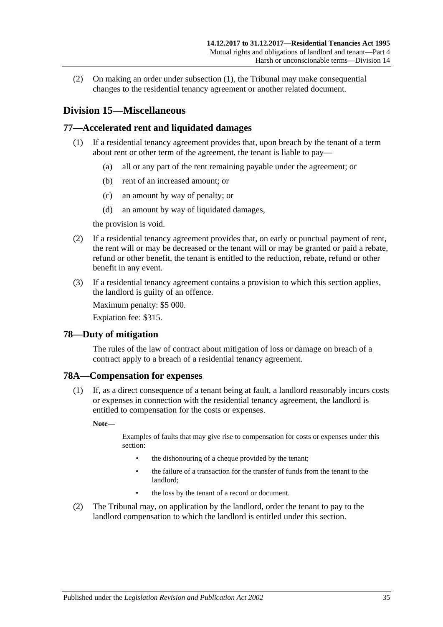(2) On making an order under [subsection](#page-33-4) (1), the Tribunal may make consequential changes to the residential tenancy agreement or another related document.

# <span id="page-34-0"></span>**Division 15—Miscellaneous**

## <span id="page-34-1"></span>**77—Accelerated rent and liquidated damages**

- (1) If a residential tenancy agreement provides that, upon breach by the tenant of a term about rent or other term of the agreement, the tenant is liable to pay—
	- (a) all or any part of the rent remaining payable under the agreement; or
	- (b) rent of an increased amount; or
	- (c) an amount by way of penalty; or
	- (d) an amount by way of liquidated damages,

the provision is void.

- (2) If a residential tenancy agreement provides that, on early or punctual payment of rent, the rent will or may be decreased or the tenant will or may be granted or paid a rebate, refund or other benefit, the tenant is entitled to the reduction, rebate, refund or other benefit in any event.
- (3) If a residential tenancy agreement contains a provision to which this section applies, the landlord is guilty of an offence.

Maximum penalty: \$5 000.

Expiation fee: \$315.

#### <span id="page-34-2"></span>**78—Duty of mitigation**

The rules of the law of contract about mitigation of loss or damage on breach of a contract apply to a breach of a residential tenancy agreement.

## <span id="page-34-3"></span>**78A—Compensation for expenses**

(1) If, as a direct consequence of a tenant being at fault, a landlord reasonably incurs costs or expenses in connection with the residential tenancy agreement, the landlord is entitled to compensation for the costs or expenses.

**Note—**

Examples of faults that may give rise to compensation for costs or expenses under this section:

- the dishonouring of a cheque provided by the tenant;
- the failure of a transaction for the transfer of funds from the tenant to the landlord;
- the loss by the tenant of a record or document.
- (2) The Tribunal may, on application by the landlord, order the tenant to pay to the landlord compensation to which the landlord is entitled under this section.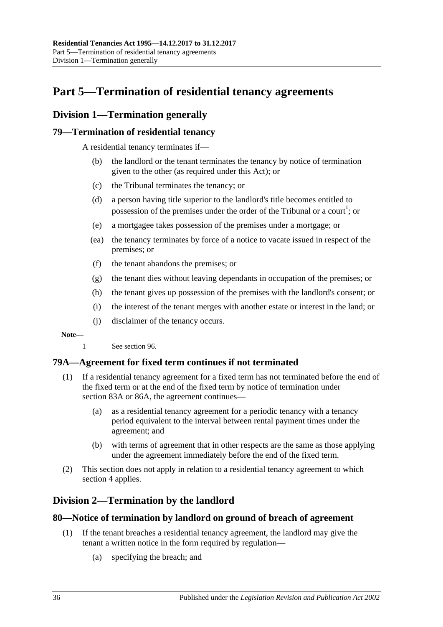# <span id="page-35-0"></span>**Part 5—Termination of residential tenancy agreements**

# <span id="page-35-1"></span>**Division 1—Termination generally**

## <span id="page-35-2"></span>**79—Termination of residential tenancy**

A residential tenancy terminates if—

- (b) the landlord or the tenant terminates the tenancy by notice of termination given to the other (as required under this Act); or
- (c) the Tribunal terminates the tenancy; or
- (d) a person having title superior to the landlord's title becomes entitled to possession of the premises under the order of the Tribunal or a court<sup>1</sup>; or
- (e) a mortgagee takes possession of the premises under a mortgage; or
- (ea) the tenancy terminates by force of a notice to vacate issued in respect of the premises; or
- (f) the tenant abandons the premises; or
- (g) the tenant dies without leaving dependants in occupation of the premises; or
- (h) the tenant gives up possession of the premises with the landlord's consent; or
- (i) the interest of the tenant merges with another estate or interest in the land; or
- (j) disclaimer of the tenancy occurs.

#### **Note—**

1 See [section](#page-48-1) 96.

# <span id="page-35-3"></span>**79A—Agreement for fixed term continues if not terminated**

- (1) If a residential tenancy agreement for a fixed term has not terminated before the end of the fixed term or at the end of the fixed term by notice of termination under [section](#page-38-1) 83A or [86A,](#page-40-2) the agreement continues—
	- (a) as a residential tenancy agreement for a periodic tenancy with a tenancy period equivalent to the interval between rental payment times under the agreement; and
	- (b) with terms of agreement that in other respects are the same as those applying under the agreement immediately before the end of the fixed term.
- (2) This section does not apply in relation to a residential tenancy agreement to which [section](#page-9-0) 4 applies.

# <span id="page-35-4"></span>**Division 2—Termination by the landlord**

## <span id="page-35-5"></span>**80—Notice of termination by landlord on ground of breach of agreement**

- (1) If the tenant breaches a residential tenancy agreement, the landlord may give the tenant a written notice in the form required by regulation—
	- (a) specifying the breach; and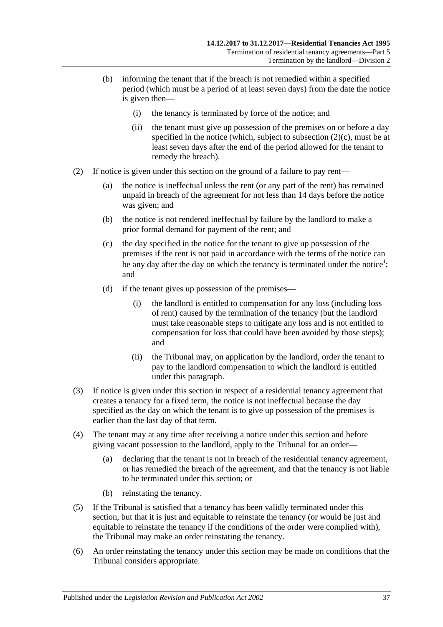- (b) informing the tenant that if the breach is not remedied within a specified period (which must be a period of at least seven days) from the date the notice is given then—
	- (i) the tenancy is terminated by force of the notice; and
	- (ii) the tenant must give up possession of the premises on or before a day specified in the notice (which, subject to [subsection](#page-36-0)  $(2)(c)$ , must be at least seven days after the end of the period allowed for the tenant to remedy the breach).
- <span id="page-36-1"></span><span id="page-36-0"></span>(2) If notice is given under this section on the ground of a failure to pay rent—
	- (a) the notice is ineffectual unless the rent (or any part of the rent) has remained unpaid in breach of the agreement for not less than 14 days before the notice was given; and
	- (b) the notice is not rendered ineffectual by failure by the landlord to make a prior formal demand for payment of the rent; and
	- (c) the day specified in the notice for the tenant to give up possession of the premises if the rent is not paid in accordance with the terms of the notice can be any day after the day on which the tenancy is terminated under the notice<sup>1</sup>; and
	- (d) if the tenant gives up possession of the premises—
		- (i) the landlord is entitled to compensation for any loss (including loss of rent) caused by the termination of the tenancy (but the landlord must take reasonable steps to mitigate any loss and is not entitled to compensation for loss that could have been avoided by those steps); and
		- (ii) the Tribunal may, on application by the landlord, order the tenant to pay to the landlord compensation to which the landlord is entitled under this paragraph.
- (3) If notice is given under this section in respect of a residential tenancy agreement that creates a tenancy for a fixed term, the notice is not ineffectual because the day specified as the day on which the tenant is to give up possession of the premises is earlier than the last day of that term.
- (4) The tenant may at any time after receiving a notice under this section and before giving vacant possession to the landlord, apply to the Tribunal for an order—
	- (a) declaring that the tenant is not in breach of the residential tenancy agreement, or has remedied the breach of the agreement, and that the tenancy is not liable to be terminated under this section; or
	- (b) reinstating the tenancy.
- (5) If the Tribunal is satisfied that a tenancy has been validly terminated under this section, but that it is just and equitable to reinstate the tenancy (or would be just and equitable to reinstate the tenancy if the conditions of the order were complied with), the Tribunal may make an order reinstating the tenancy.
- (6) An order reinstating the tenancy under this section may be made on conditions that the Tribunal considers appropriate.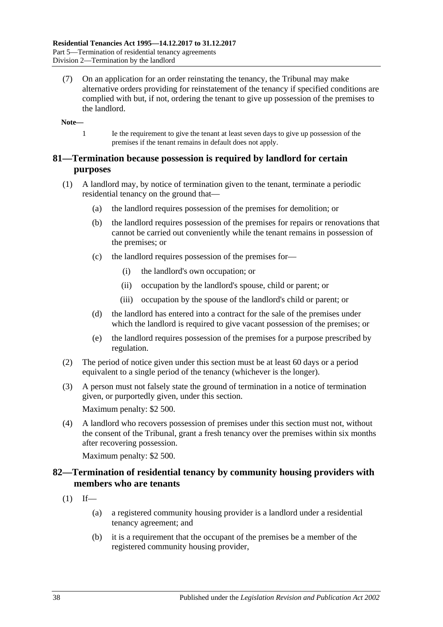(7) On an application for an order reinstating the tenancy, the Tribunal may make alternative orders providing for reinstatement of the tenancy if specified conditions are complied with but, if not, ordering the tenant to give up possession of the premises to the landlord.

**Note—**

1 Ie the requirement to give the tenant at least seven days to give up possession of the premises if the tenant remains in default does not apply.

### **81—Termination because possession is required by landlord for certain purposes**

- (1) A landlord may, by notice of termination given to the tenant, terminate a periodic residential tenancy on the ground that—
	- (a) the landlord requires possession of the premises for demolition; or
	- (b) the landlord requires possession of the premises for repairs or renovations that cannot be carried out conveniently while the tenant remains in possession of the premises; or
	- (c) the landlord requires possession of the premises for—
		- (i) the landlord's own occupation; or
		- (ii) occupation by the landlord's spouse, child or parent; or
		- (iii) occupation by the spouse of the landlord's child or parent; or
	- (d) the landlord has entered into a contract for the sale of the premises under which the landlord is required to give vacant possession of the premises; or
	- (e) the landlord requires possession of the premises for a purpose prescribed by regulation.
- (2) The period of notice given under this section must be at least 60 days or a period equivalent to a single period of the tenancy (whichever is the longer).
- (3) A person must not falsely state the ground of termination in a notice of termination given, or purportedly given, under this section. Maximum penalty: \$2 500.
- (4) A landlord who recovers possession of premises under this section must not, without the consent of the Tribunal, grant a fresh tenancy over the premises within six months after recovering possession.

Maximum penalty: \$2 500.

### **82—Termination of residential tenancy by community housing providers with members who are tenants**

- $(1)$  If—
	- (a) a registered community housing provider is a landlord under a residential tenancy agreement; and
	- (b) it is a requirement that the occupant of the premises be a member of the registered community housing provider,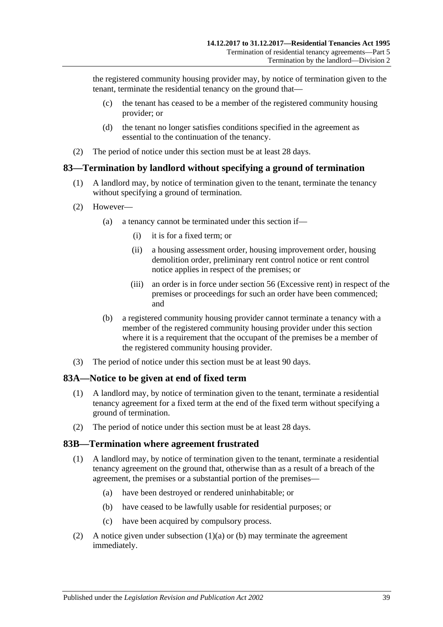the registered community housing provider may, by notice of termination given to the tenant, terminate the residential tenancy on the ground that—

- (c) the tenant has ceased to be a member of the registered community housing provider; or
- (d) the tenant no longer satisfies conditions specified in the agreement as essential to the continuation of the tenancy.
- (2) The period of notice under this section must be at least 28 days.

### **83—Termination by landlord without specifying a ground of termination**

- (1) A landlord may, by notice of termination given to the tenant, terminate the tenancy without specifying a ground of termination.
- (2) However—
	- (a) a tenancy cannot be terminated under this section if—
		- (i) it is for a fixed term; or
		- (ii) a housing assessment order, housing improvement order, housing demolition order, preliminary rent control notice or rent control notice applies in respect of the premises; or
		- (iii) an order is in force under [section](#page-20-0) 56 (Excessive rent) in respect of the premises or proceedings for such an order have been commenced; and
	- (b) a registered community housing provider cannot terminate a tenancy with a member of the registered community housing provider under this section where it is a requirement that the occupant of the premises be a member of the registered community housing provider.
- (3) The period of notice under this section must be at least 90 days.

#### **83A—Notice to be given at end of fixed term**

- (1) A landlord may, by notice of termination given to the tenant, terminate a residential tenancy agreement for a fixed term at the end of the fixed term without specifying a ground of termination.
- (2) The period of notice under this section must be at least 28 days.

#### **83B—Termination where agreement frustrated**

- <span id="page-38-0"></span>(1) A landlord may, by notice of termination given to the tenant, terminate a residential tenancy agreement on the ground that, otherwise than as a result of a breach of the agreement, the premises or a substantial portion of the premises—
	- (a) have been destroyed or rendered uninhabitable; or
	- (b) have ceased to be lawfully usable for residential purposes; or
	- (c) have been acquired by compulsory process.
- <span id="page-38-2"></span><span id="page-38-1"></span>(2) A notice given under [subsection](#page-38-0)  $(1)(a)$  or [\(b\)](#page-38-1) may terminate the agreement immediately.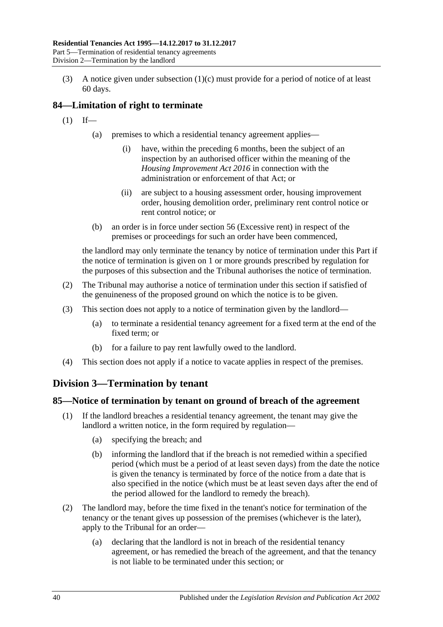(3) A notice given under [subsection](#page-38-2) (1)(c) must provide for a period of notice of at least 60 days.

# **84—Limitation of right to terminate**

- $(1)$  If—
	- (a) premises to which a residential tenancy agreement applies—
		- (i) have, within the preceding 6 months, been the subject of an inspection by an authorised officer within the meaning of the *[Housing Improvement Act](http://www.legislation.sa.gov.au/index.aspx?action=legref&type=act&legtitle=Housing%20Improvement%20Act%202016) 2016* in connection with the administration or enforcement of that Act; or
		- (ii) are subject to a housing assessment order, housing improvement order, housing demolition order, preliminary rent control notice or rent control notice; or
	- (b) an order is in force under [section](#page-20-0) 56 (Excessive rent) in respect of the premises or proceedings for such an order have been commenced,

the landlord may only terminate the tenancy by notice of termination under this Part if the notice of termination is given on 1 or more grounds prescribed by regulation for the purposes of this subsection and the Tribunal authorises the notice of termination.

- (2) The Tribunal may authorise a notice of termination under this section if satisfied of the genuineness of the proposed ground on which the notice is to be given.
- (3) This section does not apply to a notice of termination given by the landlord—
	- (a) to terminate a residential tenancy agreement for a fixed term at the end of the fixed term; or
	- (b) for a failure to pay rent lawfully owed to the landlord.
- (4) This section does not apply if a notice to vacate applies in respect of the premises.

# **Division 3—Termination by tenant**

### <span id="page-39-0"></span>**85—Notice of termination by tenant on ground of breach of the agreement**

- (1) If the landlord breaches a residential tenancy agreement, the tenant may give the landlord a written notice, in the form required by regulation—
	- (a) specifying the breach; and
	- (b) informing the landlord that if the breach is not remedied within a specified period (which must be a period of at least seven days) from the date the notice is given the tenancy is terminated by force of the notice from a date that is also specified in the notice (which must be at least seven days after the end of the period allowed for the landlord to remedy the breach).
- (2) The landlord may, before the time fixed in the tenant's notice for termination of the tenancy or the tenant gives up possession of the premises (whichever is the later), apply to the Tribunal for an order—
	- (a) declaring that the landlord is not in breach of the residential tenancy agreement, or has remedied the breach of the agreement, and that the tenancy is not liable to be terminated under this section; or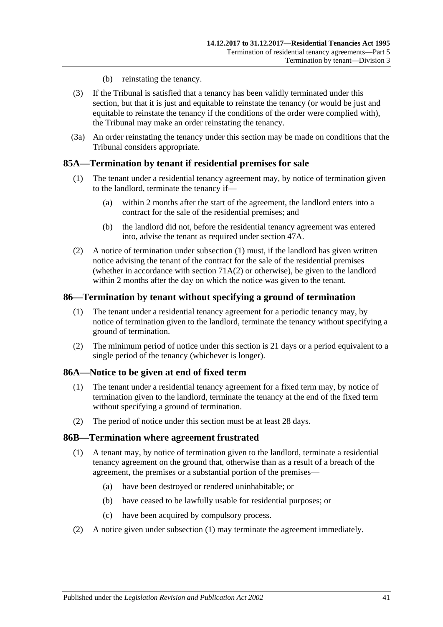- (b) reinstating the tenancy.
- (3) If the Tribunal is satisfied that a tenancy has been validly terminated under this section, but that it is just and equitable to reinstate the tenancy (or would be just and equitable to reinstate the tenancy if the conditions of the order were complied with), the Tribunal may make an order reinstating the tenancy.
- (3a) An order reinstating the tenancy under this section may be made on conditions that the Tribunal considers appropriate.

### <span id="page-40-0"></span>**85A—Termination by tenant if residential premises for sale**

- (1) The tenant under a residential tenancy agreement may, by notice of termination given to the landlord, terminate the tenancy if—
	- (a) within 2 months after the start of the agreement, the landlord enters into a contract for the sale of the residential premises; and
	- (b) the landlord did not, before the residential tenancy agreement was entered into, advise the tenant as required under [section](#page-14-0) 47A.
- (2) A notice of termination under [subsection](#page-40-0) (1) must, if the landlord has given written notice advising the tenant of the contract for the sale of the residential premises (whether in accordance with [section](#page-29-0)  $71A(2)$  or otherwise), be given to the landlord within 2 months after the day on which the notice was given to the tenant.

#### **86—Termination by tenant without specifying a ground of termination**

- (1) The tenant under a residential tenancy agreement for a periodic tenancy may, by notice of termination given to the landlord, terminate the tenancy without specifying a ground of termination.
- (2) The minimum period of notice under this section is 21 days or a period equivalent to a single period of the tenancy (whichever is longer).

#### **86A—Notice to be given at end of fixed term**

- (1) The tenant under a residential tenancy agreement for a fixed term may, by notice of termination given to the landlord, terminate the tenancy at the end of the fixed term without specifying a ground of termination.
- (2) The period of notice under this section must be at least 28 days.

#### <span id="page-40-1"></span>**86B—Termination where agreement frustrated**

- (1) A tenant may, by notice of termination given to the landlord, terminate a residential tenancy agreement on the ground that, otherwise than as a result of a breach of the agreement, the premises or a substantial portion of the premises—
	- (a) have been destroyed or rendered uninhabitable; or
	- (b) have ceased to be lawfully usable for residential purposes; or
	- (c) have been acquired by compulsory process.
- (2) A notice given under [subsection](#page-40-1) (1) may terminate the agreement immediately.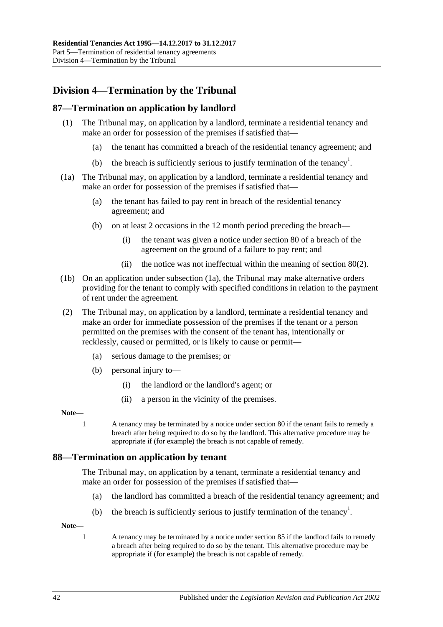# **Division 4—Termination by the Tribunal**

### **87—Termination on application by landlord**

- (1) The Tribunal may, on application by a landlord, terminate a residential tenancy and make an order for possession of the premises if satisfied that—
	- (a) the tenant has committed a breach of the residential tenancy agreement; and
	- (b) the breach is sufficiently serious to justify termination of the tenancy<sup>1</sup>.
- <span id="page-41-0"></span>(1a) The Tribunal may, on application by a landlord, terminate a residential tenancy and make an order for possession of the premises if satisfied that—
	- (a) the tenant has failed to pay rent in breach of the residential tenancy agreement; and
	- (b) on at least 2 occasions in the 12 month period preceding the breach—
		- (i) the tenant was given a notice under [section](#page-35-0) 80 of a breach of the agreement on the ground of a failure to pay rent; and
		- (ii) the notice was not ineffectual within the meaning of [section](#page-36-1) 80(2).
- (1b) On an application under [subsection](#page-41-0) (1a), the Tribunal may make alternative orders providing for the tenant to comply with specified conditions in relation to the payment of rent under the agreement.
- (2) The Tribunal may, on application by a landlord, terminate a residential tenancy and make an order for immediate possession of the premises if the tenant or a person permitted on the premises with the consent of the tenant has, intentionally or recklessly, caused or permitted, or is likely to cause or permit—
	- (a) serious damage to the premises; or
	- (b) personal injury to—
		- (i) the landlord or the landlord's agent; or
		- (ii) a person in the vicinity of the premises.

#### **Note—**

1 A tenancy may be terminated by a notice under [section](#page-35-0) 80 if the tenant fails to remedy a breach after being required to do so by the landlord. This alternative procedure may be appropriate if (for example) the breach is not capable of remedy.

### **88—Termination on application by tenant**

The Tribunal may, on application by a tenant, terminate a residential tenancy and make an order for possession of the premises if satisfied that—

- (a) the landlord has committed a breach of the residential tenancy agreement; and
- (b) the breach is sufficiently serious to justify termination of the tenancy<sup>1</sup>.

**Note—**

1 A tenancy may be terminated by a notice under [section](#page-39-0) 85 if the landlord fails to remedy a breach after being required to do so by the tenant. This alternative procedure may be appropriate if (for example) the breach is not capable of remedy.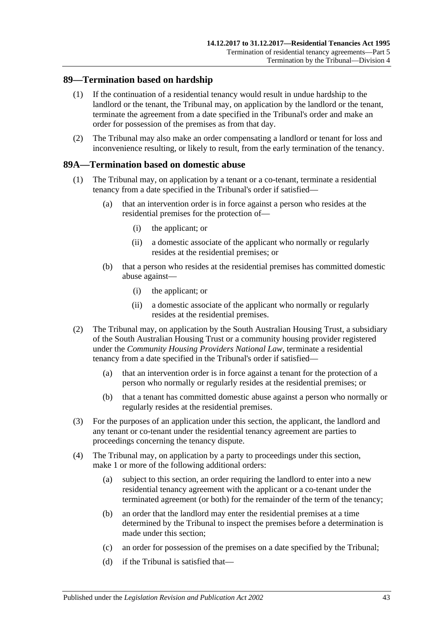### **89—Termination based on hardship**

- (1) If the continuation of a residential tenancy would result in undue hardship to the landlord or the tenant, the Tribunal may, on application by the landlord or the tenant, terminate the agreement from a date specified in the Tribunal's order and make an order for possession of the premises as from that day.
- (2) The Tribunal may also make an order compensating a landlord or tenant for loss and inconvenience resulting, or likely to result, from the early termination of the tenancy.

### <span id="page-42-3"></span>**89A—Termination based on domestic abuse**

- <span id="page-42-1"></span>(1) The Tribunal may, on application by a tenant or a co-tenant, terminate a residential tenancy from a date specified in the Tribunal's order if satisfied—
	- (a) that an intervention order is in force against a person who resides at the residential premises for the protection of—
		- (i) the applicant; or
		- (ii) a domestic associate of the applicant who normally or regularly resides at the residential premises; or
	- (b) that a person who resides at the residential premises has committed domestic abuse against—
		- (i) the applicant; or
		- (ii) a domestic associate of the applicant who normally or regularly resides at the residential premises.
- <span id="page-42-2"></span>(2) The Tribunal may, on application by the South Australian Housing Trust, a subsidiary of the South Australian Housing Trust or a community housing provider registered under the *Community Housing Providers National Law*, terminate a residential tenancy from a date specified in the Tribunal's order if satisfied—
	- (a) that an intervention order is in force against a tenant for the protection of a person who normally or regularly resides at the residential premises; or
	- (b) that a tenant has committed domestic abuse against a person who normally or regularly resides at the residential premises.
- (3) For the purposes of an application under this section, the applicant, the landlord and any tenant or co-tenant under the residential tenancy agreement are parties to proceedings concerning the tenancy dispute.
- <span id="page-42-5"></span><span id="page-42-4"></span><span id="page-42-0"></span>(4) The Tribunal may, on application by a party to proceedings under this section, make 1 or more of the following additional orders:
	- (a) subject to this section, an order requiring the landlord to enter into a new residential tenancy agreement with the applicant or a co-tenant under the terminated agreement (or both) for the remainder of the term of the tenancy;
	- (b) an order that the landlord may enter the residential premises at a time determined by the Tribunal to inspect the premises before a determination is made under this section;
	- (c) an order for possession of the premises on a date specified by the Tribunal;
	- (d) if the Tribunal is satisfied that—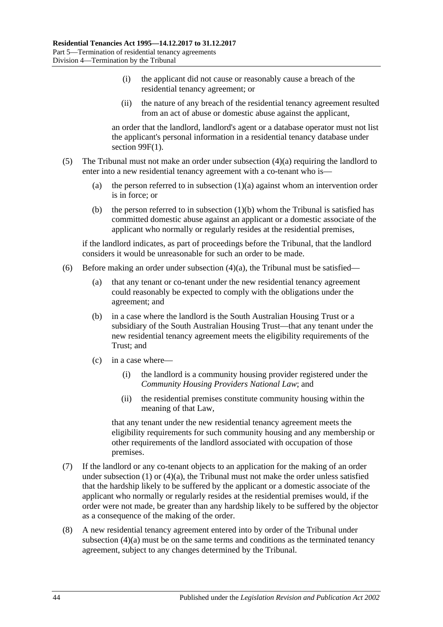- (i) the applicant did not cause or reasonably cause a breach of the residential tenancy agreement; or
- (ii) the nature of any breach of the residential tenancy agreement resulted from an act of abuse or domestic abuse against the applicant,

an order that the landlord, landlord's agent or a database operator must not list the applicant's personal information in a residential tenancy database under section [99F\(1\).](#page-54-0)

- (5) The Tribunal must not make an order under [subsection](#page-42-0) (4)(a) requiring the landlord to enter into a new residential tenancy agreement with a co-tenant who is
	- (a) the person referred to in [subsection](#page-42-1)  $(1)(a)$  against whom an intervention order is in force; or
	- (b) the person referred to in [subsection](#page-42-2)  $(1)(b)$  whom the Tribunal is satisfied has committed domestic abuse against an applicant or a domestic associate of the applicant who normally or regularly resides at the residential premises,

if the landlord indicates, as part of proceedings before the Tribunal, that the landlord considers it would be unreasonable for such an order to be made.

- (6) Before making an order under [subsection](#page-42-0)  $(4)(a)$ , the Tribunal must be satisfied—
	- (a) that any tenant or co-tenant under the new residential tenancy agreement could reasonably be expected to comply with the obligations under the agreement; and
	- (b) in a case where the landlord is the South Australian Housing Trust or a subsidiary of the South Australian Housing Trust—that any tenant under the new residential tenancy agreement meets the eligibility requirements of the Trust; and
	- (c) in a case where—
		- (i) the landlord is a community housing provider registered under the *Community Housing Providers National Law*; and
		- (ii) the residential premises constitute community housing within the meaning of that Law,

that any tenant under the new residential tenancy agreement meets the eligibility requirements for such community housing and any membership or other requirements of the landlord associated with occupation of those premises.

- (7) If the landlord or any co-tenant objects to an application for the making of an order under [subsection](#page-42-3)  $(1)$  or  $(4)(a)$ , the Tribunal must not make the order unless satisfied that the hardship likely to be suffered by the applicant or a domestic associate of the applicant who normally or regularly resides at the residential premises would, if the order were not made, be greater than any hardship likely to be suffered by the objector as a consequence of the making of the order.
- (8) A new residential tenancy agreement entered into by order of the Tribunal under [subsection](#page-42-0) (4)(a) must be on the same terms and conditions as the terminated tenancy agreement, subject to any changes determined by the Tribunal.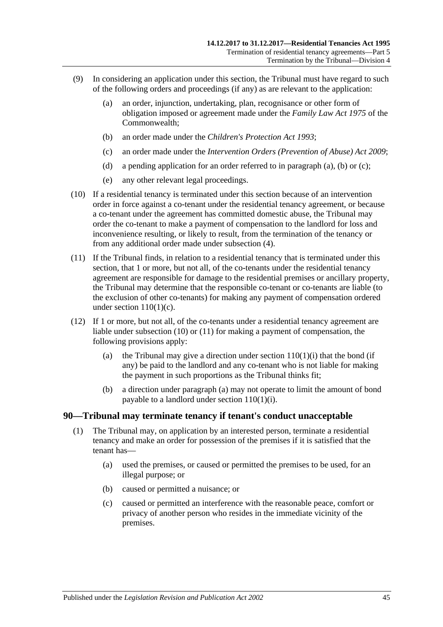- <span id="page-44-1"></span><span id="page-44-0"></span>(9) In considering an application under this section, the Tribunal must have regard to such of the following orders and proceedings (if any) as are relevant to the application:
	- (a) an order, injunction, undertaking, plan, recognisance or other form of obligation imposed or agreement made under the *Family Law Act 1975* of the Commonwealth;
	- (b) an order made under the *[Children's Protection Act](http://www.legislation.sa.gov.au/index.aspx?action=legref&type=act&legtitle=Childrens%20Protection%20Act%201993) 1993*;
	- (c) an order made under the *[Intervention Orders \(Prevention of Abuse\) Act](http://www.legislation.sa.gov.au/index.aspx?action=legref&type=act&legtitle=Intervention%20Orders%20(Prevention%20of%20Abuse)%20Act%202009) 2009*;
	- (d) a pending application for an order referred to in [paragraph](#page-44-0) (a), [\(b\)](#page-44-1) or [\(c\);](#page-44-2)
	- (e) any other relevant legal proceedings.
- <span id="page-44-3"></span><span id="page-44-2"></span>(10) If a residential tenancy is terminated under this section because of an intervention order in force against a co-tenant under the residential tenancy agreement, or because a co-tenant under the agreement has committed domestic abuse, the Tribunal may order the co-tenant to make a payment of compensation to the landlord for loss and inconvenience resulting, or likely to result, from the termination of the tenancy or from any additional order made under [subsection](#page-42-4) (4).
- <span id="page-44-4"></span>(11) If the Tribunal finds, in relation to a residential tenancy that is terminated under this section, that 1 or more, but not all, of the co-tenants under the residential tenancy agreement are responsible for damage to the residential premises or ancillary property, the Tribunal may determine that the responsible co-tenant or co-tenants are liable (to the exclusion of other co-tenants) for making any payment of compensation ordered under section 110(1)(c).
- <span id="page-44-5"></span>(12) If 1 or more, but not all, of the co-tenants under a residential tenancy agreement are liable under [subsection](#page-44-3) (10) or [\(11\)](#page-44-4) for making a payment of compensation, the following provisions apply:
	- (a) the Tribunal may give a direction under section  $110(1)(i)$  that the bond (if any) be paid to the landlord and any co-tenant who is not liable for making the payment in such proportions as the Tribunal thinks fit;
	- (b) a direction under [paragraph](#page-44-5) (a) may not operate to limit the amount of bond payable to a landlord under section [110\(1\)\(i\).](#page-76-0)

#### **90—Tribunal may terminate tenancy if tenant's conduct unacceptable**

- (1) The Tribunal may, on application by an interested person, terminate a residential tenancy and make an order for possession of the premises if it is satisfied that the tenant has—
	- (a) used the premises, or caused or permitted the premises to be used, for an illegal purpose; or
	- (b) caused or permitted a nuisance; or
	- (c) caused or permitted an interference with the reasonable peace, comfort or privacy of another person who resides in the immediate vicinity of the premises.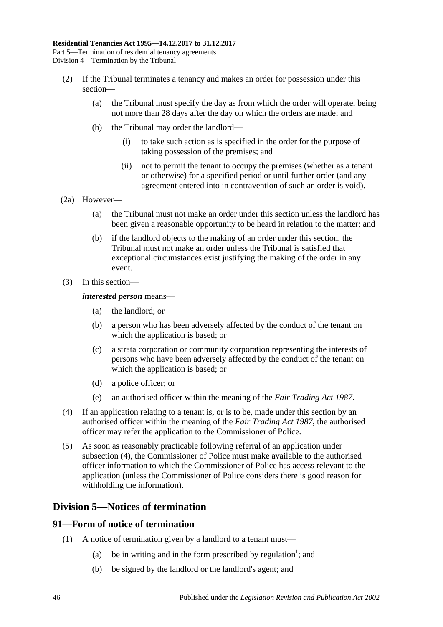- (2) If the Tribunal terminates a tenancy and makes an order for possession under this section—
	- (a) the Tribunal must specify the day as from which the order will operate, being not more than 28 days after the day on which the orders are made; and
	- (b) the Tribunal may order the landlord—
		- (i) to take such action as is specified in the order for the purpose of taking possession of the premises; and
		- (ii) not to permit the tenant to occupy the premises (whether as a tenant or otherwise) for a specified period or until further order (and any agreement entered into in contravention of such an order is void).
- (2a) However—
	- (a) the Tribunal must not make an order under this section unless the landlord has been given a reasonable opportunity to be heard in relation to the matter; and
	- (b) if the landlord objects to the making of an order under this section, the Tribunal must not make an order unless the Tribunal is satisfied that exceptional circumstances exist justifying the making of the order in any event.
- (3) In this section—

#### *interested person* means—

- (a) the landlord; or
- (b) a person who has been adversely affected by the conduct of the tenant on which the application is based; or
- (c) a strata corporation or community corporation representing the interests of persons who have been adversely affected by the conduct of the tenant on which the application is based; or
- (d) a police officer; or
- (e) an authorised officer within the meaning of the *[Fair Trading Act](http://www.legislation.sa.gov.au/index.aspx?action=legref&type=act&legtitle=Fair%20Trading%20Act%201987) 1987*.
- <span id="page-45-0"></span>(4) If an application relating to a tenant is, or is to be, made under this section by an authorised officer within the meaning of the *[Fair Trading Act](http://www.legislation.sa.gov.au/index.aspx?action=legref&type=act&legtitle=Fair%20Trading%20Act%201987) 1987*, the authorised officer may refer the application to the Commissioner of Police.
- (5) As soon as reasonably practicable following referral of an application under [subsection](#page-45-0) (4), the Commissioner of Police must make available to the authorised officer information to which the Commissioner of Police has access relevant to the application (unless the Commissioner of Police considers there is good reason for withholding the information).

### **Division 5—Notices of termination**

#### **91—Form of notice of termination**

- (1) A notice of termination given by a landlord to a tenant must—
	- (a) be in writing and in the form prescribed by regulation<sup>1</sup>; and
	- (b) be signed by the landlord or the landlord's agent; and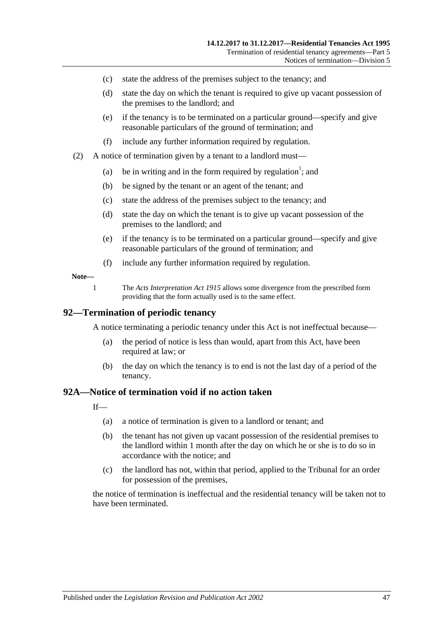- (c) state the address of the premises subject to the tenancy; and
- (d) state the day on which the tenant is required to give up vacant possession of the premises to the landlord; and
- (e) if the tenancy is to be terminated on a particular ground—specify and give reasonable particulars of the ground of termination; and
- (f) include any further information required by regulation.
- (2) A notice of termination given by a tenant to a landlord must—
	- (a) be in writing and in the form required by regulation<sup>1</sup>; and
	- (b) be signed by the tenant or an agent of the tenant; and
	- (c) state the address of the premises subject to the tenancy; and
	- (d) state the day on which the tenant is to give up vacant possession of the premises to the landlord; and
	- (e) if the tenancy is to be terminated on a particular ground—specify and give reasonable particulars of the ground of termination; and
	- (f) include any further information required by regulation.

#### **Note—**

1 The *[Acts Interpretation Act](http://www.legislation.sa.gov.au/index.aspx?action=legref&type=act&legtitle=Acts%20Interpretation%20Act%201915) 1915* allows some divergence from the prescribed form providing that the form actually used is to the same effect.

#### **92—Termination of periodic tenancy**

A notice terminating a periodic tenancy under this Act is not ineffectual because—

- (a) the period of notice is less than would, apart from this Act, have been required at law; or
- (b) the day on which the tenancy is to end is not the last day of a period of the tenancy.

#### <span id="page-46-0"></span>**92A—Notice of termination void if no action taken**

 $If$ <sub>—</sub>

- (a) a notice of termination is given to a landlord or tenant; and
- (b) the tenant has not given up vacant possession of the residential premises to the landlord within 1 month after the day on which he or she is to do so in accordance with the notice; and
- (c) the landlord has not, within that period, applied to the Tribunal for an order for possession of the premises,

the notice of termination is ineffectual and the residential tenancy will be taken not to have been terminated.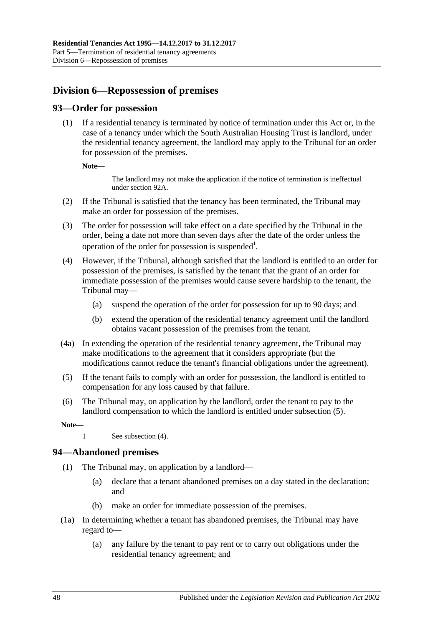# **Division 6—Repossession of premises**

### **93—Order for possession**

(1) If a residential tenancy is terminated by notice of termination under this Act or, in the case of a tenancy under which the South Australian Housing Trust is landlord, under the residential tenancy agreement, the landlord may apply to the Tribunal for an order for possession of the premises.

**Note—**

The landlord may not make the application if the notice of termination is ineffectual unde[r section](#page-46-0) 92A.

- (2) If the Tribunal is satisfied that the tenancy has been terminated, the Tribunal may make an order for possession of the premises.
- (3) The order for possession will take effect on a date specified by the Tribunal in the order, being a date not more than seven days after the date of the order unless the operation of the order for possession is suspended<sup>1</sup>.
- <span id="page-47-1"></span>(4) However, if the Tribunal, although satisfied that the landlord is entitled to an order for possession of the premises, is satisfied by the tenant that the grant of an order for immediate possession of the premises would cause severe hardship to the tenant, the Tribunal may—
	- (a) suspend the operation of the order for possession for up to 90 days; and
	- (b) extend the operation of the residential tenancy agreement until the landlord obtains vacant possession of the premises from the tenant.
- (4a) In extending the operation of the residential tenancy agreement, the Tribunal may make modifications to the agreement that it considers appropriate (but the modifications cannot reduce the tenant's financial obligations under the agreement).
- <span id="page-47-0"></span>(5) If the tenant fails to comply with an order for possession, the landlord is entitled to compensation for any loss caused by that failure.
- (6) The Tribunal may, on application by the landlord, order the tenant to pay to the landlord compensation to which the landlord is entitled under [subsection](#page-47-0) (5).

**Note—**

1 See [subsection](#page-47-1) (4).

### **94—Abandoned premises**

- (1) The Tribunal may, on application by a landlord—
	- (a) declare that a tenant abandoned premises on a day stated in the declaration; and
	- (b) make an order for immediate possession of the premises.
- (1a) In determining whether a tenant has abandoned premises, the Tribunal may have regard to—
	- (a) any failure by the tenant to pay rent or to carry out obligations under the residential tenancy agreement; and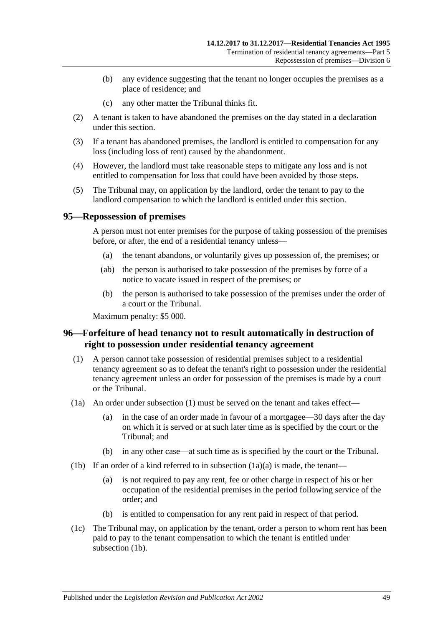- (b) any evidence suggesting that the tenant no longer occupies the premises as a place of residence; and
- (c) any other matter the Tribunal thinks fit.
- (2) A tenant is taken to have abandoned the premises on the day stated in a declaration under this section.
- (3) If a tenant has abandoned premises, the landlord is entitled to compensation for any loss (including loss of rent) caused by the abandonment.
- (4) However, the landlord must take reasonable steps to mitigate any loss and is not entitled to compensation for loss that could have been avoided by those steps.
- (5) The Tribunal may, on application by the landlord, order the tenant to pay to the landlord compensation to which the landlord is entitled under this section.

#### **95—Repossession of premises**

A person must not enter premises for the purpose of taking possession of the premises before, or after, the end of a residential tenancy unless—

- (a) the tenant abandons, or voluntarily gives up possession of, the premises; or
- (ab) the person is authorised to take possession of the premises by force of a notice to vacate issued in respect of the premises; or
- (b) the person is authorised to take possession of the premises under the order of a court or the Tribunal.

Maximum penalty: \$5 000.

### **96—Forfeiture of head tenancy not to result automatically in destruction of right to possession under residential tenancy agreement**

- <span id="page-48-0"></span>(1) A person cannot take possession of residential premises subject to a residential tenancy agreement so as to defeat the tenant's right to possession under the residential tenancy agreement unless an order for possession of the premises is made by a court or the Tribunal.
- <span id="page-48-1"></span>(1a) An order under [subsection](#page-48-0) (1) must be served on the tenant and takes effect—
	- (a) in the case of an order made in favour of a mortgagee—30 days after the day on which it is served or at such later time as is specified by the court or the Tribunal; and
	- (b) in any other case—at such time as is specified by the court or the Tribunal.
- <span id="page-48-2"></span>(1b) If an order of a kind referred to in [subsection](#page-48-1)  $(1a)(a)$  is made, the tenant—
	- (a) is not required to pay any rent, fee or other charge in respect of his or her occupation of the residential premises in the period following service of the order; and
	- (b) is entitled to compensation for any rent paid in respect of that period.
- (1c) The Tribunal may, on application by the tenant, order a person to whom rent has been paid to pay to the tenant compensation to which the tenant is entitled under [subsection](#page-48-2) (1b).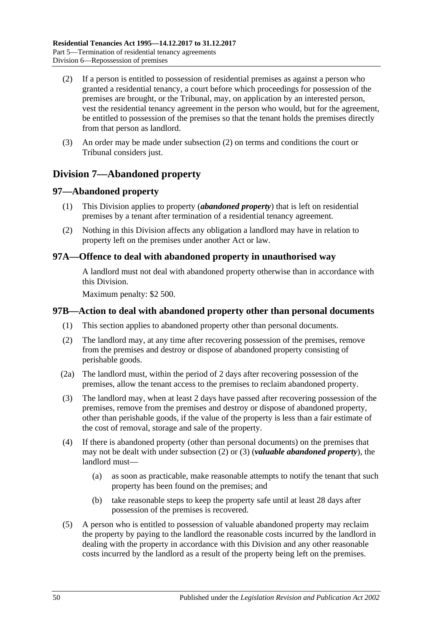- <span id="page-49-0"></span>(2) If a person is entitled to possession of residential premises as against a person who granted a residential tenancy, a court before which proceedings for possession of the premises are brought, or the Tribunal, may, on application by an interested person, vest the residential tenancy agreement in the person who would, but for the agreement, be entitled to possession of the premises so that the tenant holds the premises directly from that person as landlord.
- (3) An order may be made under [subsection](#page-49-0) (2) on terms and conditions the court or Tribunal considers just.

# **Division 7—Abandoned property**

### **97—Abandoned property**

- (1) This Division applies to property (*abandoned property*) that is left on residential premises by a tenant after termination of a residential tenancy agreement.
- (2) Nothing in this Division affects any obligation a landlord may have in relation to property left on the premises under another Act or law.

### **97A—Offence to deal with abandoned property in unauthorised way**

A landlord must not deal with abandoned property otherwise than in accordance with this Division.

Maximum penalty: \$2 500.

### **97B—Action to deal with abandoned property other than personal documents**

- (1) This section applies to abandoned property other than personal documents.
- <span id="page-49-1"></span>(2) The landlord may, at any time after recovering possession of the premises, remove from the premises and destroy or dispose of abandoned property consisting of perishable goods.
- (2a) The landlord must, within the period of 2 days after recovering possession of the premises, allow the tenant access to the premises to reclaim abandoned property.
- <span id="page-49-2"></span>(3) The landlord may, when at least 2 days have passed after recovering possession of the premises, remove from the premises and destroy or dispose of abandoned property, other than perishable goods, if the value of the property is less than a fair estimate of the cost of removal, storage and sale of the property.
- (4) If there is abandoned property (other than personal documents) on the premises that may not be dealt with under [subsection](#page-49-1) (2) or [\(3\)](#page-49-2) (*valuable abandoned property*), the landlord must—
	- (a) as soon as practicable, make reasonable attempts to notify the tenant that such property has been found on the premises; and
	- (b) take reasonable steps to keep the property safe until at least 28 days after possession of the premises is recovered.
- <span id="page-49-3"></span>(5) A person who is entitled to possession of valuable abandoned property may reclaim the property by paying to the landlord the reasonable costs incurred by the landlord in dealing with the property in accordance with this Division and any other reasonable costs incurred by the landlord as a result of the property being left on the premises.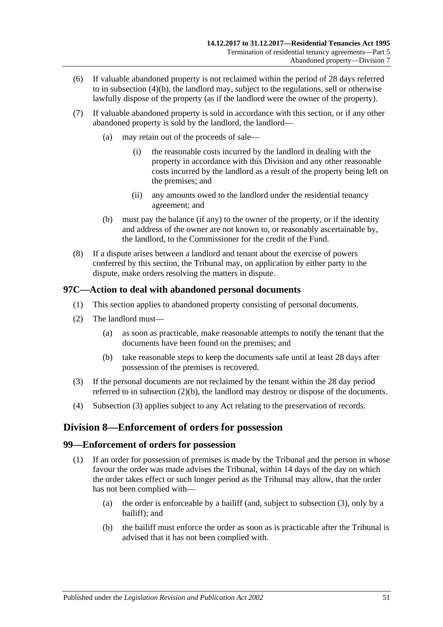- (6) If valuable abandoned property is not reclaimed within the period of 28 days referred to in [subsection](#page-49-3) (4)(b), the landlord may, subject to the regulations, sell or otherwise lawfully dispose of the property (as if the landlord were the owner of the property).
- (7) If valuable abandoned property is sold in accordance with this section, or if any other abandoned property is sold by the landlord, the landlord—
	- (a) may retain out of the proceeds of sale—
		- (i) the reasonable costs incurred by the landlord in dealing with the property in accordance with this Division and any other reasonable costs incurred by the landlord as a result of the property being left on the premises; and
		- (ii) any amounts owed to the landlord under the residential tenancy agreement; and
	- (b) must pay the balance (if any) to the owner of the property, or if the identity and address of the owner are not known to, or reasonably ascertainable by, the landlord, to the Commissioner for the credit of the Fund.
- (8) If a dispute arises between a landlord and tenant about the exercise of powers conferred by this section, the Tribunal may, on application by either party to the dispute, make orders resolving the matters in dispute.

### **97C—Action to deal with abandoned personal documents**

- (1) This section applies to abandoned property consisting of personal documents.
- (2) The landlord must—
	- (a) as soon as practicable, make reasonable attempts to notify the tenant that the documents have been found on the premises; and
	- (b) take reasonable steps to keep the documents safe until at least 28 days after possession of the premises is recovered.
- <span id="page-50-1"></span><span id="page-50-0"></span>(3) If the personal documents are not reclaimed by the tenant within the 28 day period referred to in [subsection](#page-50-0) (2)(b), the landlord may destroy or dispose of the documents.
- (4) [Subsection](#page-50-1) (3) applies subject to any Act relating to the preservation of records.

# **Division 8—Enforcement of orders for possession**

### **99—Enforcement of orders for possession**

- (1) If an order for possession of premises is made by the Tribunal and the person in whose favour the order was made advises the Tribunal, within 14 days of the day on which the order takes effect or such longer period as the Tribunal may allow, that the order has not been complied with—
	- (a) the order is enforceable by a bailiff (and, subject to [subsection](#page-51-0) (3), only by a bailiff); and
	- (b) the bailiff must enforce the order as soon as is practicable after the Tribunal is advised that it has not been complied with.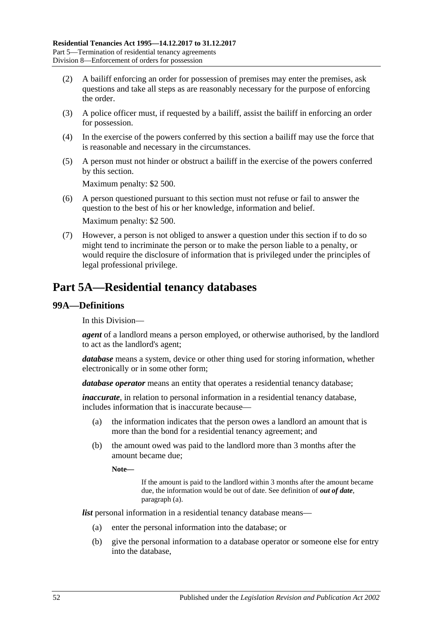- (2) A bailiff enforcing an order for possession of premises may enter the premises, ask questions and take all steps as are reasonably necessary for the purpose of enforcing the order.
- <span id="page-51-0"></span>(3) A police officer must, if requested by a bailiff, assist the bailiff in enforcing an order for possession.
- (4) In the exercise of the powers conferred by this section a bailiff may use the force that is reasonable and necessary in the circumstances.
- (5) A person must not hinder or obstruct a bailiff in the exercise of the powers conferred by this section.

Maximum penalty: \$2 500.

- (6) A person questioned pursuant to this section must not refuse or fail to answer the question to the best of his or her knowledge, information and belief. Maximum penalty: \$2 500.
- (7) However, a person is not obliged to answer a question under this section if to do so might tend to incriminate the person or to make the person liable to a penalty, or would require the disclosure of information that is privileged under the principles of legal professional privilege.

# **Part 5A—Residential tenancy databases**

### **99A—Definitions**

In this Division—

*agent* of a landlord means a person employed, or otherwise authorised, by the landlord to act as the landlord's agent;

*database* means a system, device or other thing used for storing information, whether electronically or in some other form;

*database operator* means an entity that operates a residential tenancy database;

*inaccurate*, in relation to personal information in a residential tenancy database, includes information that is inaccurate because—

- (a) the information indicates that the person owes a landlord an amount that is more than the bond for a residential tenancy agreement; and
- (b) the amount owed was paid to the landlord more than 3 months after the amount became due;

**Note—**

If the amount is paid to the landlord within 3 months after the amount became due, the information would be out of date. See definition of *out of date*, [paragraph](#page-52-0) (a).

*list* personal information in a residential tenancy database means—

- (a) enter the personal information into the database; or
- (b) give the personal information to a database operator or someone else for entry into the database,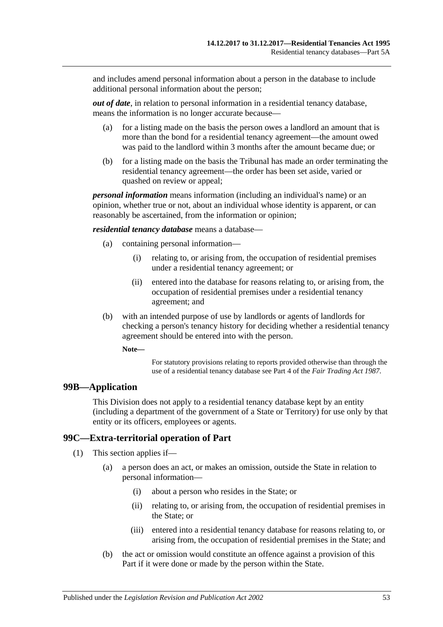and includes amend personal information about a person in the database to include additional personal information about the person;

<span id="page-52-0"></span>*out of date*, in relation to personal information in a residential tenancy database, means the information is no longer accurate because—

- (a) for a listing made on the basis the person owes a landlord an amount that is more than the bond for a residential tenancy agreement—the amount owed was paid to the landlord within 3 months after the amount became due; or
- (b) for a listing made on the basis the Tribunal has made an order terminating the residential tenancy agreement—the order has been set aside, varied or quashed on review or appeal;

*personal information* means information (including an individual's name) or an opinion, whether true or not, about an individual whose identity is apparent, or can reasonably be ascertained, from the information or opinion;

*residential tenancy database* means a database—

- (a) containing personal information—
	- (i) relating to, or arising from, the occupation of residential premises under a residential tenancy agreement; or
	- (ii) entered into the database for reasons relating to, or arising from, the occupation of residential premises under a residential tenancy agreement; and
- (b) with an intended purpose of use by landlords or agents of landlords for checking a person's tenancy history for deciding whether a residential tenancy agreement should be entered into with the person.

**Note—**

For statutory provisions relating to reports provided otherwise than through the use of a residential tenancy database see Part 4 of the *[Fair Trading Act](http://www.legislation.sa.gov.au/index.aspx?action=legref&type=act&legtitle=Fair%20Trading%20Act%201987) 1987*.

#### **99B—Application**

This Division does not apply to a residential tenancy database kept by an entity (including a department of the government of a State or Territory) for use only by that entity or its officers, employees or agents.

### **99C—Extra-territorial operation of Part**

(1) This section applies if—

- (a) a person does an act, or makes an omission, outside the State in relation to personal information—
	- (i) about a person who resides in the State; or
	- (ii) relating to, or arising from, the occupation of residential premises in the State; or
	- (iii) entered into a residential tenancy database for reasons relating to, or arising from, the occupation of residential premises in the State; and
- <span id="page-52-1"></span>(b) the act or omission would constitute an offence against a provision of this Part if it were done or made by the person within the State.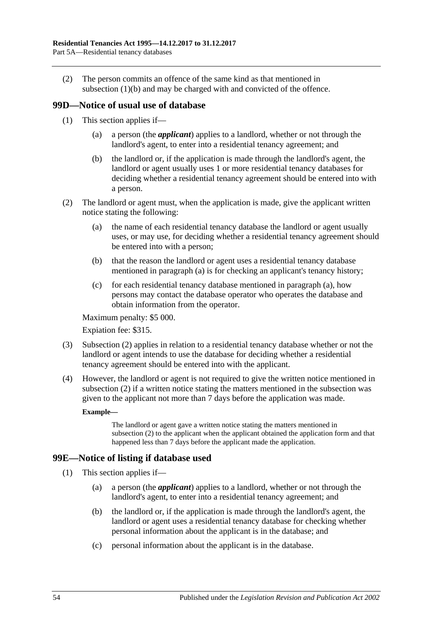(2) The person commits an offence of the same kind as that mentioned in [subsection](#page-52-1) (1)(b) and may be charged with and convicted of the offence.

### **99D—Notice of usual use of database**

- (1) This section applies if—
	- (a) a person (the *applicant*) applies to a landlord, whether or not through the landlord's agent, to enter into a residential tenancy agreement; and
	- (b) the landlord or, if the application is made through the landlord's agent, the landlord or agent usually uses 1 or more residential tenancy databases for deciding whether a residential tenancy agreement should be entered into with a person.
- <span id="page-53-1"></span><span id="page-53-0"></span>(2) The landlord or agent must, when the application is made, give the applicant written notice stating the following:
	- (a) the name of each residential tenancy database the landlord or agent usually uses, or may use, for deciding whether a residential tenancy agreement should be entered into with a person;
	- (b) that the reason the landlord or agent uses a residential tenancy database mentioned in [paragraph](#page-53-0) (a) is for checking an applicant's tenancy history;
	- (c) for each residential tenancy database mentioned in [paragraph](#page-53-0) (a), how persons may contact the database operator who operates the database and obtain information from the operator.

Maximum penalty: \$5 000.

Expiation fee: \$315.

- (3) [Subsection](#page-53-1) (2) applies in relation to a residential tenancy database whether or not the landlord or agent intends to use the database for deciding whether a residential tenancy agreement should be entered into with the applicant.
- (4) However, the landlord or agent is not required to give the written notice mentioned in [subsection](#page-53-1) (2) if a written notice stating the matters mentioned in the subsection was given to the applicant not more than 7 days before the application was made.

#### **Example—**

The landlord or agent gave a written notice stating the matters mentioned in [subsection](#page-53-1) (2) to the applicant when the applicant obtained the application form and that happened less than 7 days before the applicant made the application.

### **99E—Notice of listing if database used**

- (1) This section applies if—
	- (a) a person (the *applicant*) applies to a landlord, whether or not through the landlord's agent, to enter into a residential tenancy agreement; and
	- (b) the landlord or, if the application is made through the landlord's agent, the landlord or agent uses a residential tenancy database for checking whether personal information about the applicant is in the database; and
	- (c) personal information about the applicant is in the database.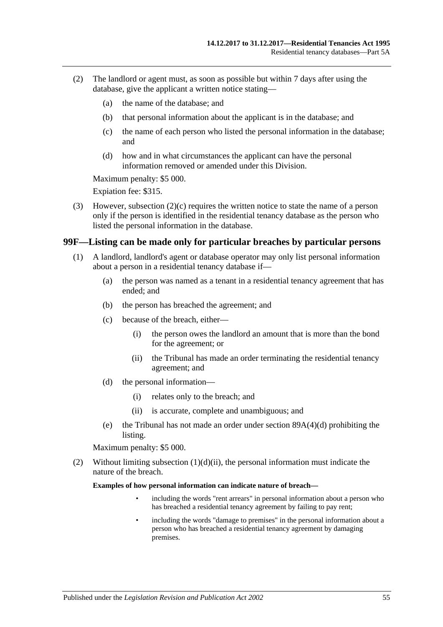- <span id="page-54-1"></span>(2) The landlord or agent must, as soon as possible but within 7 days after using the database, give the applicant a written notice stating—
	- (a) the name of the database; and
	- (b) that personal information about the applicant is in the database; and
	- (c) the name of each person who listed the personal information in the database; and
	- (d) how and in what circumstances the applicant can have the personal information removed or amended under this Division.

Maximum penalty: \$5 000.

Expiation fee: \$315.

(3) However, [subsection](#page-54-1) (2)(c) requires the written notice to state the name of a person only if the person is identified in the residential tenancy database as the person who listed the personal information in the database.

#### <span id="page-54-0"></span>**99F—Listing can be made only for particular breaches by particular persons**

- (1) A landlord, landlord's agent or database operator may only list personal information about a person in a residential tenancy database if—
	- (a) the person was named as a tenant in a residential tenancy agreement that has ended; and
	- (b) the person has breached the agreement; and
	- (c) because of the breach, either—
		- (i) the person owes the landlord an amount that is more than the bond for the agreement; or
		- (ii) the Tribunal has made an order terminating the residential tenancy agreement; and
	- (d) the personal information—
		- (i) relates only to the breach; and
		- (ii) is accurate, complete and unambiguous; and
	- (e) the Tribunal has not made an order under section [89A\(4\)\(d\)](#page-42-5) prohibiting the listing.

<span id="page-54-2"></span>Maximum penalty: \$5 000.

(2) Without limiting [subsection](#page-54-2)  $(1)(d)(ii)$ , the personal information must indicate the nature of the breach.

**Examples of how personal information can indicate nature of breach—**

- including the words "rent arrears" in personal information about a person who has breached a residential tenancy agreement by failing to pay rent;
- including the words "damage to premises" in the personal information about a person who has breached a residential tenancy agreement by damaging premises.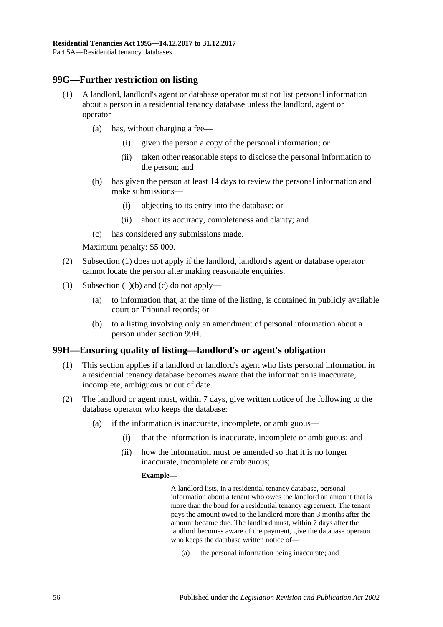### <span id="page-55-0"></span>**99G—Further restriction on listing**

- (1) A landlord, landlord's agent or database operator must not list personal information about a person in a residential tenancy database unless the landlord, agent or operator—
	- (a) has, without charging a fee—
		- (i) given the person a copy of the personal information; or
		- (ii) taken other reasonable steps to disclose the personal information to the person; and
	- (b) has given the person at least 14 days to review the personal information and make submissions—
		- (i) objecting to its entry into the database; or
		- (ii) about its accuracy, completeness and clarity; and
	- (c) has considered any submissions made.

<span id="page-55-1"></span>Maximum penalty: \$5 000.

- <span id="page-55-2"></span>(2) [Subsection](#page-55-0) (1) does not apply if the landlord, landlord's agent or database operator cannot locate the person after making reasonable enquiries.
- (3) [Subsection](#page-55-1) (1)(b) and [\(c\)](#page-55-2) do not apply—
	- (a) to information that, at the time of the listing, is contained in publicly available court or Tribunal records; or
	- (b) to a listing involving only an amendment of personal information about a person under [section](#page-55-3) 99H.

#### <span id="page-55-3"></span>**99H—Ensuring quality of listing—landlord's or agent's obligation**

- (1) This section applies if a landlord or landlord's agent who lists personal information in a residential tenancy database becomes aware that the information is inaccurate, incomplete, ambiguous or out of date.
- <span id="page-55-4"></span>(2) The landlord or agent must, within 7 days, give written notice of the following to the database operator who keeps the database:
	- (a) if the information is inaccurate, incomplete, or ambiguous—
		- (i) that the information is inaccurate, incomplete or ambiguous; and
		- (ii) how the information must be amended so that it is no longer inaccurate, incomplete or ambiguous;

#### **Example—**

A landlord lists, in a residential tenancy database, personal information about a tenant who owes the landlord an amount that is more than the bond for a residential tenancy agreement. The tenant pays the amount owed to the landlord more than 3 months after the amount became due. The landlord must, within 7 days after the landlord becomes aware of the payment, give the database operator who keeps the database written notice of—

(a) the personal information being inaccurate; and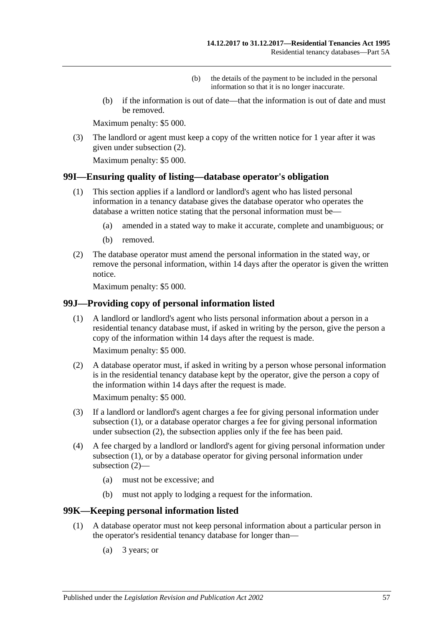- (b) the details of the payment to be included in the personal information so that it is no longer inaccurate.
- (b) if the information is out of date—that the information is out of date and must be removed.

Maximum penalty: \$5 000.

(3) The landlord or agent must keep a copy of the written notice for 1 year after it was given under [subsection](#page-55-4) (2).

Maximum penalty: \$5 000.

#### **99I—Ensuring quality of listing—database operator's obligation**

- (1) This section applies if a landlord or landlord's agent who has listed personal information in a tenancy database gives the database operator who operates the database a written notice stating that the personal information must be—
	- (a) amended in a stated way to make it accurate, complete and unambiguous; or
	- (b) removed.
- (2) The database operator must amend the personal information in the stated way, or remove the personal information, within 14 days after the operator is given the written notice.

Maximum penalty: \$5 000.

#### <span id="page-56-0"></span>**99J—Providing copy of personal information listed**

(1) A landlord or landlord's agent who lists personal information about a person in a residential tenancy database must, if asked in writing by the person, give the person a copy of the information within 14 days after the request is made.

Maximum penalty: \$5 000.

<span id="page-56-1"></span>(2) A database operator must, if asked in writing by a person whose personal information is in the residential tenancy database kept by the operator, give the person a copy of the information within 14 days after the request is made.

Maximum penalty: \$5 000.

- (3) If a landlord or landlord's agent charges a fee for giving personal information under [subsection](#page-56-0) (1), or a database operator charges a fee for giving personal information under [subsection](#page-56-1) (2), the subsection applies only if the fee has been paid.
- (4) A fee charged by a landlord or landlord's agent for giving personal information under [subsection](#page-56-0) (1), or by a database operator for giving personal information under [subsection](#page-56-1) (2)—
	- (a) must not be excessive; and
	- (b) must not apply to lodging a request for the information.

#### <span id="page-56-3"></span>**99K—Keeping personal information listed**

- <span id="page-56-2"></span>(1) A database operator must not keep personal information about a particular person in the operator's residential tenancy database for longer than—
	- (a) 3 years; or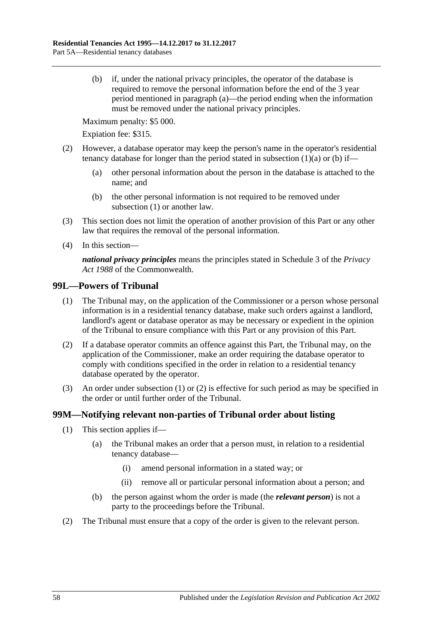<span id="page-57-0"></span>(b) if, under the national privacy principles, the operator of the database is required to remove the personal information before the end of the 3 year period mentioned in [paragraph](#page-56-2) (a)—the period ending when the information must be removed under the national privacy principles.

Maximum penalty: \$5 000.

Expiation fee: \$315.

- (2) However, a database operator may keep the person's name in the operator's residential tenancy database for longer than the period stated in [subsection](#page-56-2)  $(1)(a)$  or  $(b)$  if—
	- (a) other personal information about the person in the database is attached to the name; and
	- (b) the other personal information is not required to be removed under [subsection](#page-56-3) (1) or another law.
- (3) This section does not limit the operation of another provision of this Part or any other law that requires the removal of the personal information.
- (4) In this section—

*national privacy principles* means the principles stated in Schedule 3 of the *Privacy Act 1988* of the Commonwealth.

#### <span id="page-57-1"></span>**99L—Powers of Tribunal**

- (1) The Tribunal may, on the application of the Commissioner or a person whose personal information is in a residential tenancy database, make such orders against a landlord, landlord's agent or database operator as may be necessary or expedient in the opinion of the Tribunal to ensure compliance with this Part or any provision of this Part.
- <span id="page-57-2"></span>(2) If a database operator commits an offence against this Part, the Tribunal may, on the application of the Commissioner, make an order requiring the database operator to comply with conditions specified in the order in relation to a residential tenancy database operated by the operator.
- (3) An order under [subsection](#page-57-1) (1) or [\(2\)](#page-57-2) is effective for such period as may be specified in the order or until further order of the Tribunal.

### **99M—Notifying relevant non-parties of Tribunal order about listing**

- (1) This section applies if—
	- (a) the Tribunal makes an order that a person must, in relation to a residential tenancy database—
		- (i) amend personal information in a stated way; or
		- (ii) remove all or particular personal information about a person; and
	- (b) the person against whom the order is made (the *relevant person*) is not a party to the proceedings before the Tribunal.
- (2) The Tribunal must ensure that a copy of the order is given to the relevant person.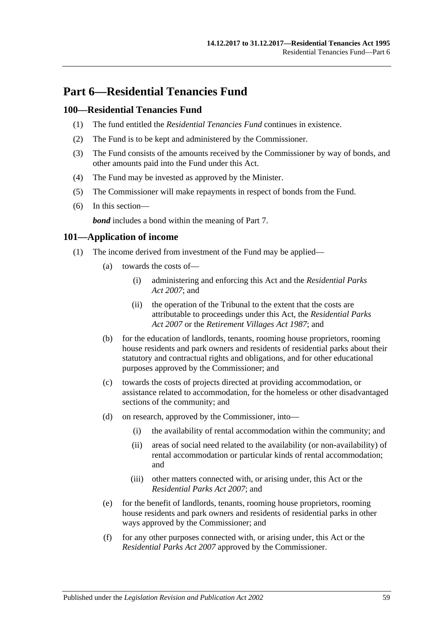# **Part 6—Residential Tenancies Fund**

### **100—Residential Tenancies Fund**

- (1) The fund entitled the *Residential Tenancies Fund* continues in existence.
- (2) The Fund is to be kept and administered by the Commissioner.
- (3) The Fund consists of the amounts received by the Commissioner by way of bonds, and other amounts paid into the Fund under this Act.
- (4) The Fund may be invested as approved by the Minister.
- (5) The Commissioner will make repayments in respect of bonds from the Fund.
- (6) In this section—

*bond* includes a bond within the meaning of [Part 7.](#page-59-0)

### **101—Application of income**

- (1) The income derived from investment of the Fund may be applied—
	- (a) towards the costs of—
		- (i) administering and enforcing this Act and the *[Residential Parks](http://www.legislation.sa.gov.au/index.aspx?action=legref&type=act&legtitle=Residential%20Parks%20Act%202007)  Act [2007](http://www.legislation.sa.gov.au/index.aspx?action=legref&type=act&legtitle=Residential%20Parks%20Act%202007)*; and
		- (ii) the operation of the Tribunal to the extent that the costs are attributable to proceedings under this Act, the *[Residential Parks](http://www.legislation.sa.gov.au/index.aspx?action=legref&type=act&legtitle=Residential%20Parks%20Act%202007)  Act [2007](http://www.legislation.sa.gov.au/index.aspx?action=legref&type=act&legtitle=Residential%20Parks%20Act%202007)* or the *[Retirement Villages Act](http://www.legislation.sa.gov.au/index.aspx?action=legref&type=act&legtitle=Retirement%20Villages%20Act%201987) 1987*; and
	- (b) for the education of landlords, tenants, rooming house proprietors, rooming house residents and park owners and residents of residential parks about their statutory and contractual rights and obligations, and for other educational purposes approved by the Commissioner; and
	- (c) towards the costs of projects directed at providing accommodation, or assistance related to accommodation, for the homeless or other disadvantaged sections of the community; and
	- (d) on research, approved by the Commissioner, into—
		- (i) the availability of rental accommodation within the community; and
		- (ii) areas of social need related to the availability (or non-availability) of rental accommodation or particular kinds of rental accommodation; and
		- (iii) other matters connected with, or arising under, this Act or the *[Residential Parks Act](http://www.legislation.sa.gov.au/index.aspx?action=legref&type=act&legtitle=Residential%20Parks%20Act%202007) 2007*; and
	- (e) for the benefit of landlords, tenants, rooming house proprietors, rooming house residents and park owners and residents of residential parks in other ways approved by the Commissioner; and
	- (f) for any other purposes connected with, or arising under, this Act or the *[Residential Parks Act](http://www.legislation.sa.gov.au/index.aspx?action=legref&type=act&legtitle=Residential%20Parks%20Act%202007) 2007* approved by the Commissioner.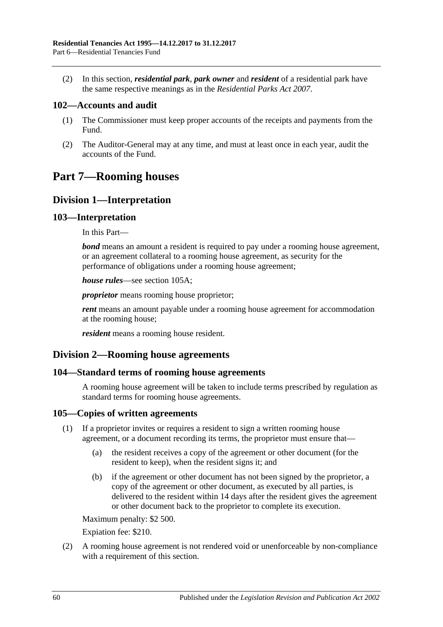(2) In this section, *residential park*, *park owner* and *resident* of a residential park have the same respective meanings as in the *[Residential Parks Act](http://www.legislation.sa.gov.au/index.aspx?action=legref&type=act&legtitle=Residential%20Parks%20Act%202007) 2007*.

### **102—Accounts and audit**

- (1) The Commissioner must keep proper accounts of the receipts and payments from the Fund.
- (2) The Auditor-General may at any time, and must at least once in each year, audit the accounts of the Fund.

# <span id="page-59-0"></span>**Part 7—Rooming houses**

### **Division 1—Interpretation**

#### **103—Interpretation**

In this Part—

*bond* means an amount a resident is required to pay under a rooming house agreement, or an agreement collateral to a rooming house agreement, as security for the performance of obligations under a rooming house agreement;

*house rules*—see [section](#page-60-0) 105A;

*proprietor* means rooming house proprietor;

*rent* means an amount payable under a rooming house agreement for accommodation at the rooming house;

*resident* means a rooming house resident.

### **Division 2—Rooming house agreements**

### **104—Standard terms of rooming house agreements**

A rooming house agreement will be taken to include terms prescribed by regulation as standard terms for rooming house agreements.

#### **105—Copies of written agreements**

- (1) If a proprietor invites or requires a resident to sign a written rooming house agreement, or a document recording its terms, the proprietor must ensure that—
	- (a) the resident receives a copy of the agreement or other document (for the resident to keep), when the resident signs it; and
	- (b) if the agreement or other document has not been signed by the proprietor, a copy of the agreement or other document, as executed by all parties, is delivered to the resident within 14 days after the resident gives the agreement or other document back to the proprietor to complete its execution.

Maximum penalty: \$2 500.

Expiation fee: \$210.

(2) A rooming house agreement is not rendered void or unenforceable by non-compliance with a requirement of this section.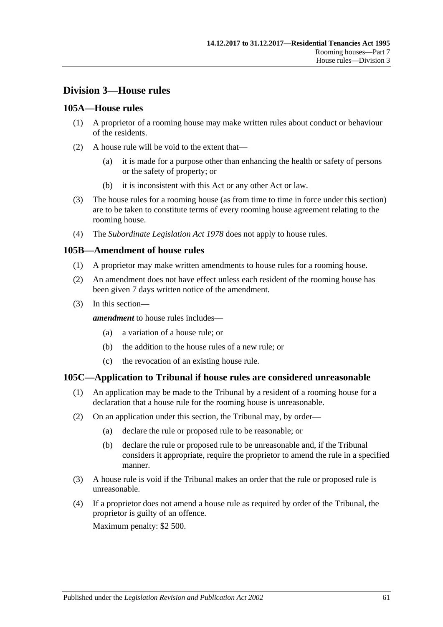# **Division 3—House rules**

### <span id="page-60-0"></span>**105A—House rules**

- (1) A proprietor of a rooming house may make written rules about conduct or behaviour of the residents.
- (2) A house rule will be void to the extent that—
	- (a) it is made for a purpose other than enhancing the health or safety of persons or the safety of property; or
	- (b) it is inconsistent with this Act or any other Act or law.
- (3) The house rules for a rooming house (as from time to time in force under this section) are to be taken to constitute terms of every rooming house agreement relating to the rooming house.
- (4) The *[Subordinate Legislation Act](http://www.legislation.sa.gov.au/index.aspx?action=legref&type=act&legtitle=Subordinate%20Legislation%20Act%201978) 1978* does not apply to house rules.

#### **105B—Amendment of house rules**

- (1) A proprietor may make written amendments to house rules for a rooming house.
- (2) An amendment does not have effect unless each resident of the rooming house has been given 7 days written notice of the amendment.
- (3) In this section—

*amendment* to house rules includes—

- (a) a variation of a house rule; or
- (b) the addition to the house rules of a new rule; or
- (c) the revocation of an existing house rule.

#### **105C—Application to Tribunal if house rules are considered unreasonable**

- (1) An application may be made to the Tribunal by a resident of a rooming house for a declaration that a house rule for the rooming house is unreasonable.
- (2) On an application under this section, the Tribunal may, by order—
	- (a) declare the rule or proposed rule to be reasonable; or
	- (b) declare the rule or proposed rule to be unreasonable and, if the Tribunal considers it appropriate, require the proprietor to amend the rule in a specified manner.
- (3) A house rule is void if the Tribunal makes an order that the rule or proposed rule is unreasonable.
- (4) If a proprietor does not amend a house rule as required by order of the Tribunal, the proprietor is guilty of an offence.

Maximum penalty: \$2 500.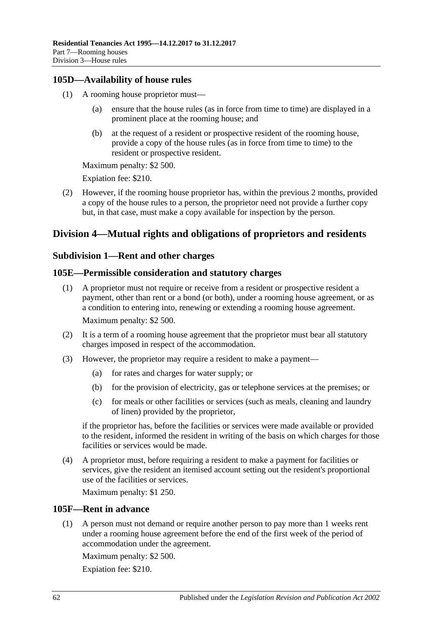### **105D—Availability of house rules**

- (1) A rooming house proprietor must
	- ensure that the house rules (as in force from time to time) are displayed in a prominent place at the rooming house; and
	- (b) at the request of a resident or prospective resident of the rooming house, provide a copy of the house rules (as in force from time to time) to the resident or prospective resident.

Maximum penalty: \$2 500.

Expiation fee: \$210.

(2) However, if the rooming house proprietor has, within the previous 2 months, provided a copy of the house rules to a person, the proprietor need not provide a further copy but, in that case, must make a copy available for inspection by the person.

# **Division 4—Mutual rights and obligations of proprietors and residents**

### **Subdivision 1—Rent and other charges**

### **105E—Permissible consideration and statutory charges**

- (1) A proprietor must not require or receive from a resident or prospective resident a payment, other than rent or a bond (or both), under a rooming house agreement, or as a condition to entering into, renewing or extending a rooming house agreement. Maximum penalty: \$2 500.
- (2) It is a term of a rooming house agreement that the proprietor must bear all statutory charges imposed in respect of the accommodation.
- (3) However, the proprietor may require a resident to make a payment—
	- (a) for rates and charges for water supply; or
	- (b) for the provision of electricity, gas or telephone services at the premises; or
	- (c) for meals or other facilities or services (such as meals, cleaning and laundry of linen) provided by the proprietor,

if the proprietor has, before the facilities or services were made available or provided to the resident, informed the resident in writing of the basis on which charges for those facilities or services would be made.

(4) A proprietor must, before requiring a resident to make a payment for facilities or services, give the resident an itemised account setting out the resident's proportional use of the facilities or services.

Maximum penalty: \$1 250.

### **105F—Rent in advance**

(1) A person must not demand or require another person to pay more than 1 weeks rent under a rooming house agreement before the end of the first week of the period of accommodation under the agreement.

Maximum penalty: \$2 500.

Expiation fee: \$210.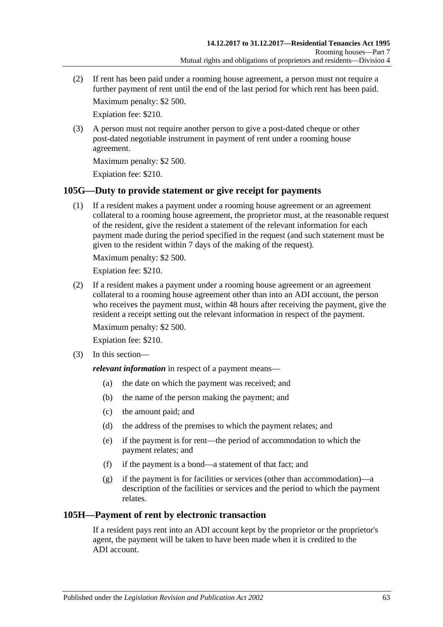(2) If rent has been paid under a rooming house agreement, a person must not require a further payment of rent until the end of the last period for which rent has been paid.

Maximum penalty: \$2 500.

Expiation fee: \$210.

(3) A person must not require another person to give a post-dated cheque or other post-dated negotiable instrument in payment of rent under a rooming house agreement.

Maximum penalty: \$2 500.

Expiation fee: \$210.

### **105G—Duty to provide statement or give receipt for payments**

(1) If a resident makes a payment under a rooming house agreement or an agreement collateral to a rooming house agreement, the proprietor must, at the reasonable request of the resident, give the resident a statement of the relevant information for each payment made during the period specified in the request (and such statement must be given to the resident within 7 days of the making of the request).

Maximum penalty: \$2 500.

Expiation fee: \$210.

(2) If a resident makes a payment under a rooming house agreement or an agreement collateral to a rooming house agreement other than into an ADI account, the person who receives the payment must, within 48 hours after receiving the payment, give the resident a receipt setting out the relevant information in respect of the payment.

Maximum penalty: \$2 500.

Expiation fee: \$210.

(3) In this section—

*relevant information* in respect of a payment means—

- (a) the date on which the payment was received; and
- (b) the name of the person making the payment; and
- (c) the amount paid; and
- (d) the address of the premises to which the payment relates; and
- (e) if the payment is for rent—the period of accommodation to which the payment relates; and
- (f) if the payment is a bond—a statement of that fact; and
- (g) if the payment is for facilities or services (other than accommodation)—a description of the facilities or services and the period to which the payment relates.

### **105H—Payment of rent by electronic transaction**

If a resident pays rent into an ADI account kept by the proprietor or the proprietor's agent, the payment will be taken to have been made when it is credited to the ADI account.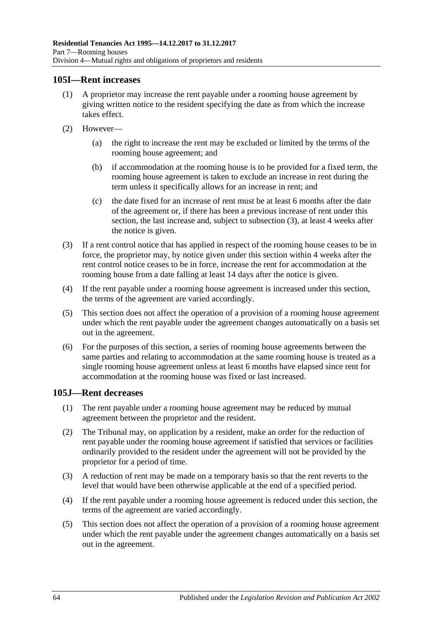### **105I—Rent increases**

- (1) A proprietor may increase the rent payable under a rooming house agreement by giving written notice to the resident specifying the date as from which the increase takes effect.
- (2) However—
	- (a) the right to increase the rent may be excluded or limited by the terms of the rooming house agreement; and
	- (b) if accommodation at the rooming house is to be provided for a fixed term, the rooming house agreement is taken to exclude an increase in rent during the term unless it specifically allows for an increase in rent; and
	- (c) the date fixed for an increase of rent must be at least 6 months after the date of the agreement or, if there has been a previous increase of rent under this section, the last increase and, subject to [subsection](#page-63-0) (3), at least 4 weeks after the notice is given.
- <span id="page-63-0"></span>(3) If a rent control notice that has applied in respect of the rooming house ceases to be in force, the proprietor may, by notice given under this section within 4 weeks after the rent control notice ceases to be in force, increase the rent for accommodation at the rooming house from a date falling at least 14 days after the notice is given.
- (4) If the rent payable under a rooming house agreement is increased under this section, the terms of the agreement are varied accordingly.
- (5) This section does not affect the operation of a provision of a rooming house agreement under which the rent payable under the agreement changes automatically on a basis set out in the agreement.
- (6) For the purposes of this section, a series of rooming house agreements between the same parties and relating to accommodation at the same rooming house is treated as a single rooming house agreement unless at least 6 months have elapsed since rent for accommodation at the rooming house was fixed or last increased.

### **105J—Rent decreases**

- (1) The rent payable under a rooming house agreement may be reduced by mutual agreement between the proprietor and the resident.
- (2) The Tribunal may, on application by a resident, make an order for the reduction of rent payable under the rooming house agreement if satisfied that services or facilities ordinarily provided to the resident under the agreement will not be provided by the proprietor for a period of time.
- (3) A reduction of rent may be made on a temporary basis so that the rent reverts to the level that would have been otherwise applicable at the end of a specified period.
- (4) If the rent payable under a rooming house agreement is reduced under this section, the terms of the agreement are varied accordingly.
- (5) This section does not affect the operation of a provision of a rooming house agreement under which the rent payable under the agreement changes automatically on a basis set out in the agreement.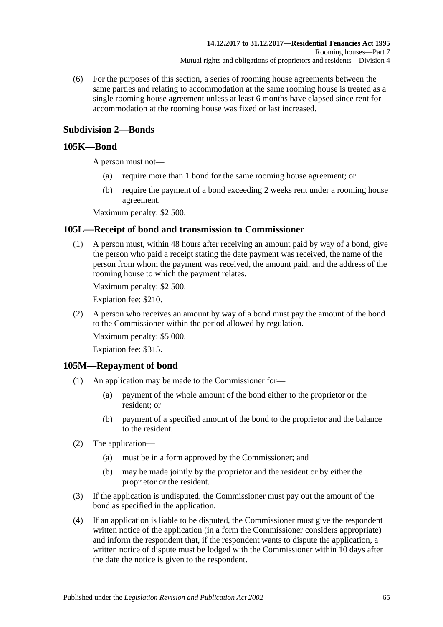(6) For the purposes of this section, a series of rooming house agreements between the same parties and relating to accommodation at the same rooming house is treated as a single rooming house agreement unless at least 6 months have elapsed since rent for accommodation at the rooming house was fixed or last increased.

## **Subdivision 2—Bonds**

### <span id="page-64-1"></span>**105K—Bond**

A person must not—

- (a) require more than 1 bond for the same rooming house agreement; or
- (b) require the payment of a bond exceeding 2 weeks rent under a rooming house agreement.

Maximum penalty: \$2 500.

### **105L—Receipt of bond and transmission to Commissioner**

(1) A person must, within 48 hours after receiving an amount paid by way of a bond, give the person who paid a receipt stating the date payment was received, the name of the person from whom the payment was received, the amount paid, and the address of the rooming house to which the payment relates.

Maximum penalty: \$2 500.

Expiation fee: \$210.

(2) A person who receives an amount by way of a bond must pay the amount of the bond to the Commissioner within the period allowed by regulation.

Maximum penalty: \$5 000.

Expiation fee: \$315.

#### **105M—Repayment of bond**

- (1) An application may be made to the Commissioner for—
	- (a) payment of the whole amount of the bond either to the proprietor or the resident; or
	- (b) payment of a specified amount of the bond to the proprietor and the balance to the resident.
- (2) The application—
	- (a) must be in a form approved by the Commissioner; and
	- (b) may be made jointly by the proprietor and the resident or by either the proprietor or the resident.
- (3) If the application is undisputed, the Commissioner must pay out the amount of the bond as specified in the application.
- <span id="page-64-0"></span>(4) If an application is liable to be disputed, the Commissioner must give the respondent written notice of the application (in a form the Commissioner considers appropriate) and inform the respondent that, if the respondent wants to dispute the application, a written notice of dispute must be lodged with the Commissioner within 10 days after the date the notice is given to the respondent.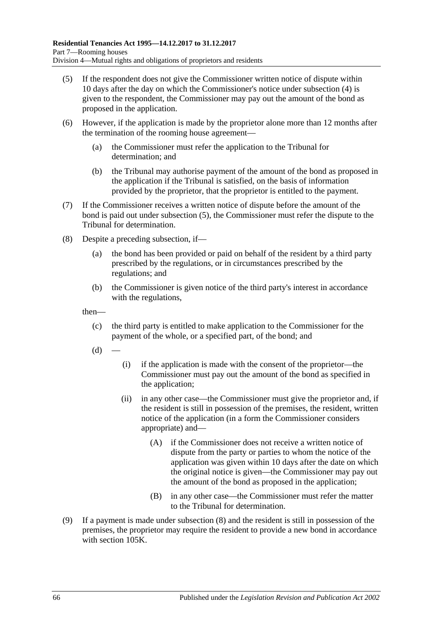- <span id="page-65-0"></span>(5) If the respondent does not give the Commissioner written notice of dispute within 10 days after the day on which the Commissioner's notice under [subsection](#page-64-0) (4) is given to the respondent, the Commissioner may pay out the amount of the bond as proposed in the application.
- (6) However, if the application is made by the proprietor alone more than 12 months after the termination of the rooming house agreement—
	- (a) the Commissioner must refer the application to the Tribunal for determination; and
	- (b) the Tribunal may authorise payment of the amount of the bond as proposed in the application if the Tribunal is satisfied, on the basis of information provided by the proprietor, that the proprietor is entitled to the payment.
- (7) If the Commissioner receives a written notice of dispute before the amount of the bond is paid out under [subsection](#page-65-0) (5), the Commissioner must refer the dispute to the Tribunal for determination.
- <span id="page-65-1"></span>(8) Despite a preceding subsection, if—
	- (a) the bond has been provided or paid on behalf of the resident by a third party prescribed by the regulations, or in circumstances prescribed by the regulations; and
	- (b) the Commissioner is given notice of the third party's interest in accordance with the regulations,

then—

- (c) the third party is entitled to make application to the Commissioner for the payment of the whole, or a specified part, of the bond; and
- $(d)$
- (i) if the application is made with the consent of the proprietor—the Commissioner must pay out the amount of the bond as specified in the application;
- (ii) in any other case—the Commissioner must give the proprietor and, if the resident is still in possession of the premises, the resident, written notice of the application (in a form the Commissioner considers appropriate) and—
	- (A) if the Commissioner does not receive a written notice of dispute from the party or parties to whom the notice of the application was given within 10 days after the date on which the original notice is given—the Commissioner may pay out the amount of the bond as proposed in the application;
	- (B) in any other case—the Commissioner must refer the matter to the Tribunal for determination.
- (9) If a payment is made under [subsection](#page-65-1) (8) and the resident is still in possession of the premises, the proprietor may require the resident to provide a new bond in accordance with [section](#page-64-1) 105K.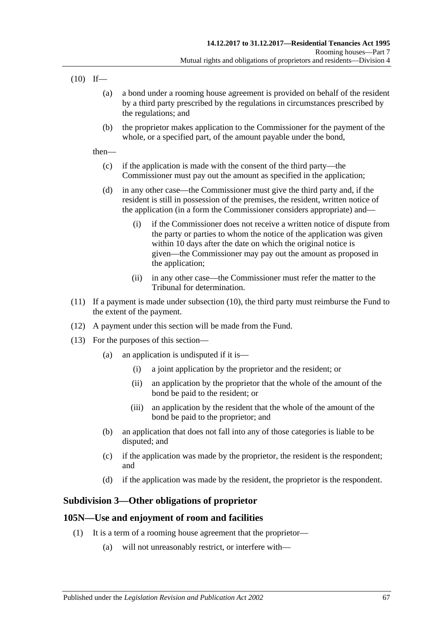<span id="page-66-0"></span> $(10)$  If—

- (a) a bond under a rooming house agreement is provided on behalf of the resident by a third party prescribed by the regulations in circumstances prescribed by the regulations; and
- (b) the proprietor makes application to the Commissioner for the payment of the whole, or a specified part, of the amount payable under the bond,

then—

- (c) if the application is made with the consent of the third party—the Commissioner must pay out the amount as specified in the application;
- (d) in any other case—the Commissioner must give the third party and, if the resident is still in possession of the premises, the resident, written notice of the application (in a form the Commissioner considers appropriate) and—
	- (i) if the Commissioner does not receive a written notice of dispute from the party or parties to whom the notice of the application was given within 10 days after the date on which the original notice is given—the Commissioner may pay out the amount as proposed in the application;
	- (ii) in any other case—the Commissioner must refer the matter to the Tribunal for determination.
- (11) If a payment is made under [subsection](#page-66-0) (10), the third party must reimburse the Fund to the extent of the payment.
- (12) A payment under this section will be made from the Fund.
- (13) For the purposes of this section—
	- (a) an application is undisputed if it is—
		- (i) a joint application by the proprietor and the resident; or
		- (ii) an application by the proprietor that the whole of the amount of the bond be paid to the resident; or
		- (iii) an application by the resident that the whole of the amount of the bond be paid to the proprietor; and
	- (b) an application that does not fall into any of those categories is liable to be disputed; and
	- (c) if the application was made by the proprietor, the resident is the respondent; and
	- (d) if the application was made by the resident, the proprietor is the respondent.

### **Subdivision 3—Other obligations of proprietor**

### <span id="page-66-1"></span>**105N—Use and enjoyment of room and facilities**

- (1) It is a term of a rooming house agreement that the proprietor—
	- (a) will not unreasonably restrict, or interfere with—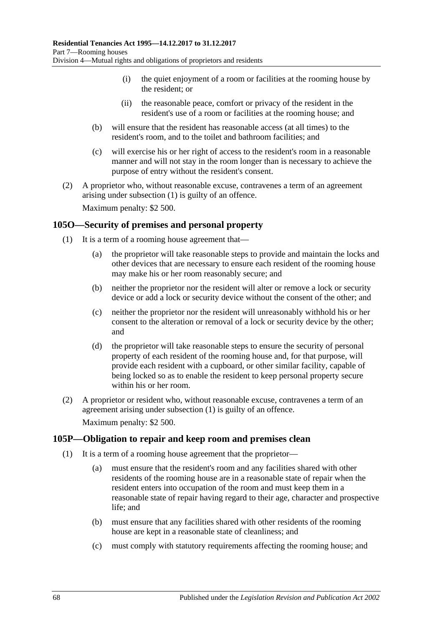- (i) the quiet enjoyment of a room or facilities at the rooming house by the resident; or
- (ii) the reasonable peace, comfort or privacy of the resident in the resident's use of a room or facilities at the rooming house; and
- (b) will ensure that the resident has reasonable access (at all times) to the resident's room, and to the toilet and bathroom facilities; and
- (c) will exercise his or her right of access to the resident's room in a reasonable manner and will not stay in the room longer than is necessary to achieve the purpose of entry without the resident's consent.
- (2) A proprietor who, without reasonable excuse, contravenes a term of an agreement arising under [subsection](#page-66-1) (1) is guilty of an offence. Maximum penalty: \$2 500.

<span id="page-67-0"></span>**105O—Security of premises and personal property**

- (1) It is a term of a rooming house agreement that—
	- (a) the proprietor will take reasonable steps to provide and maintain the locks and other devices that are necessary to ensure each resident of the rooming house may make his or her room reasonably secure; and
	- (b) neither the proprietor nor the resident will alter or remove a lock or security device or add a lock or security device without the consent of the other; and
	- (c) neither the proprietor nor the resident will unreasonably withhold his or her consent to the alteration or removal of a lock or security device by the other; and
	- (d) the proprietor will take reasonable steps to ensure the security of personal property of each resident of the rooming house and, for that purpose, will provide each resident with a cupboard, or other similar facility, capable of being locked so as to enable the resident to keep personal property secure within his or her room.
- (2) A proprietor or resident who, without reasonable excuse, contravenes a term of an agreement arising under [subsection](#page-67-0) (1) is guilty of an offence. Maximum penalty: \$2 500.

### **105P—Obligation to repair and keep room and premises clean**

- (1) It is a term of a rooming house agreement that the proprietor—
	- (a) must ensure that the resident's room and any facilities shared with other residents of the rooming house are in a reasonable state of repair when the resident enters into occupation of the room and must keep them in a reasonable state of repair having regard to their age, character and prospective life; and
	- (b) must ensure that any facilities shared with other residents of the rooming house are kept in a reasonable state of cleanliness; and
	- (c) must comply with statutory requirements affecting the rooming house; and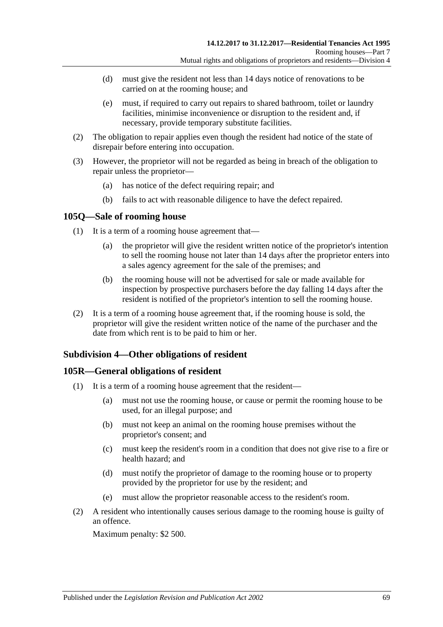- (d) must give the resident not less than 14 days notice of renovations to be carried on at the rooming house; and
- (e) must, if required to carry out repairs to shared bathroom, toilet or laundry facilities, minimise inconvenience or disruption to the resident and, if necessary, provide temporary substitute facilities.
- (2) The obligation to repair applies even though the resident had notice of the state of disrepair before entering into occupation.
- (3) However, the proprietor will not be regarded as being in breach of the obligation to repair unless the proprietor—
	- (a) has notice of the defect requiring repair; and
	- (b) fails to act with reasonable diligence to have the defect repaired.

### **105Q—Sale of rooming house**

- (1) It is a term of a rooming house agreement that—
	- (a) the proprietor will give the resident written notice of the proprietor's intention to sell the rooming house not later than 14 days after the proprietor enters into a sales agency agreement for the sale of the premises; and
	- (b) the rooming house will not be advertised for sale or made available for inspection by prospective purchasers before the day falling 14 days after the resident is notified of the proprietor's intention to sell the rooming house.
- (2) It is a term of a rooming house agreement that, if the rooming house is sold, the proprietor will give the resident written notice of the name of the purchaser and the date from which rent is to be paid to him or her.

### **Subdivision 4—Other obligations of resident**

### **105R—General obligations of resident**

- (1) It is a term of a rooming house agreement that the resident—
	- (a) must not use the rooming house, or cause or permit the rooming house to be used, for an illegal purpose; and
	- (b) must not keep an animal on the rooming house premises without the proprietor's consent; and
	- (c) must keep the resident's room in a condition that does not give rise to a fire or health hazard; and
	- (d) must notify the proprietor of damage to the rooming house or to property provided by the proprietor for use by the resident; and
	- (e) must allow the proprietor reasonable access to the resident's room.
- (2) A resident who intentionally causes serious damage to the rooming house is guilty of an offence.

Maximum penalty: \$2 500.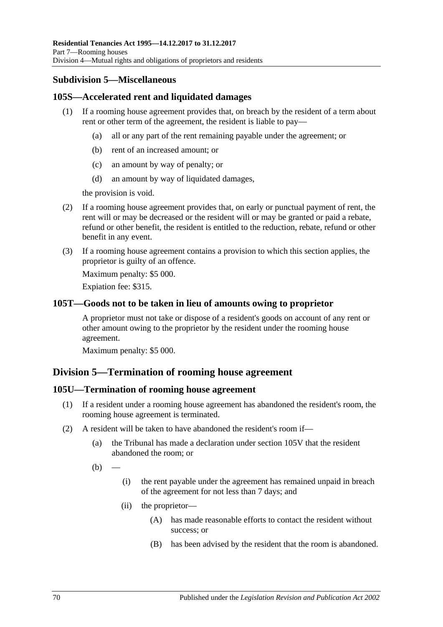### **Subdivision 5—Miscellaneous**

### **105S—Accelerated rent and liquidated damages**

- (1) If a rooming house agreement provides that, on breach by the resident of a term about rent or other term of the agreement, the resident is liable to pay—
	- (a) all or any part of the rent remaining payable under the agreement; or
	- (b) rent of an increased amount; or
	- (c) an amount by way of penalty; or
	- (d) an amount by way of liquidated damages,

the provision is void.

- (2) If a rooming house agreement provides that, on early or punctual payment of rent, the rent will or may be decreased or the resident will or may be granted or paid a rebate, refund or other benefit, the resident is entitled to the reduction, rebate, refund or other benefit in any event.
- (3) If a rooming house agreement contains a provision to which this section applies, the proprietor is guilty of an offence.

Maximum penalty: \$5 000.

Expiation fee: \$315.

### **105T—Goods not to be taken in lieu of amounts owing to proprietor**

A proprietor must not take or dispose of a resident's goods on account of any rent or other amount owing to the proprietor by the resident under the rooming house agreement.

Maximum penalty: \$5 000.

# **Division 5—Termination of rooming house agreement**

### **105U—Termination of rooming house agreement**

- (1) If a resident under a rooming house agreement has abandoned the resident's room, the rooming house agreement is terminated.
- (2) A resident will be taken to have abandoned the resident's room if—
	- (a) the Tribunal has made a declaration under [section](#page-72-0) 105V that the resident abandoned the room; or
	- $(b)$
- (i) the rent payable under the agreement has remained unpaid in breach of the agreement for not less than 7 days; and
- (ii) the proprietor—
	- (A) has made reasonable efforts to contact the resident without success; or
	- (B) has been advised by the resident that the room is abandoned.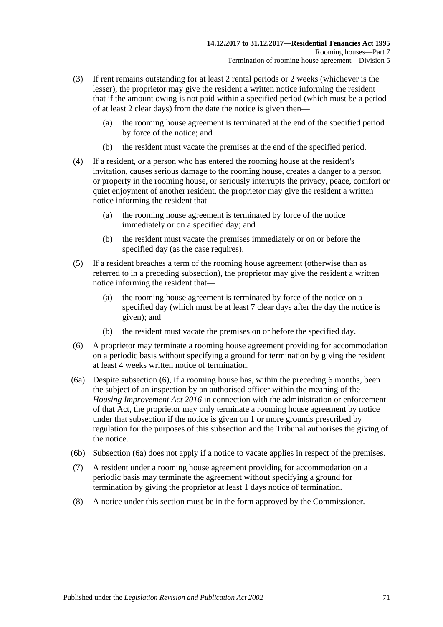- (3) If rent remains outstanding for at least 2 rental periods or 2 weeks (whichever is the lesser), the proprietor may give the resident a written notice informing the resident that if the amount owing is not paid within a specified period (which must be a period of at least 2 clear days) from the date the notice is given then—
	- (a) the rooming house agreement is terminated at the end of the specified period by force of the notice; and
	- (b) the resident must vacate the premises at the end of the specified period.
- (4) If a resident, or a person who has entered the rooming house at the resident's invitation, causes serious damage to the rooming house, creates a danger to a person or property in the rooming house, or seriously interrupts the privacy, peace, comfort or quiet enjoyment of another resident, the proprietor may give the resident a written notice informing the resident that—
	- (a) the rooming house agreement is terminated by force of the notice immediately or on a specified day; and
	- (b) the resident must vacate the premises immediately or on or before the specified day (as the case requires).
- (5) If a resident breaches a term of the rooming house agreement (otherwise than as referred to in a preceding subsection), the proprietor may give the resident a written notice informing the resident that—
	- (a) the rooming house agreement is terminated by force of the notice on a specified day (which must be at least 7 clear days after the day the notice is given); and
	- (b) the resident must vacate the premises on or before the specified day.
- <span id="page-70-0"></span>(6) A proprietor may terminate a rooming house agreement providing for accommodation on a periodic basis without specifying a ground for termination by giving the resident at least 4 weeks written notice of termination.
- <span id="page-70-1"></span>(6a) Despite [subsection](#page-70-0) (6), if a rooming house has, within the preceding 6 months, been the subject of an inspection by an authorised officer within the meaning of the *[Housing Improvement Act](http://www.legislation.sa.gov.au/index.aspx?action=legref&type=act&legtitle=Housing%20Improvement%20Act%202016) 2016* in connection with the administration or enforcement of that Act, the proprietor may only terminate a rooming house agreement by notice under that subsection if the notice is given on 1 or more grounds prescribed by regulation for the purposes of this subsection and the Tribunal authorises the giving of the notice.
- (6b) [Subsection](#page-70-1) (6a) does not apply if a notice to vacate applies in respect of the premises.
- (7) A resident under a rooming house agreement providing for accommodation on a periodic basis may terminate the agreement without specifying a ground for termination by giving the proprietor at least 1 days notice of termination.
- (8) A notice under this section must be in the form approved by the Commissioner.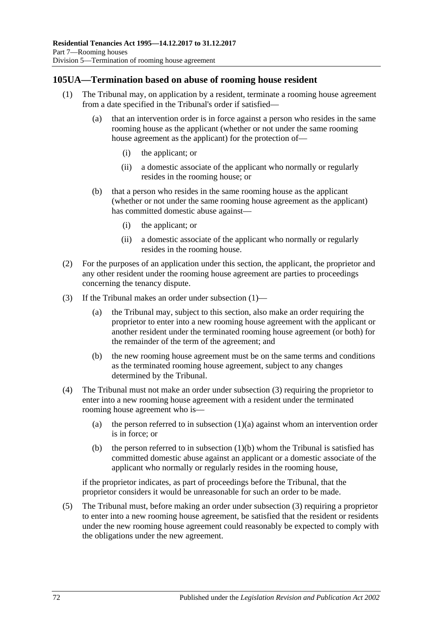### <span id="page-71-0"></span>**105UA—Termination based on abuse of rooming house resident**

- <span id="page-71-2"></span>(1) The Tribunal may, on application by a resident, terminate a rooming house agreement from a date specified in the Tribunal's order if satisfied—
	- (a) that an intervention order is in force against a person who resides in the same rooming house as the applicant (whether or not under the same rooming house agreement as the applicant) for the protection of—
		- (i) the applicant; or
		- (ii) a domestic associate of the applicant who normally or regularly resides in the rooming house; or
	- (b) that a person who resides in the same rooming house as the applicant (whether or not under the same rooming house agreement as the applicant) has committed domestic abuse against—
		- (i) the applicant; or
		- (ii) a domestic associate of the applicant who normally or regularly resides in the rooming house.
- <span id="page-71-3"></span>(2) For the purposes of an application under this section, the applicant, the proprietor and any other resident under the rooming house agreement are parties to proceedings concerning the tenancy dispute.
- <span id="page-71-1"></span>(3) If the Tribunal makes an order under [subsection](#page-71-0) (1)—
	- (a) the Tribunal may, subject to this section, also make an order requiring the proprietor to enter into a new rooming house agreement with the applicant or another resident under the terminated rooming house agreement (or both) for the remainder of the term of the agreement; and
	- (b) the new rooming house agreement must be on the same terms and conditions as the terminated rooming house agreement, subject to any changes determined by the Tribunal.
- (4) The Tribunal must not make an order under [subsection](#page-71-1) (3) requiring the proprietor to enter into a new rooming house agreement with a resident under the terminated rooming house agreement who is
	- (a) the person referred to in [subsection](#page-71-2)  $(1)(a)$  against whom an intervention order is in force; or
	- (b) the person referred to in [subsection](#page-71-3)  $(1)(b)$  whom the Tribunal is satisfied has committed domestic abuse against an applicant or a domestic associate of the applicant who normally or regularly resides in the rooming house,

if the proprietor indicates, as part of proceedings before the Tribunal, that the proprietor considers it would be unreasonable for such an order to be made.

(5) The Tribunal must, before making an order under [subsection](#page-71-1) (3) requiring a proprietor to enter into a new rooming house agreement, be satisfied that the resident or residents under the new rooming house agreement could reasonably be expected to comply with the obligations under the new agreement.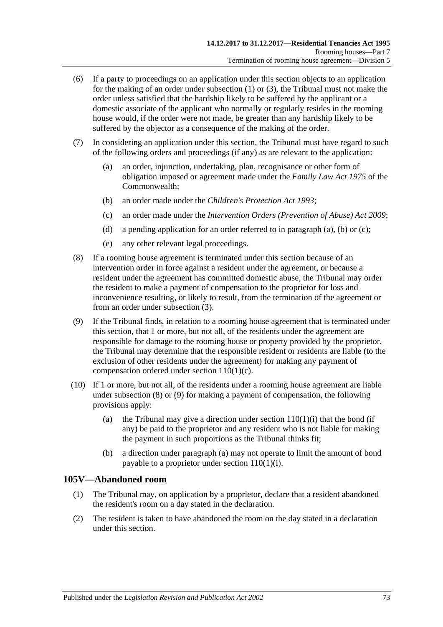- (6) If a party to proceedings on an application under this section objects to an application for the making of an order under [subsection](#page-71-0) (1) or [\(3\),](#page-71-1) the Tribunal must not make the order unless satisfied that the hardship likely to be suffered by the applicant or a domestic associate of the applicant who normally or regularly resides in the rooming house would, if the order were not made, be greater than any hardship likely to be suffered by the objector as a consequence of the making of the order.
- <span id="page-72-1"></span><span id="page-72-0"></span>(7) In considering an application under this section, the Tribunal must have regard to such of the following orders and proceedings (if any) as are relevant to the application:
	- (a) an order, injunction, undertaking, plan, recognisance or other form of obligation imposed or agreement made under the *Family Law Act 1975* of the Commonwealth;
	- (b) an order made under the *[Children's Protection Act](http://www.legislation.sa.gov.au/index.aspx?action=legref&type=act&legtitle=Childrens%20Protection%20Act%201993) 1993*;
	- (c) an order made under the *[Intervention Orders \(Prevention of Abuse\) Act](http://www.legislation.sa.gov.au/index.aspx?action=legref&type=act&legtitle=Intervention%20Orders%20(Prevention%20of%20Abuse)%20Act%202009) 2009*;
	- (d) a pending application for an order referred to in [paragraph](#page-72-0) (a), [\(b\)](#page-72-1) or [\(c\);](#page-72-2)
	- (e) any other relevant legal proceedings.
- <span id="page-72-3"></span><span id="page-72-2"></span>(8) If a rooming house agreement is terminated under this section because of an intervention order in force against a resident under the agreement, or because a resident under the agreement has committed domestic abuse, the Tribunal may order the resident to make a payment of compensation to the proprietor for loss and inconvenience resulting, or likely to result, from the termination of the agreement or from an order under [subsection](#page-71-1) (3).
- <span id="page-72-4"></span>(9) If the Tribunal finds, in relation to a rooming house agreement that is terminated under this section, that 1 or more, but not all, of the residents under the agreement are responsible for damage to the rooming house or property provided by the proprietor, the Tribunal may determine that the responsible resident or residents are liable (to the exclusion of other residents under the agreement) for making any payment of compensation ordered under section [110\(1\)\(c\).](#page-76-0)
- <span id="page-72-5"></span>(10) If 1 or more, but not all, of the residents under a rooming house agreement are liable under [subsection](#page-72-3) (8) or [\(9\)](#page-72-4) for making a payment of compensation, the following provisions apply:
	- (a) the Tribunal may give a direction under section  $110(1)(i)$  that the bond (if any) be paid to the proprietor and any resident who is not liable for making the payment in such proportions as the Tribunal thinks fit;
	- (b) a direction under [paragraph](#page-72-5) (a) may not operate to limit the amount of bond payable to a proprietor under section [110\(1\)\(i\).](#page-76-1)

#### **105V—Abandoned room**

- (1) The Tribunal may, on application by a proprietor, declare that a resident abandoned the resident's room on a day stated in the declaration.
- (2) The resident is taken to have abandoned the room on the day stated in a declaration under this section.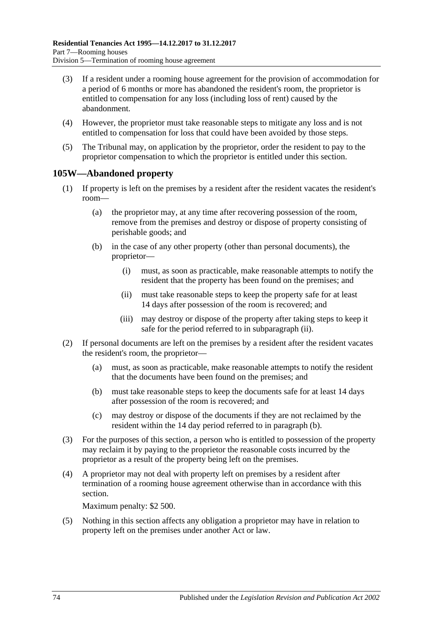- (3) If a resident under a rooming house agreement for the provision of accommodation for a period of 6 months or more has abandoned the resident's room, the proprietor is entitled to compensation for any loss (including loss of rent) caused by the abandonment.
- (4) However, the proprietor must take reasonable steps to mitigate any loss and is not entitled to compensation for loss that could have been avoided by those steps.
- (5) The Tribunal may, on application by the proprietor, order the resident to pay to the proprietor compensation to which the proprietor is entitled under this section.

#### <span id="page-73-2"></span>**105W—Abandoned property**

- (1) If property is left on the premises by a resident after the resident vacates the resident's room—
	- (a) the proprietor may, at any time after recovering possession of the room, remove from the premises and destroy or dispose of property consisting of perishable goods; and
	- (b) in the case of any other property (other than personal documents), the proprietor—
		- (i) must, as soon as practicable, make reasonable attempts to notify the resident that the property has been found on the premises; and
		- (ii) must take reasonable steps to keep the property safe for at least 14 days after possession of the room is recovered; and
		- (iii) may destroy or dispose of the property after taking steps to keep it safe for the period referred to in [subparagraph](#page-73-0) (ii).
- <span id="page-73-1"></span><span id="page-73-0"></span>(2) If personal documents are left on the premises by a resident after the resident vacates the resident's room, the proprietor—
	- (a) must, as soon as practicable, make reasonable attempts to notify the resident that the documents have been found on the premises; and
	- (b) must take reasonable steps to keep the documents safe for at least 14 days after possession of the room is recovered; and
	- (c) may destroy or dispose of the documents if they are not reclaimed by the resident within the 14 day period referred to in [paragraph](#page-73-1) (b).
- (3) For the purposes of this section, a person who is entitled to possession of the property may reclaim it by paying to the proprietor the reasonable costs incurred by the proprietor as a result of the property being left on the premises.
- (4) A proprietor may not deal with property left on premises by a resident after termination of a rooming house agreement otherwise than in accordance with this section.

Maximum penalty: \$2 500.

(5) Nothing in this section affects any obligation a proprietor may have in relation to property left on the premises under another Act or law.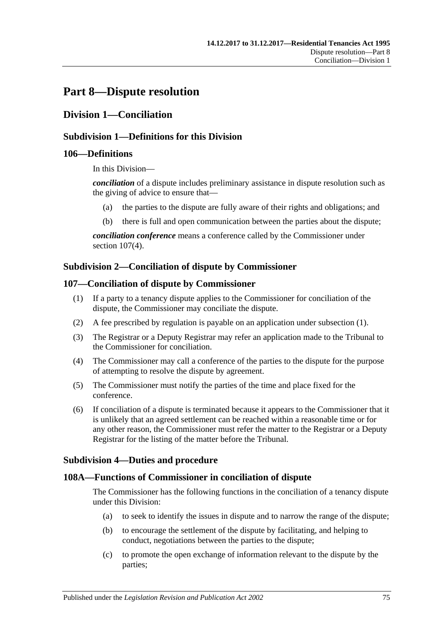# **Part 8—Dispute resolution**

### **Division 1—Conciliation**

#### **Subdivision 1—Definitions for this Division**

#### **106—Definitions**

In this Division—

*conciliation* of a dispute includes preliminary assistance in dispute resolution such as the giving of advice to ensure that—

- (a) the parties to the dispute are fully aware of their rights and obligations; and
- (b) there is full and open communication between the parties about the dispute;

*conciliation conference* means a conference called by the Commissioner under section [107\(4\).](#page-74-0)

#### **Subdivision 2—Conciliation of dispute by Commissioner**

#### <span id="page-74-1"></span>**107—Conciliation of dispute by Commissioner**

- (1) If a party to a tenancy dispute applies to the Commissioner for conciliation of the dispute, the Commissioner may conciliate the dispute.
- (2) A fee prescribed by regulation is payable on an application under [subsection](#page-74-1) (1).
- (3) The Registrar or a Deputy Registrar may refer an application made to the Tribunal to the Commissioner for conciliation.
- <span id="page-74-0"></span>(4) The Commissioner may call a conference of the parties to the dispute for the purpose of attempting to resolve the dispute by agreement.
- (5) The Commissioner must notify the parties of the time and place fixed for the conference.
- (6) If conciliation of a dispute is terminated because it appears to the Commissioner that it is unlikely that an agreed settlement can be reached within a reasonable time or for any other reason, the Commissioner must refer the matter to the Registrar or a Deputy Registrar for the listing of the matter before the Tribunal.

#### **Subdivision 4—Duties and procedure**

#### **108A—Functions of Commissioner in conciliation of dispute**

The Commissioner has the following functions in the conciliation of a tenancy dispute under this Division:

- (a) to seek to identify the issues in dispute and to narrow the range of the dispute;
- (b) to encourage the settlement of the dispute by facilitating, and helping to conduct, negotiations between the parties to the dispute;
- (c) to promote the open exchange of information relevant to the dispute by the parties;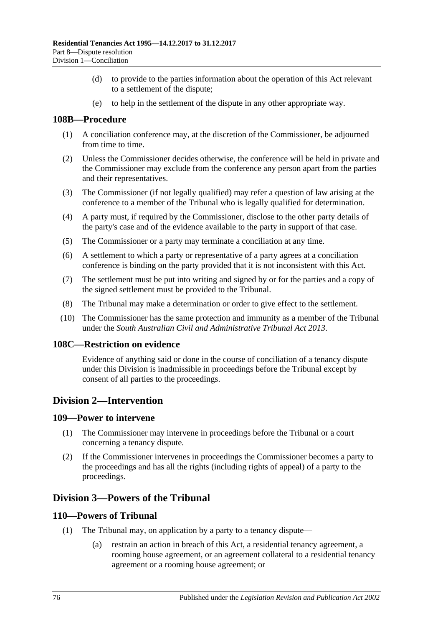- (d) to provide to the parties information about the operation of this Act relevant to a settlement of the dispute;
- (e) to help in the settlement of the dispute in any other appropriate way.

#### **108B—Procedure**

- (1) A conciliation conference may, at the discretion of the Commissioner, be adjourned from time to time.
- (2) Unless the Commissioner decides otherwise, the conference will be held in private and the Commissioner may exclude from the conference any person apart from the parties and their representatives.
- (3) The Commissioner (if not legally qualified) may refer a question of law arising at the conference to a member of the Tribunal who is legally qualified for determination.
- (4) A party must, if required by the Commissioner, disclose to the other party details of the party's case and of the evidence available to the party in support of that case.
- (5) The Commissioner or a party may terminate a conciliation at any time.
- (6) A settlement to which a party or representative of a party agrees at a conciliation conference is binding on the party provided that it is not inconsistent with this Act.
- (7) The settlement must be put into writing and signed by or for the parties and a copy of the signed settlement must be provided to the Tribunal.
- (8) The Tribunal may make a determination or order to give effect to the settlement.
- (10) The Commissioner has the same protection and immunity as a member of the Tribunal under the *[South Australian Civil and Administrative Tribunal Act](http://www.legislation.sa.gov.au/index.aspx?action=legref&type=act&legtitle=South%20Australian%20Civil%20and%20Administrative%20Tribunal%20Act%202013) 2013*.

#### **108C—Restriction on evidence**

Evidence of anything said or done in the course of conciliation of a tenancy dispute under this Division is inadmissible in proceedings before the Tribunal except by consent of all parties to the proceedings.

### **Division 2—Intervention**

#### **109—Power to intervene**

- (1) The Commissioner may intervene in proceedings before the Tribunal or a court concerning a tenancy dispute.
- (2) If the Commissioner intervenes in proceedings the Commissioner becomes a party to the proceedings and has all the rights (including rights of appeal) of a party to the proceedings.

### **Division 3—Powers of the Tribunal**

#### **110—Powers of Tribunal**

- (1) The Tribunal may, on application by a party to a tenancy dispute—
	- (a) restrain an action in breach of this Act, a residential tenancy agreement, a rooming house agreement, or an agreement collateral to a residential tenancy agreement or a rooming house agreement; or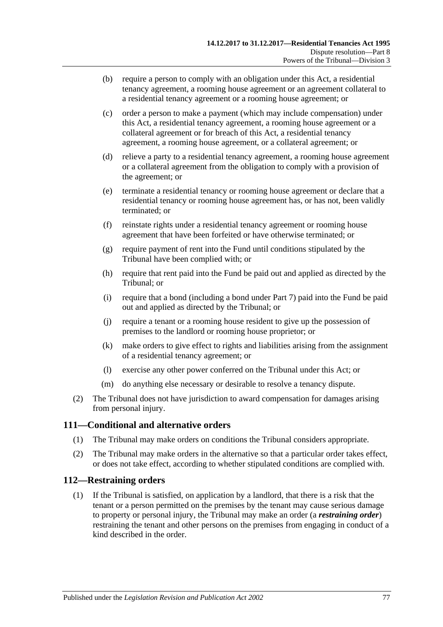- (b) require a person to comply with an obligation under this Act, a residential tenancy agreement, a rooming house agreement or an agreement collateral to a residential tenancy agreement or a rooming house agreement; or
- <span id="page-76-0"></span>(c) order a person to make a payment (which may include compensation) under this Act, a residential tenancy agreement, a rooming house agreement or a collateral agreement or for breach of this Act, a residential tenancy agreement, a rooming house agreement, or a collateral agreement; or
- (d) relieve a party to a residential tenancy agreement, a rooming house agreement or a collateral agreement from the obligation to comply with a provision of the agreement; or
- (e) terminate a residential tenancy or rooming house agreement or declare that a residential tenancy or rooming house agreement has, or has not, been validly terminated; or
- (f) reinstate rights under a residential tenancy agreement or rooming house agreement that have been forfeited or have otherwise terminated; or
- (g) require payment of rent into the Fund until conditions stipulated by the Tribunal have been complied with; or
- (h) require that rent paid into the Fund be paid out and applied as directed by the Tribunal; or
- <span id="page-76-1"></span>(i) require that a bond (including a bond under [Part 7\)](#page-59-0) paid into the Fund be paid out and applied as directed by the Tribunal; or
- (j) require a tenant or a rooming house resident to give up the possession of premises to the landlord or rooming house proprietor; or
- (k) make orders to give effect to rights and liabilities arising from the assignment of a residential tenancy agreement; or
- (l) exercise any other power conferred on the Tribunal under this Act; or
- (m) do anything else necessary or desirable to resolve a tenancy dispute.
- (2) The Tribunal does not have jurisdiction to award compensation for damages arising from personal injury.

#### **111—Conditional and alternative orders**

- (1) The Tribunal may make orders on conditions the Tribunal considers appropriate.
- (2) The Tribunal may make orders in the alternative so that a particular order takes effect, or does not take effect, according to whether stipulated conditions are complied with.

#### **112—Restraining orders**

(1) If the Tribunal is satisfied, on application by a landlord, that there is a risk that the tenant or a person permitted on the premises by the tenant may cause serious damage to property or personal injury, the Tribunal may make an order (a *restraining order*) restraining the tenant and other persons on the premises from engaging in conduct of a kind described in the order.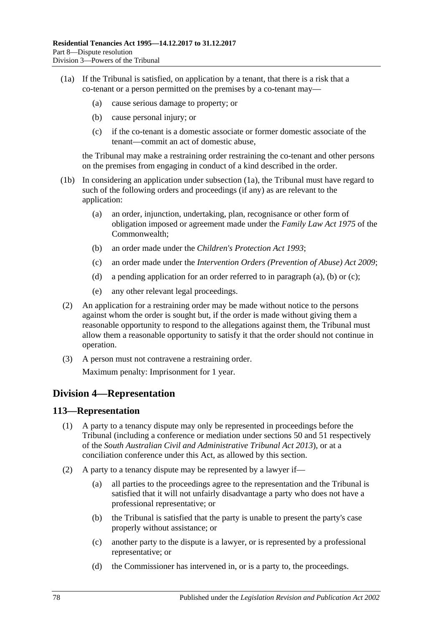- (1a) If the Tribunal is satisfied, on application by a tenant, that there is a risk that a co-tenant or a person permitted on the premises by a co-tenant may—
	- (a) cause serious damage to property; or
	- (b) cause personal injury; or
	- (c) if the co-tenant is a domestic associate or former domestic associate of the tenant—commit an act of domestic abuse,

the Tribunal may make a restraining order restraining the co-tenant and other persons on the premises from engaging in conduct of a kind described in the order.

- <span id="page-77-1"></span><span id="page-77-0"></span>(1b) In considering an application under subsection (1a), the Tribunal must have regard to such of the following orders and proceedings (if any) as are relevant to the application:
	- (a) an order, injunction, undertaking, plan, recognisance or other form of obligation imposed or agreement made under the *Family Law Act 1975* of the Commonwealth;
	- (b) an order made under the *[Children's Protection Act](http://www.legislation.sa.gov.au/index.aspx?action=legref&type=act&legtitle=Childrens%20Protection%20Act%201993) 1993*;
	- (c) an order made under the *[Intervention Orders \(Prevention of Abuse\) Act](http://www.legislation.sa.gov.au/index.aspx?action=legref&type=act&legtitle=Intervention%20Orders%20(Prevention%20of%20Abuse)%20Act%202009) 2009*;
	- (d) a pending application for an order referred to in [paragraph](#page-77-0) (a), [\(b\)](#page-77-1) or [\(c\);](#page-77-2)
	- (e) any other relevant legal proceedings.
- <span id="page-77-2"></span>(2) An application for a restraining order may be made without notice to the persons against whom the order is sought but, if the order is made without giving them a reasonable opportunity to respond to the allegations against them, the Tribunal must allow them a reasonable opportunity to satisfy it that the order should not continue in operation.
- (3) A person must not contravene a restraining order. Maximum penalty: Imprisonment for 1 year.

### **Division 4—Representation**

#### **113—Representation**

- (1) A party to a tenancy dispute may only be represented in proceedings before the Tribunal (including a conference or mediation under sections 50 and 51 respectively of the *[South Australian Civil and Administrative Tribunal Act](http://www.legislation.sa.gov.au/index.aspx?action=legref&type=act&legtitle=South%20Australian%20Civil%20and%20Administrative%20Tribunal%20Act%202013) 2013*), or at a conciliation conference under this Act, as allowed by this section.
- (2) A party to a tenancy dispute may be represented by a lawyer if—
	- (a) all parties to the proceedings agree to the representation and the Tribunal is satisfied that it will not unfairly disadvantage a party who does not have a professional representative; or
	- (b) the Tribunal is satisfied that the party is unable to present the party's case properly without assistance; or
	- (c) another party to the dispute is a lawyer, or is represented by a professional representative; or
	- (d) the Commissioner has intervened in, or is a party to, the proceedings.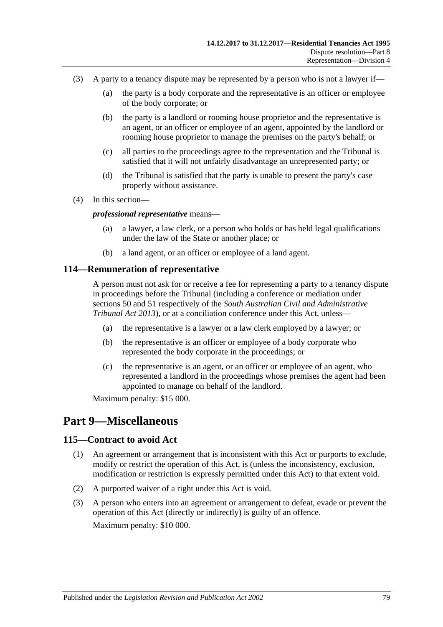- (3) A party to a tenancy dispute may be represented by a person who is not a lawyer if—
	- (a) the party is a body corporate and the representative is an officer or employee of the body corporate; or
	- (b) the party is a landlord or rooming house proprietor and the representative is an agent, or an officer or employee of an agent, appointed by the landlord or rooming house proprietor to manage the premises on the party's behalf; or
	- (c) all parties to the proceedings agree to the representation and the Tribunal is satisfied that it will not unfairly disadvantage an unrepresented party; or
	- (d) the Tribunal is satisfied that the party is unable to present the party's case properly without assistance.
- (4) In this section—

#### *professional representative* means—

- (a) a lawyer, a law clerk, or a person who holds or has held legal qualifications under the law of the State or another place; or
- (b) a land agent, or an officer or employee of a land agent.

#### **114—Remuneration of representative**

A person must not ask for or receive a fee for representing a party to a tenancy dispute in proceedings before the Tribunal (including a conference or mediation under sections 50 and 51 respectively of the *[South Australian Civil and Administrative](http://www.legislation.sa.gov.au/index.aspx?action=legref&type=act&legtitle=South%20Australian%20Civil%20and%20Administrative%20Tribunal%20Act%202013)  [Tribunal Act](http://www.legislation.sa.gov.au/index.aspx?action=legref&type=act&legtitle=South%20Australian%20Civil%20and%20Administrative%20Tribunal%20Act%202013) 2013*), or at a conciliation conference under this Act, unless—

- (a) the representative is a lawyer or a law clerk employed by a lawyer; or
- (b) the representative is an officer or employee of a body corporate who represented the body corporate in the proceedings; or
- (c) the representative is an agent, or an officer or employee of an agent, who represented a landlord in the proceedings whose premises the agent had been appointed to manage on behalf of the landlord.

Maximum penalty: \$15 000.

### **Part 9—Miscellaneous**

#### **115—Contract to avoid Act**

- (1) An agreement or arrangement that is inconsistent with this Act or purports to exclude, modify or restrict the operation of this Act, is (unless the inconsistency, exclusion, modification or restriction is expressly permitted under this Act) to that extent void.
- (2) A purported waiver of a right under this Act is void.
- (3) A person who enters into an agreement or arrangement to defeat, evade or prevent the operation of this Act (directly or indirectly) is guilty of an offence. Maximum penalty: \$10 000.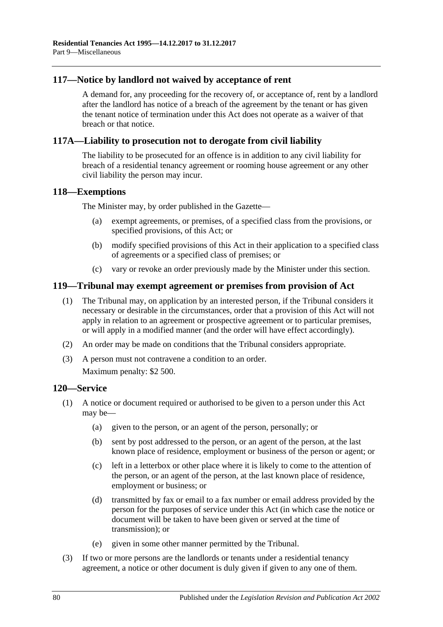#### **117—Notice by landlord not waived by acceptance of rent**

A demand for, any proceeding for the recovery of, or acceptance of, rent by a landlord after the landlord has notice of a breach of the agreement by the tenant or has given the tenant notice of termination under this Act does not operate as a waiver of that breach or that notice.

#### **117A—Liability to prosecution not to derogate from civil liability**

The liability to be prosecuted for an offence is in addition to any civil liability for breach of a residential tenancy agreement or rooming house agreement or any other civil liability the person may incur.

#### **118—Exemptions**

The Minister may, by order published in the Gazette—

- (a) exempt agreements, or premises, of a specified class from the provisions, or specified provisions, of this Act; or
- (b) modify specified provisions of this Act in their application to a specified class of agreements or a specified class of premises; or
- (c) vary or revoke an order previously made by the Minister under this section.

#### **119—Tribunal may exempt agreement or premises from provision of Act**

- (1) The Tribunal may, on application by an interested person, if the Tribunal considers it necessary or desirable in the circumstances, order that a provision of this Act will not apply in relation to an agreement or prospective agreement or to particular premises, or will apply in a modified manner (and the order will have effect accordingly).
- (2) An order may be made on conditions that the Tribunal considers appropriate.
- (3) A person must not contravene a condition to an order.

Maximum penalty: \$2 500.

#### **120—Service**

- (1) A notice or document required or authorised to be given to a person under this Act may be—
	- (a) given to the person, or an agent of the person, personally; or
	- (b) sent by post addressed to the person, or an agent of the person, at the last known place of residence, employment or business of the person or agent; or
	- (c) left in a letterbox or other place where it is likely to come to the attention of the person, or an agent of the person, at the last known place of residence, employment or business; or
	- (d) transmitted by fax or email to a fax number or email address provided by the person for the purposes of service under this Act (in which case the notice or document will be taken to have been given or served at the time of transmission); or
	- (e) given in some other manner permitted by the Tribunal.
- (3) If two or more persons are the landlords or tenants under a residential tenancy agreement, a notice or other document is duly given if given to any one of them.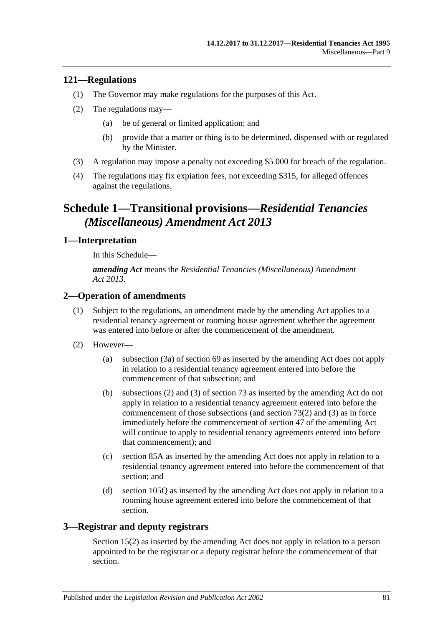#### **121—Regulations**

- (1) The Governor may make regulations for the purposes of this Act.
- (2) The regulations may—
	- (a) be of general or limited application; and
	- (b) provide that a matter or thing is to be determined, dispensed with or regulated by the Minister.
- (3) A regulation may impose a penalty not exceeding \$5 000 for breach of the regulation.
- (4) The regulations may fix expiation fees, not exceeding \$315, for alleged offences against the regulations.

# **Schedule 1—Transitional provisions—***Residential Tenancies (Miscellaneous) Amendment Act 2013*

#### **1—Interpretation**

In this Schedule—

*amending Act* means the *[Residential Tenancies \(Miscellaneous\) Amendment](http://www.legislation.sa.gov.au/index.aspx?action=legref&type=act&legtitle=Residential%20Tenancies%20(Miscellaneous)%20Amendment%20Act%202013)  Act [2013](http://www.legislation.sa.gov.au/index.aspx?action=legref&type=act&legtitle=Residential%20Tenancies%20(Miscellaneous)%20Amendment%20Act%202013)*.

#### **2—Operation of amendments**

- (1) Subject to the regulations, an amendment made by the amending Act applies to a residential tenancy agreement or rooming house agreement whether the agreement was entered into before or after the commencement of the amendment.
- (2) However—
	- (a) [subsection](#page-28-0) (3a) of [section](#page-27-0) 69 as inserted by the amending Act does not apply in relation to a residential tenancy agreement entered into before the commencement of that subsection; and
	- (b) [subsections](#page-31-0) (2) and [\(3\)](#page-31-1) of [section](#page-31-2) 73 as inserted by the amending Act do not apply in relation to a residential tenancy agreement entered into before the commencement of those subsections (and [section](#page-31-0) 73(2) and [\(3\)](#page-31-1) as in force immediately before the commencement of section 47 of the amending Act will continue to apply to residential tenancy agreements entered into before that commencement); and
	- (c) [section](#page-40-0) 85A as inserted by the amending Act does not apply in relation to a residential tenancy agreement entered into before the commencement of that section; and
	- (d) [section](#page-68-0) 105Q as inserted by the amending Act does not apply in relation to a rooming house agreement entered into before the commencement of that section.

#### **3—Registrar and deputy registrars**

Section 15(2) as inserted by the amending Act does not apply in relation to a person appointed to be the registrar or a deputy registrar before the commencement of that section.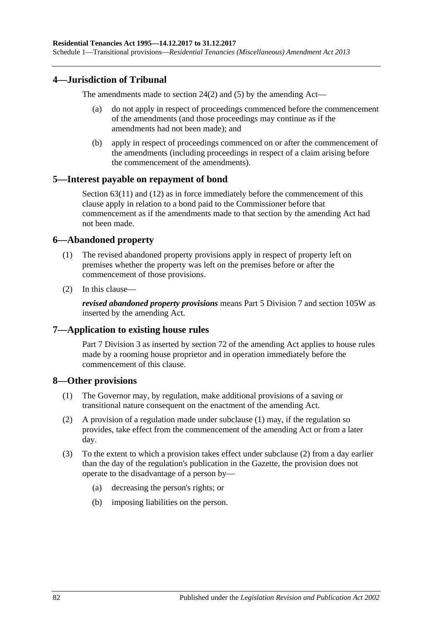#### **4—Jurisdiction of Tribunal**

The amendments made to [section](#page-12-0) 24(2) and [\(5\)](#page-13-0) by the amending Act—

- (a) do not apply in respect of proceedings commenced before the commencement of the amendments (and those proceedings may continue as if the amendments had not been made); and
- (b) apply in respect of proceedings commenced on or after the commencement of the amendments (including proceedings in respect of a claim arising before the commencement of the amendments).

#### **5—Interest payable on repayment of bond**

[Section](#page-25-0) 63(11) and (12) as in force immediately before the commencement of this clause apply in relation to a bond paid to the Commissioner before that commencement as if the amendments made to that section by the amending Act had not been made.

#### **6—Abandoned property**

- (1) The revised abandoned property provisions apply in respect of property left on premises whether the property was left on the premises before or after the commencement of those provisions.
- (2) In this clause—

*revised abandoned property provisions* means [Part 5 Division 7](#page-49-0) and [section](#page-73-2) 105W as inserted by the amending Act.

#### **7—Application to existing house rules**

[Part 7 Division](#page-60-0) 3 as inserted by section 72 of the amending Act applies to house rules made by a rooming house proprietor and in operation immediately before the commencement of this clause.

#### <span id="page-81-0"></span>**8—Other provisions**

- (1) The Governor may, by regulation, make additional provisions of a saving or transitional nature consequent on the enactment of the amending Act.
- <span id="page-81-1"></span>(2) A provision of a regulation made under [subclause](#page-81-0) (1) may, if the regulation so provides, take effect from the commencement of the amending Act or from a later day.
- (3) To the extent to which a provision takes effect under [subclause](#page-81-1) (2) from a day earlier than the day of the regulation's publication in the Gazette, the provision does not operate to the disadvantage of a person by—
	- (a) decreasing the person's rights; or
	- (b) imposing liabilities on the person.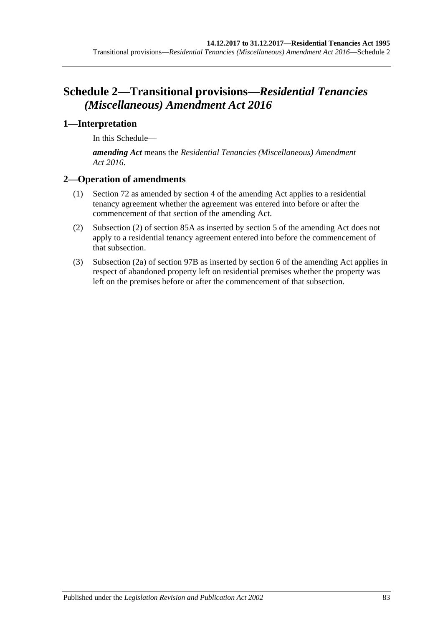# **Schedule 2—Transitional provisions—***Residential Tenancies (Miscellaneous) Amendment Act 2016*

### **1—Interpretation**

In this Schedule—

*amending Act* means the *[Residential Tenancies \(Miscellaneous\) Amendment](http://www.legislation.sa.gov.au/index.aspx?action=legref&type=act&legtitle=Residential%20Tenancies%20(Miscellaneous)%20Amendment%20Act%202016)  Act [2016](http://www.legislation.sa.gov.au/index.aspx?action=legref&type=act&legtitle=Residential%20Tenancies%20(Miscellaneous)%20Amendment%20Act%202016)*.

#### **2—Operation of amendments**

- (1) [Section](#page-29-0) 72 as amended by section 4 of the amending Act applies to a residential tenancy agreement whether the agreement was entered into before or after the commencement of that section of the amending Act.
- (2) [Subsection](#page-40-1) (2) of [section](#page-40-0) 85A as inserted by section 5 of the amending Act does not apply to a residential tenancy agreement entered into before the commencement of that subsection.
- (3) [Subsection](#page-49-1) (2a) of [section](#page-49-2) 97B as inserted by section 6 of the amending Act applies in respect of abandoned property left on residential premises whether the property was left on the premises before or after the commencement of that subsection.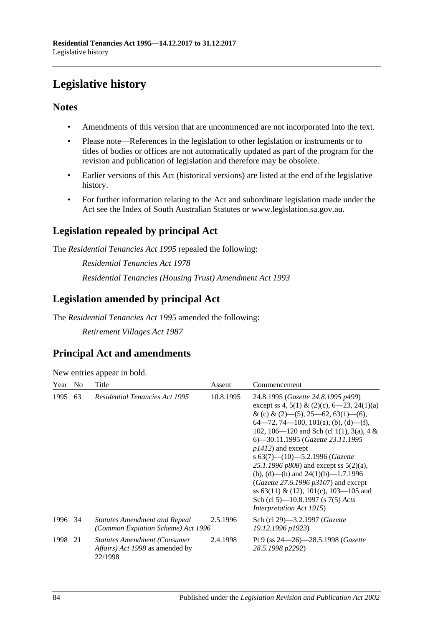# **Legislative history**

### **Notes**

- Amendments of this version that are uncommenced are not incorporated into the text.
- Please note—References in the legislation to other legislation or instruments or to titles of bodies or offices are not automatically updated as part of the program for the revision and publication of legislation and therefore may be obsolete.
- Earlier versions of this Act (historical versions) are listed at the end of the legislative history.
- For further information relating to the Act and subordinate legislation made under the Act see the Index of South Australian Statutes or www.legislation.sa.gov.au.

## **Legislation repealed by principal Act**

The *Residential Tenancies Act 1995* repealed the following:

*Residential Tenancies Act 1978 Residential Tenancies (Housing Trust) Amendment Act 1993*

### **Legislation amended by principal Act**

The *Residential Tenancies Act 1995* amended the following:

*Retirement Villages Act 1987*

## **Principal Act and amendments**

| New entries appear in bold. |  |  |
|-----------------------------|--|--|
|                             |  |  |

| Year    | N <sub>0</sub> | Title                                                                                    | Assent    | Commencement                                                                                                                                                                                                                                                                                                                                                                                                                                                                                                                                                                              |
|---------|----------------|------------------------------------------------------------------------------------------|-----------|-------------------------------------------------------------------------------------------------------------------------------------------------------------------------------------------------------------------------------------------------------------------------------------------------------------------------------------------------------------------------------------------------------------------------------------------------------------------------------------------------------------------------------------------------------------------------------------------|
| 1995    | 63             | <b>Residential Tenancies Act 1995</b>                                                    | 10.8.1995 | 24.8.1995 (Gazette 24.8.1995 p499)<br>except ss 4, 5(1) & (2)(c), $6-23$ , 24(1)(a)<br>& (c) & (2)–(5), 25–62, 63(1)–(6),<br>$64 - 72$ , 74 - 100, 101(a), (b), (d) - (f),<br>102, 106—120 and Sch (cl 1(1), 3(a), 4 &<br>6—30.11.1995 (Gazette 23.11.1995<br>$p1412$ ) and except<br>s $63(7)$ — $(10)$ —5.2.1996 (Gazette<br>25.1.1996 $p808$ ) and except ss $5(2)(a)$ ,<br>(b), (d)—(h) and $24(1)(b)$ —1.7.1996<br>( <i>Gazette</i> 27.6.1996 $p3107$ ) and except<br>ss 63(11) & (12), 101(c), 103—105 and<br>Sch (cl 5)—10.8.1997 (s 7(5) Acts<br><i>Interpretation Act 1915</i> ) |
| 1996 34 |                | <b>Statutes Amendment and Repeal</b><br>(Common Expiation Scheme) Act 1996               | 2.5.1996  | Sch (cl 29)—3.2.1997 ( <i>Gazette</i><br>19.12.1996 p1923)                                                                                                                                                                                                                                                                                                                                                                                                                                                                                                                                |
| 1998    | 21             | <b>Statutes Amendment (Consumer</b><br><i>Affairs) Act 1998</i> as amended by<br>22/1998 | 2.4.1998  | Pt 9 (ss $24 - 26$ ) - 28.5.1998 ( <i>Gazette</i><br>28.5.1998 p2292)                                                                                                                                                                                                                                                                                                                                                                                                                                                                                                                     |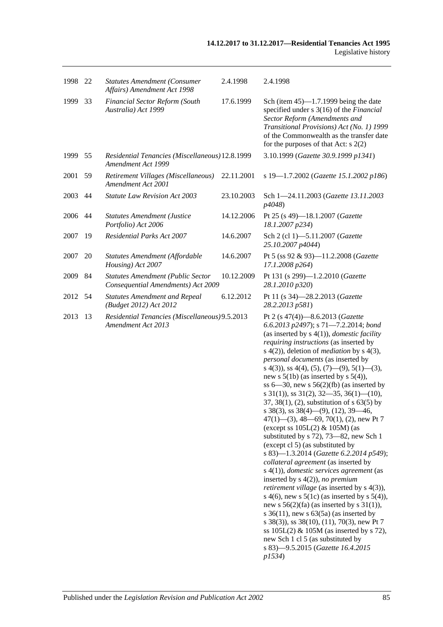| 1998 | - 22 | <b>Statutes Amendment (Consumer</b><br>Affairs) Amendment Act 1998             | 2.4.1998   | 2.4.1998                                                                                                                                                                                                                                                                                                                                                                                                                                                                                                                                                                                                                                                                                                                                                                                                                                                                                                                                                                                                                                                                                                                                                                                                                                                                                                           |
|------|------|--------------------------------------------------------------------------------|------------|--------------------------------------------------------------------------------------------------------------------------------------------------------------------------------------------------------------------------------------------------------------------------------------------------------------------------------------------------------------------------------------------------------------------------------------------------------------------------------------------------------------------------------------------------------------------------------------------------------------------------------------------------------------------------------------------------------------------------------------------------------------------------------------------------------------------------------------------------------------------------------------------------------------------------------------------------------------------------------------------------------------------------------------------------------------------------------------------------------------------------------------------------------------------------------------------------------------------------------------------------------------------------------------------------------------------|
| 1999 | 33   | Financial Sector Reform (South<br>Australia) Act 1999                          | 17.6.1999  | Sch (item $45$ )—1.7.1999 being the date<br>specified under s 3(16) of the Financial<br>Sector Reform (Amendments and<br>Transitional Provisions) Act (No. 1) 1999<br>of the Commonwealth as the transfer date<br>for the purposes of that Act: $s$ 2(2)                                                                                                                                                                                                                                                                                                                                                                                                                                                                                                                                                                                                                                                                                                                                                                                                                                                                                                                                                                                                                                                           |
| 1999 | 55   | Residential Tenancies (Miscellaneous) 12.8.1999<br>Amendment Act 1999          |            | 3.10.1999 (Gazette 30.9.1999 p1341)                                                                                                                                                                                                                                                                                                                                                                                                                                                                                                                                                                                                                                                                                                                                                                                                                                                                                                                                                                                                                                                                                                                                                                                                                                                                                |
| 2001 | 59   | Retirement Villages (Miscellaneous)<br>Amendment Act 2001                      | 22.11.2001 | s 19-1.7.2002 (Gazette 15.1.2002 p186)                                                                                                                                                                                                                                                                                                                                                                                                                                                                                                                                                                                                                                                                                                                                                                                                                                                                                                                                                                                                                                                                                                                                                                                                                                                                             |
| 2003 | 44   | <b>Statute Law Revision Act 2003</b>                                           | 23.10.2003 | Sch 1-24.11.2003 (Gazette 13.11.2003)<br>p4048)                                                                                                                                                                                                                                                                                                                                                                                                                                                                                                                                                                                                                                                                                                                                                                                                                                                                                                                                                                                                                                                                                                                                                                                                                                                                    |
| 2006 | 44   | <b>Statutes Amendment (Justice</b><br>Portfolio) Act 2006                      | 14.12.2006 | Pt 25 (s 49)-18.1.2007 (Gazette<br>18.1.2007 p234)                                                                                                                                                                                                                                                                                                                                                                                                                                                                                                                                                                                                                                                                                                                                                                                                                                                                                                                                                                                                                                                                                                                                                                                                                                                                 |
| 2007 | 19   | <b>Residential Parks Act 2007</b>                                              | 14.6.2007  | Sch 2 (cl 1)-5.11.2007 (Gazette<br>25.10.2007 p4044)                                                                                                                                                                                                                                                                                                                                                                                                                                                                                                                                                                                                                                                                                                                                                                                                                                                                                                                                                                                                                                                                                                                                                                                                                                                               |
| 2007 | 20   | Statutes Amendment (Affordable<br>Housing) Act 2007                            | 14.6.2007  | Pt 5 (ss 92 & 93)-11.2.2008 (Gazette<br>17.1.2008 p264)                                                                                                                                                                                                                                                                                                                                                                                                                                                                                                                                                                                                                                                                                                                                                                                                                                                                                                                                                                                                                                                                                                                                                                                                                                                            |
| 2009 | 84   | <b>Statutes Amendment (Public Sector</b><br>Consequential Amendments) Act 2009 | 10.12.2009 | Pt 131 (s 299)-1.2.2010 (Gazette<br>28.1.2010 p320)                                                                                                                                                                                                                                                                                                                                                                                                                                                                                                                                                                                                                                                                                                                                                                                                                                                                                                                                                                                                                                                                                                                                                                                                                                                                |
| 2012 | 54   | <b>Statutes Amendment and Repeal</b><br>(Budget 2012) Act 2012                 | 6.12.2012  | Pt 11 (s 34)-28.2.2013 (Gazette<br>28.2.2013 p581)                                                                                                                                                                                                                                                                                                                                                                                                                                                                                                                                                                                                                                                                                                                                                                                                                                                                                                                                                                                                                                                                                                                                                                                                                                                                 |
| 2013 | 13   | Residential Tenancies (Miscellaneous) 9.5.2013<br>Amendment Act 2013           |            | Pt 2 (s 47(4))-8.6.2013 (Gazette<br>6.6.2013 p2497); s 71-7.2.2014; bond<br>(as inserted by $s(4(1))$ , <i>domestic facility</i><br>requiring instructions (as inserted by<br>s $4(2)$ ), deletion of <i>mediation</i> by s $4(3)$ ,<br>personal documents (as inserted by<br>s 4(3)), ss 4(4), (5), (7)—(9), 5(1)—(3),<br>new s $5(1b)$ (as inserted by s $5(4)$ ),<br>ss $6-30$ , new s $56(2)(fb)$ (as inserted by<br>s $31(1)$ , ss $31(2)$ , $32-35$ , $36(1)$ - $(10)$ ,<br>37, 38(1), (2), substitution of s 63(5) by<br>s 38(3), ss $38(4)$ —(9), (12), 39—46,<br>$47(1)$ — $(3)$ , 48—69, 70(1), (2), new Pt 7<br>(except ss $105L(2)$ & $105M$ ) (as<br>substituted by s 72), 73-82, new Sch 1<br>(except cl 5) (as substituted by<br>s 83)-1.3.2014 (Gazette 6.2.2014 p549);<br>collateral agreement (as inserted by<br>$s(4(1))$ , domestic services agreement (as<br>inserted by $s(4(2))$ , no premium<br><i>retirement village</i> (as inserted by s 4(3)),<br>s 4(6), new s $5(1c)$ (as inserted by s $5(4)$ ),<br>new s $56(2)(fa)$ (as inserted by s $31(1)$ ),<br>s $36(11)$ , new s $63(5a)$ (as inserted by<br>s 38(3)), ss 38(10), (11), 70(3), new Pt 7<br>ss $105L(2)$ & $105M$ (as inserted by s 72),<br>new Sch 1 cl 5 (as substituted by<br>s 83)-9.5.2015 (Gazette 16.4.2015<br>p1534) |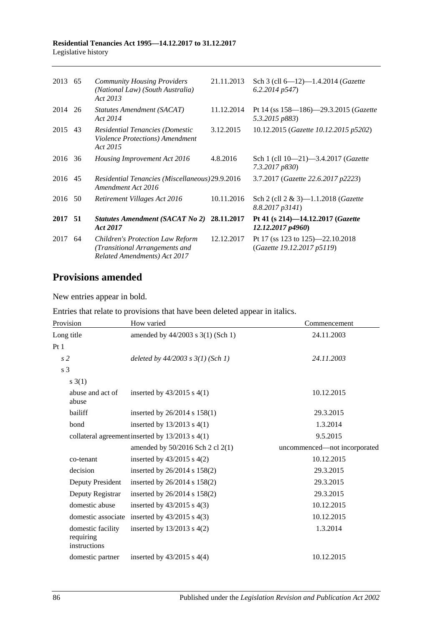| 2013 65 |    | <b>Community Housing Providers</b><br>(National Law) (South Australia)<br>Act 2013                        | 21.11.2013 | Sch 3 (cll $6-12$ )-1.4.2014 ( <i>Gazette</i><br>6.2.2014p547    |
|---------|----|-----------------------------------------------------------------------------------------------------------|------------|------------------------------------------------------------------|
| 2014 26 |    | Statutes Amendment (SACAT)<br>Act 2014                                                                    | 11.12.2014 | Pt 14 (ss 158—186)—29.3.2015 (Gazette<br>5.3.2015 p883)          |
| 2015    | 43 | Residential Tenancies (Domestic<br>Violence Protections) Amendment<br>Act 2015                            | 3.12.2015  | 10.12.2015 (Gazette 10.12.2015 p5202)                            |
| 2016 36 |    | Housing Improvement Act 2016                                                                              | 4.8.2016   | Sch 1 (cll 10-21)-3.4.2017 (Gazette<br>7.3.2017 p830)            |
| 2016 45 |    | Residential Tenancies (Miscellaneous) 29.9.2016<br>Amendment Act 2016                                     |            | 3.7.2017 (Gazette 22.6.2017 p2223)                               |
| 2016 50 |    | Retirement Villages Act 2016                                                                              | 10.11.2016 | Sch 2 (cll $2 \& 3$ )-1.1.2018 ( <i>Gazette</i><br>8.8.2017p3141 |
| 2017 51 |    | Statutes Amendment (SACAT No 2) 28.11.2017<br>Act 2017                                                    |            | Pt 41 (s 214)-14.12.2017 (Gazette<br>12.12.2017p4960             |
| 2017    | 64 | <b>Children's Protection Law Reform</b><br>(Transitional Arrangements and<br>Related Amendments) Act 2017 | 12.12.2017 | Pt 17 (ss 123 to 125)—22.10.2018<br>(Gazette 19.12.2017 p5119)   |

# **Provisions amended**

New entries appear in bold.

Entries that relate to provisions that have been deleted appear in italics.

| Provision                                      | How varied                                      | Commencement                 |
|------------------------------------------------|-------------------------------------------------|------------------------------|
| Long title                                     | amended by 44/2003 s 3(1) (Sch 1)               | 24.11.2003                   |
| Pt1                                            |                                                 |                              |
| s <sub>2</sub>                                 | deleted by $44/2003$ s $3(1)$ (Sch 1)           | 24.11.2003                   |
| s 3                                            |                                                 |                              |
| $s \; 3(1)$                                    |                                                 |                              |
| abuse and act of<br>abuse                      | inserted by $43/2015$ s $4(1)$                  | 10.12.2015                   |
| bailiff                                        | inserted by $26/2014$ s $158(1)$                | 29.3.2015                    |
| bond                                           | inserted by $13/2013$ s $4(1)$                  | 1.3.2014                     |
|                                                | collateral agreement inserted by 13/2013 s 4(1) | 9.5.2015                     |
|                                                | amended by $50/2016$ Sch 2 cl 2(1)              | uncommenced-not incorporated |
| co-tenant                                      | inserted by $43/2015$ s $4(2)$                  | 10.12.2015                   |
| decision                                       | inserted by 26/2014 s 158(2)                    | 29.3.2015                    |
| Deputy President                               | inserted by 26/2014 s 158(2)                    | 29.3.2015                    |
| Deputy Registrar                               | inserted by $26/2014$ s $158(2)$                | 29.3.2015                    |
| domestic abuse                                 | inserted by $43/2015$ s $4(3)$                  | 10.12.2015                   |
| domestic associate                             | inserted by $43/2015$ s $4(3)$                  | 10.12.2015                   |
| domestic facility<br>requiring<br>instructions | inserted by $13/2013$ s $4(2)$                  | 1.3.2014                     |
| domestic partner                               | inserted by $43/2015$ s $4(4)$                  | 10.12.2015                   |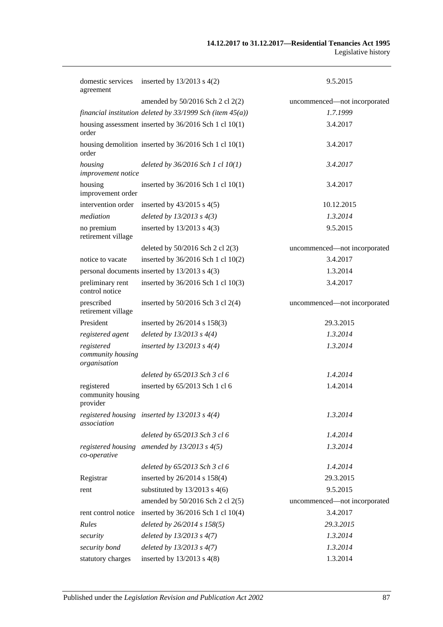| domestic services<br>agreement                  | inserted by $13/2013$ s $4(2)$                                 | 9.5.2015                     |
|-------------------------------------------------|----------------------------------------------------------------|------------------------------|
|                                                 | amended by 50/2016 Sch 2 cl 2(2)                               | uncommenced-not incorporated |
|                                                 | financial institution deleted by $33/1999$ Sch (item $45(a)$ ) | 1.7.1999                     |
| order                                           | housing assessment inserted by 36/2016 Sch 1 cl 10(1)          | 3.4.2017                     |
| order                                           | housing demolition inserted by $36/2016$ Sch 1 cl 10(1)        | 3.4.2017                     |
| housing<br>improvement notice                   | deleted by $36/2016$ Sch 1 cl $10(1)$                          | 3.4.2017                     |
| housing<br>improvement order                    | inserted by 36/2016 Sch 1 cl 10(1)                             | 3.4.2017                     |
| intervention order                              | inserted by $43/2015$ s $4(5)$                                 | 10.12.2015                   |
| mediation                                       | deleted by $13/2013$ s $4(3)$                                  | 1.3.2014                     |
| no premium<br>retirement village                | inserted by $13/2013$ s 4(3)                                   | 9.5.2015                     |
|                                                 | deleted by $50/2016$ Sch 2 cl $2(3)$                           | uncommenced—not incorporated |
| notice to vacate                                | inserted by 36/2016 Sch 1 cl 10(2)                             | 3.4.2017                     |
|                                                 | personal documents inserted by 13/2013 s 4(3)                  | 1.3.2014                     |
| preliminary rent<br>control notice              | inserted by 36/2016 Sch 1 cl 10(3)                             | 3.4.2017                     |
| prescribed<br>retirement village                | inserted by $50/2016$ Sch 3 cl 2(4)                            | uncommenced-not incorporated |
| President                                       | inserted by 26/2014 s 158(3)                                   | 29.3.2015                    |
| registered agent                                | deleted by $13/2013$ s $4(4)$                                  | 1.3.2014                     |
| registered<br>community housing<br>organisation | inserted by $13/2013$ s $4(4)$                                 | 1.3.2014                     |
|                                                 | deleted by 65/2013 Sch 3 cl 6                                  | 1.4.2014                     |
| registered<br>community housing<br>provider     | inserted by 65/2013 Sch 1 cl 6                                 | 1.4.2014                     |
| association                                     | registered housing inserted by $13/2013$ s $4(4)$              | 1.3.2014                     |
|                                                 | deleted by 65/2013 Sch 3 cl 6                                  | 1.4.2014                     |
| registered housing<br>co-operative              | amended by $13/2013$ s $4(5)$                                  | 1.3.2014                     |
|                                                 | deleted by 65/2013 Sch 3 cl 6                                  | 1.4.2014                     |
| Registrar                                       | inserted by $26/2014$ s $158(4)$                               | 29.3.2015                    |
| rent                                            | substituted by $13/2013$ s 4(6)                                | 9.5.2015                     |
|                                                 | amended by $50/2016$ Sch 2 cl 2(5)                             | uncommenced-not incorporated |
| rent control notice                             | inserted by 36/2016 Sch 1 cl 10(4)                             | 3.4.2017                     |
| Rules                                           | deleted by 26/2014 s 158(5)                                    | 29.3.2015                    |
| security                                        | deleted by $13/2013$ s $4(7)$                                  | 1.3.2014                     |
| security bond                                   | deleted by $13/2013$ s $4(7)$                                  | 1.3.2014                     |
| statutory charges                               | inserted by $13/2013$ s $4(8)$                                 | 1.3.2014                     |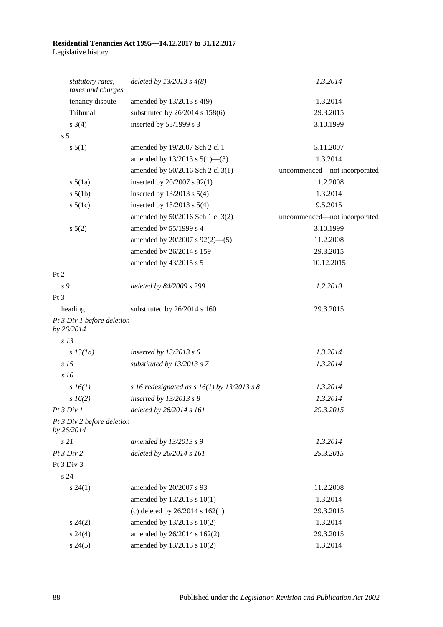| statutory rates,                         | deleted by $13/2013$ s $4(8)$<br>taxes and charges | 1.3.2014                     |
|------------------------------------------|----------------------------------------------------|------------------------------|
| tenancy dispute                          | amended by $13/2013$ s $4(9)$                      | 1.3.2014                     |
| Tribunal                                 | substituted by 26/2014 s 158(6)                    | 29.3.2015                    |
| $s \; 3(4)$                              | inserted by 55/1999 s 3                            | 3.10.1999                    |
| s <sub>5</sub>                           |                                                    |                              |
| s 5(1)                                   | amended by 19/2007 Sch 2 cl 1                      | 5.11.2007                    |
|                                          | amended by $13/2013$ s $5(1)$ —(3)                 | 1.3.2014                     |
|                                          | amended by 50/2016 Sch 2 cl 3(1)                   | uncommenced-not incorporated |
| $s\ 5(1a)$                               | inserted by 20/2007 s 92(1)                        | 11.2.2008                    |
| $s\ 5(1b)$                               | inserted by $13/2013$ s $5(4)$                     | 1.3.2014                     |
| $s\ 5(1c)$                               | inserted by $13/2013$ s $5(4)$                     | 9.5.2015                     |
|                                          | amended by 50/2016 Sch 1 cl 3(2)                   | uncommenced-not incorporated |
| $s\ 5(2)$                                | amended by 55/1999 s 4                             | 3.10.1999                    |
|                                          | amended by 20/2007 s 92(2)-(5)                     | 11.2.2008                    |
|                                          | amended by 26/2014 s 159                           | 29.3.2015                    |
|                                          | amended by 43/2015 s 5                             | 10.12.2015                   |
| Pt 2                                     |                                                    |                              |
| s 9                                      | deleted by 84/2009 s 299                           | 1.2.2010                     |
| Pt <sub>3</sub>                          |                                                    |                              |
| heading                                  | substituted by 26/2014 s 160                       | 29.3.2015                    |
| Pt 3 Div 1 before deletion<br>by 26/2014 |                                                    |                              |
| s <sub>13</sub>                          |                                                    |                              |
| $s$ 13(1a)                               | inserted by $13/2013$ s 6                          | 1.3.2014                     |
| s <sub>15</sub>                          | substituted by 13/2013 s 7                         | 1.3.2014                     |
| s16                                      |                                                    |                              |
| $s\,16(1)$                               | s 16 redesignated as s $16(1)$ by 13/2013 s 8      | 1.3.2014                     |
| s 16(2)                                  | inserted by $13/2013$ s $8$                        | 1.3.2014                     |
| Pt 3 Div 1                               | deleted by 26/2014 s 161                           | 29.3.2015                    |
| Pt 3 Div 2 before deletion<br>by 26/2014 |                                                    |                              |
| s21                                      | amended by 13/2013 s 9                             | 1.3.2014                     |
| Pt3 Div2                                 | deleted by 26/2014 s 161                           | 29.3.2015                    |
| Pt 3 Div 3                               |                                                    |                              |
| s 24                                     |                                                    |                              |
| $s\,24(1)$                               | amended by 20/2007 s 93                            | 11.2.2008                    |
|                                          | amended by 13/2013 s 10(1)                         | 1.3.2014                     |
|                                          | (c) deleted by $26/2014$ s $162(1)$                | 29.3.2015                    |
| $s\,24(2)$                               | amended by 13/2013 s 10(2)                         | 1.3.2014                     |
| $s\,24(4)$                               | amended by 26/2014 s 162(2)                        | 29.3.2015                    |
| $s\,24(5)$                               | amended by 13/2013 s 10(2)                         | 1.3.2014                     |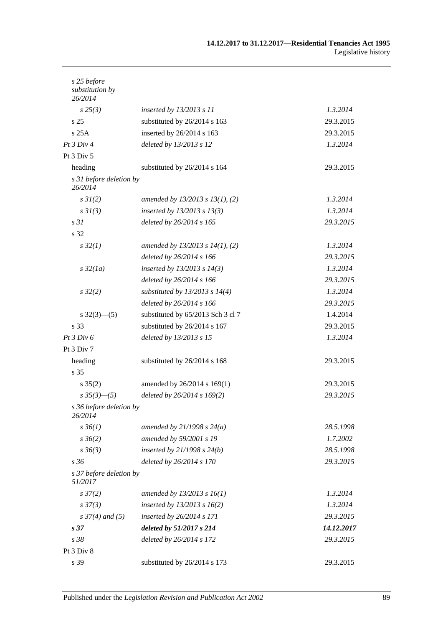| s 25 before<br>substitution by<br>26/2014 |                                      |            |
|-------------------------------------------|--------------------------------------|------------|
| $s\,25(3)$                                | inserted by $13/2013$ s 11           | 1.3.2014   |
| s <sub>25</sub>                           | substituted by 26/2014 s 163         | 29.3.2015  |
| s25A                                      | inserted by 26/2014 s 163            | 29.3.2015  |
| Pt 3 Div 4                                | deleted by 13/2013 s 12              | 1.3.2014   |
| Pt 3 Div 5                                |                                      |            |
| heading                                   | substituted by 26/2014 s 164         | 29.3.2015  |
| s 31 before deletion by<br>26/2014        |                                      |            |
| $s \, 3I(2)$                              | amended by $13/2013$ s $13(1)$ , (2) | 1.3.2014   |
| s3I(3)                                    | inserted by $13/2013$ s $13(3)$      | 1.3.2014   |
| s <sub>31</sub>                           | deleted by 26/2014 s 165             | 29.3.2015  |
| s 32                                      |                                      |            |
| $s\,32(1)$                                | amended by $13/2013$ s $14(1)$ , (2) | 1.3.2014   |
|                                           | deleted by 26/2014 s 166             | 29.3.2015  |
| $s\,32(1a)$                               | inserted by $13/2013$ s $14(3)$      | 1.3.2014   |
|                                           | deleted by 26/2014 s 166             | 29.3.2015  |
| $s\,32(2)$                                | substituted by $13/2013$ s $14(4)$   | 1.3.2014   |
|                                           | deleted by 26/2014 s 166             | 29.3.2015  |
| $s \frac{32(3)-(5)}{2}$                   | substituted by 65/2013 Sch 3 cl 7    | 1.4.2014   |
| s 33                                      | substituted by 26/2014 s 167         | 29.3.2015  |
| Pt 3 Div 6                                | deleted by 13/2013 s 15              | 1.3.2014   |
| Pt 3 Div 7                                |                                      |            |
| heading                                   | substituted by 26/2014 s 168         | 29.3.2015  |
| s 35                                      |                                      |            |
| $s \, 35(2)$                              | amended by 26/2014 s 169(1)          | 29.3.2015  |
| $s\,35(3)$ — $(5)$                        | deleted by 26/2014 s 169(2)          | 29.3.2015  |
| s 36 before deletion by<br>26/2014        |                                      |            |
| $s \, 36(1)$                              | amended by $21/1998 s 24(a)$         | 28.5.1998  |
| $s \, 36(2)$                              | amended by 59/2001 s 19              | 1.7.2002   |
| $s \, 36(3)$                              | inserted by $21/1998 s 24(b)$        | 28.5.1998  |
| s 36                                      | deleted by 26/2014 s 170             | 29.3.2015  |
| s 37 before deletion by<br>51/2017        |                                      |            |
| $s \frac{37}{2}$                          | amended by $13/2013$ s $16(1)$       | 1.3.2014   |
| $s\,37(3)$                                | inserted by $13/2013$ s $16(2)$      | 1.3.2014   |
| $s \frac{37}{4}$ and (5)                  | inserted by 26/2014 s 171            | 29.3.2015  |
| s <sub>37</sub>                           | deleted by 51/2017 s 214             | 14.12.2017 |
| s 38                                      | deleted by 26/2014 s 172             | 29.3.2015  |
| Pt 3 Div 8                                |                                      |            |
| s 39                                      | substituted by 26/2014 s 173         | 29.3.2015  |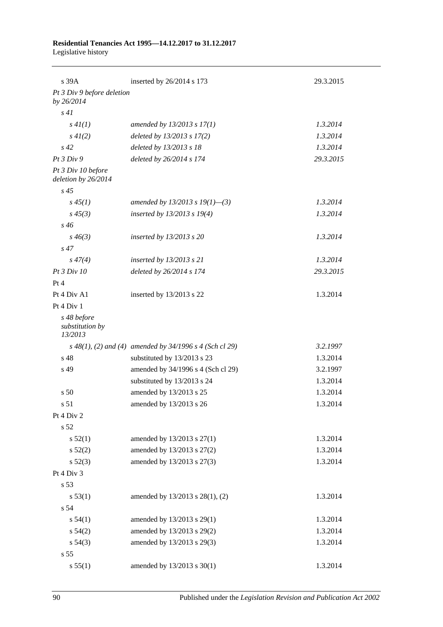## **Residential Tenancies Act 1995—14.12.2017 to 31.12.2017**

Legislative history

| s 39A                                     | inserted by 26/2014 s 173                                   | 29.3.2015 |
|-------------------------------------------|-------------------------------------------------------------|-----------|
| Pt 3 Div 9 before deletion<br>by 26/2014  |                                                             |           |
| s41                                       |                                                             |           |
| s 4I(1)                                   | amended by $13/2013$ s $17(1)$                              | 1.3.2014  |
| $s\,4I(2)$                                | deleted by $13/2013$ s $17(2)$                              | 1.3.2014  |
| $s\,42$                                   | deleted by 13/2013 s 18                                     | 1.3.2014  |
| Pt3 Div9                                  | deleted by 26/2014 s 174                                    | 29.3.2015 |
| Pt 3 Div 10 before<br>deletion by 26/2014 |                                                             |           |
| $s\,45$                                   |                                                             |           |
| $s\,45(1)$                                | amended by 13/2013 s 19(1)–(3)                              | 1.3.2014  |
| $s\,45(3)$                                | inserted by $13/2013$ s $19(4)$                             | 1.3.2014  |
| $s\,46$                                   |                                                             |           |
| $s\,46(3)$                                | inserted by 13/2013 s 20                                    | 1.3.2014  |
| $s\,47$                                   |                                                             |           |
| $s\,47(4)$                                | inserted by 13/2013 s 21                                    | 1.3.2014  |
| Pt 3 Div 10                               | deleted by 26/2014 s 174                                    | 29.3.2015 |
| Pt 4                                      |                                                             |           |
| Pt 4 Div A1                               | inserted by 13/2013 s 22                                    | 1.3.2014  |
| Pt 4 Div 1                                |                                                             |           |
| s 48 before<br>substitution by<br>13/2013 |                                                             |           |
|                                           | $s$ 48(1), (2) and (4) amended by 34/1996 $s$ 4 (Sch cl 29) | 3.2.1997  |
| s 48                                      | substituted by 13/2013 s 23                                 | 1.3.2014  |
| s 49                                      | amended by 34/1996 s 4 (Sch cl 29)                          | 3.2.1997  |
|                                           | substituted by 13/2013 s 24                                 | 1.3.2014  |
| s <sub>50</sub>                           | amended by 13/2013 s 25                                     | 1.3.2014  |
| s 51                                      | amended by 13/2013 s 26                                     | 1.3.2014  |
| Pt 4 Div 2                                |                                                             |           |
| s 52                                      |                                                             |           |
| s 52(1)                                   | amended by 13/2013 s 27(1)                                  | 1.3.2014  |
| s 52(2)                                   | amended by 13/2013 s 27(2)                                  | 1.3.2014  |
| $s\,52(3)$                                | amended by 13/2013 s 27(3)                                  | 1.3.2014  |
| Pt 4 Div 3                                |                                                             |           |
| s 53                                      |                                                             |           |
| s 53(1)                                   | amended by 13/2013 s 28(1), (2)                             | 1.3.2014  |
| s 54                                      |                                                             |           |
| s 54(1)                                   | amended by 13/2013 s 29(1)                                  | 1.3.2014  |
| $s\,54(2)$                                | amended by 13/2013 s 29(2)                                  | 1.3.2014  |
| s 54(3)                                   | amended by 13/2013 s 29(3)                                  | 1.3.2014  |
| s 55                                      |                                                             |           |
| s 55(1)                                   | amended by 13/2013 s 30(1)                                  | 1.3.2014  |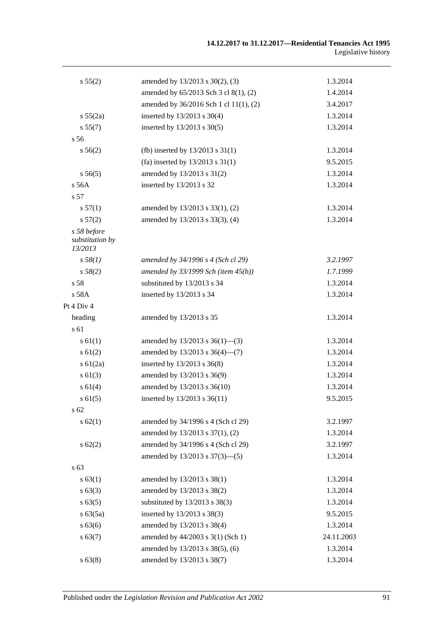| s 55(2)                                   | amended by 13/2013 s 30(2), (3)          | 1.3.2014   |
|-------------------------------------------|------------------------------------------|------------|
|                                           | amended by 65/2013 Sch 3 cl 8(1), (2)    | 1.4.2014   |
|                                           | amended by 36/2016 Sch 1 cl 11(1), (2)   | 3.4.2017   |
| s 55(2a)                                  | inserted by 13/2013 s 30(4)              | 1.3.2014   |
| s 55(7)                                   | inserted by 13/2013 s 30(5)              | 1.3.2014   |
| s 56                                      |                                          |            |
| s 56(2)                                   | (fb) inserted by $13/2013$ s $31(1)$     | 1.3.2014   |
|                                           | (fa) inserted by $13/2013$ s $31(1)$     | 9.5.2015   |
| s 56(5)                                   | amended by 13/2013 s 31(2)               | 1.3.2014   |
| s 56A                                     | inserted by 13/2013 s 32                 | 1.3.2014   |
| s 57                                      |                                          |            |
| s 57(1)                                   | amended by 13/2013 s 33(1), (2)          | 1.3.2014   |
| s 57(2)                                   | amended by 13/2013 s 33(3), (4)          | 1.3.2014   |
| s 58 before<br>substitution by<br>13/2013 |                                          |            |
| $s\,58(1)$                                | amended by 34/1996 s 4 (Sch cl 29)       | 3.2.1997   |
| $s\,58(2)$                                | amended by $33/1999$ Sch (item $45(b)$ ) | 1.7.1999   |
| s 58                                      | substituted by 13/2013 s 34              | 1.3.2014   |
| s 58A                                     | inserted by 13/2013 s 34                 | 1.3.2014   |
| Pt 4 Div 4                                |                                          |            |
| heading                                   | amended by 13/2013 s 35                  | 1.3.2014   |
| s 61                                      |                                          |            |
| $s \, 61(1)$                              | amended by $13/2013$ s $36(1)$ —(3)      | 1.3.2014   |
| $s \, 61(2)$                              | amended by 13/2013 s 36(4)-(7)           | 1.3.2014   |
| s $61(2a)$                                | inserted by 13/2013 s 36(8)              | 1.3.2014   |
| $s \, 61(3)$                              | amended by 13/2013 s 36(9)               | 1.3.2014   |
| s 61(4)                                   | amended by 13/2013 s 36(10)              | 1.3.2014   |
| $s \, 61(5)$                              | inserted by 13/2013 s 36(11)             | 9.5.2015   |
| s 62                                      |                                          |            |
| s 62(1)                                   | amended by 34/1996 s 4 (Sch cl 29)       | 3.2.1997   |
|                                           | amended by 13/2013 s 37(1), (2)          | 1.3.2014   |
| $s \, 62(2)$                              | amended by 34/1996 s 4 (Sch cl 29)       | 3.2.1997   |
|                                           | amended by 13/2013 s 37(3)-(5)           | 1.3.2014   |
| s 63                                      |                                          |            |
| s 63(1)                                   | amended by 13/2013 s 38(1)               | 1.3.2014   |
| $s\,63(3)$                                | amended by 13/2013 s 38(2)               | 1.3.2014   |
| $s\,63(5)$                                | substituted by 13/2013 s 38(3)           | 1.3.2014   |
| s 63(5a)                                  | inserted by 13/2013 s 38(3)              | 9.5.2015   |
| s 63(6)                                   | amended by 13/2013 s 38(4)               | 1.3.2014   |
| s 63(7)                                   | amended by 44/2003 s 3(1) (Sch 1)        | 24.11.2003 |
|                                           | amended by 13/2013 s 38(5), (6)          | 1.3.2014   |
| s 63(8)                                   | amended by 13/2013 s 38(7)               | 1.3.2014   |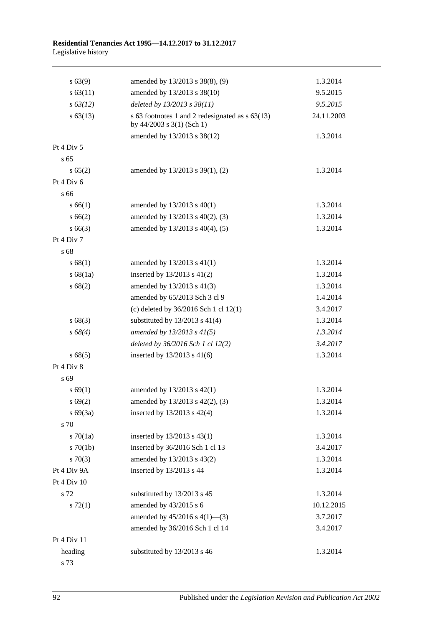| s 63(9)       | amended by 13/2013 s 38(8), (9)                                                | 1.3.2014   |
|---------------|--------------------------------------------------------------------------------|------------|
| $s \, 63(11)$ | amended by 13/2013 s 38(10)                                                    | 9.5.2015   |
| $s\,63(12)$   | deleted by 13/2013 s 38(11)                                                    | 9.5.2015   |
| $s\,63(13)$   | s 63 footnotes 1 and 2 redesignated as $s$ 63(13)<br>by 44/2003 s 3(1) (Sch 1) | 24.11.2003 |
|               | amended by 13/2013 s 38(12)                                                    | 1.3.2014   |
| Pt 4 Div 5    |                                                                                |            |
| s 65          |                                                                                |            |
| s 65(2)       | amended by 13/2013 s 39(1), (2)                                                | 1.3.2014   |
| Pt 4 Div 6    |                                                                                |            |
| s 66          |                                                                                |            |
| s 66(1)       | amended by $13/2013$ s $40(1)$                                                 | 1.3.2014   |
| s 66(2)       | amended by 13/2013 s 40(2), (3)                                                | 1.3.2014   |
| $s\,66(3)$    | amended by 13/2013 s 40(4), (5)                                                | 1.3.2014   |
| Pt 4 Div 7    |                                                                                |            |
| s 68          |                                                                                |            |
| s 68(1)       | amended by $13/2013$ s $41(1)$                                                 | 1.3.2014   |
| s68(1a)       | inserted by $13/2013$ s $41(2)$                                                | 1.3.2014   |
| s 68(2)       | amended by 13/2013 s 41(3)                                                     | 1.3.2014   |
|               | amended by 65/2013 Sch 3 cl 9                                                  | 1.4.2014   |
|               | (c) deleted by $36/2016$ Sch 1 cl $12(1)$                                      | 3.4.2017   |
| s 68(3)       | substituted by $13/2013$ s $41(4)$                                             | 1.3.2014   |
| $s\,68(4)$    | amended by 13/2013 s 41(5)                                                     | 1.3.2014   |
|               | deleted by 36/2016 Sch 1 cl 12(2)                                              | 3.4.2017   |
| s 68(5)       | inserted by 13/2013 s 41(6)                                                    | 1.3.2014   |
| Pt 4 Div 8    |                                                                                |            |
| s 69          |                                                                                |            |
| s 69(1)       | amended by 13/2013 s 42(1)                                                     | 1.3.2014   |
| s 69(2)       | amended by 13/2013 s 42(2), (3)                                                | 1.3.2014   |
| s69(3a)       | inserted by 13/2013 s 42(4)                                                    | 1.3.2014   |
| s 70          |                                                                                |            |
| 570(1a)       | inserted by $13/2013$ s $43(1)$                                                | 1.3.2014   |
| $s \, 70(1b)$ | inserted by 36/2016 Sch 1 cl 13                                                | 3.4.2017   |
| 570(3)        | amended by 13/2013 s 43(2)                                                     | 1.3.2014   |
| Pt 4 Div 9A   | inserted by 13/2013 s 44                                                       | 1.3.2014   |
| Pt 4 Div 10   |                                                                                |            |
| s 72          | substituted by 13/2013 s 45                                                    | 1.3.2014   |
| $s \, 72(1)$  | amended by 43/2015 s 6                                                         | 10.12.2015 |
|               | amended by $45/2016$ s $4(1)$ —(3)                                             | 3.7.2017   |
|               | amended by 36/2016 Sch 1 cl 14                                                 | 3.4.2017   |
| Pt 4 Div 11   |                                                                                |            |
| heading       | substituted by 13/2013 s 46                                                    | 1.3.2014   |
| s 73          |                                                                                |            |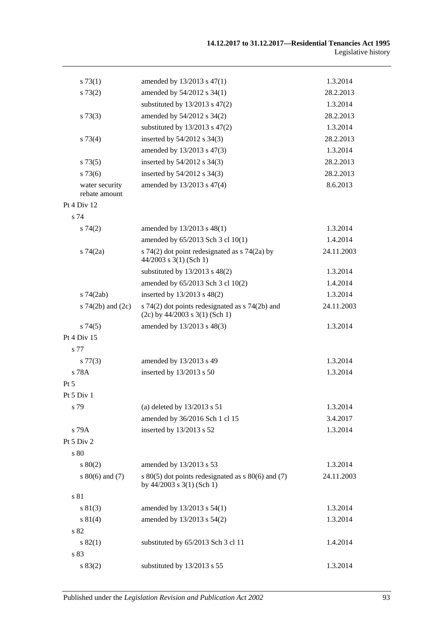| s 73(1)                         | amended by 13/2013 s 47(1)                                                              | 1.3.2014   |
|---------------------------------|-----------------------------------------------------------------------------------------|------------|
| s 73(2)                         | amended by 54/2012 s 34(1)                                                              | 28.2.2013  |
|                                 | substituted by $13/2013$ s $47(2)$                                                      | 1.3.2014   |
| s 73(3)                         | amended by 54/2012 s 34(2)                                                              | 28.2.2013  |
|                                 | substituted by $13/2013$ s $47(2)$                                                      | 1.3.2014   |
| $s \, 73(4)$                    | inserted by 54/2012 s 34(3)                                                             | 28.2.2013  |
|                                 | amended by 13/2013 s 47(3)                                                              | 1.3.2014   |
| s 73(5)                         | inserted by 54/2012 s 34(3)                                                             | 28.2.2013  |
| $s\,73(6)$                      | inserted by 54/2012 s 34(3)                                                             | 28.2.2013  |
| water security<br>rebate amount | amended by 13/2013 s 47(4)                                                              | 8.6.2013   |
| Pt 4 Div 12                     |                                                                                         |            |
| s 74                            |                                                                                         |            |
| s74(2)                          | amended by 13/2013 s 48(1)                                                              | 1.3.2014   |
|                                 | amended by 65/2013 Sch 3 cl 10(1)                                                       | 1.4.2014   |
| $s \, 74(2a)$                   | s 74(2) dot point redesignated as $\frac{1}{2}$ 74(2a) by<br>$44/2003$ s 3(1) (Sch 1)   | 24.11.2003 |
|                                 | substituted by $13/2013$ s $48(2)$                                                      | 1.3.2014   |
|                                 | amended by 65/2013 Sch 3 cl 10(2)                                                       | 1.4.2014   |
| $s$ 74 $(2ab)$                  | inserted by 13/2013 s 48(2)                                                             | 1.3.2014   |
| s $74(2b)$ and $(2c)$           | s $74(2)$ dot points redesignated as s $74(2b)$ and<br>$(2c)$ by 44/2003 s 3(1) (Sch 1) | 24.11.2003 |
| s74(5)                          | amended by 13/2013 s 48(3)                                                              | 1.3.2014   |
| Pt 4 Div 15                     |                                                                                         |            |
| s 77                            |                                                                                         |            |
| $s\,77(3)$                      | amended by 13/2013 s 49                                                                 | 1.3.2014   |
| s 78A                           | inserted by 13/2013 s 50                                                                | 1.3.2014   |
| Pt 5                            |                                                                                         |            |
| Pt 5 Div 1                      |                                                                                         |            |
| s 79                            | (a) deleted by $13/2013$ s $51$                                                         | 1.3.2014   |
|                                 | amended by 36/2016 Sch 1 cl 15                                                          | 3.4.2017   |
| s 79A                           | inserted by 13/2013 s 52                                                                | 1.3.2014   |
| Pt $5$ Div $2$                  |                                                                                         |            |
| s 80                            |                                                                                         |            |
| $s\ 80(2)$                      | amended by 13/2013 s 53                                                                 | 1.3.2014   |
| s $80(6)$ and $(7)$             | s $80(5)$ dot points redesignated as s $80(6)$ and (7)<br>by $44/2003$ s $3(1)$ (Sch 1) | 24.11.2003 |
| s 81                            |                                                                                         |            |
| s 81(3)                         | amended by 13/2013 s 54(1)                                                              | 1.3.2014   |
| s 81(4)                         | amended by 13/2013 s 54(2)                                                              | 1.3.2014   |
| s 82                            |                                                                                         |            |
| s 82(1)                         | substituted by 65/2013 Sch 3 cl 11                                                      | 1.4.2014   |
| s 83                            |                                                                                         |            |
| s 83(2)                         | substituted by 13/2013 s 55                                                             | 1.3.2014   |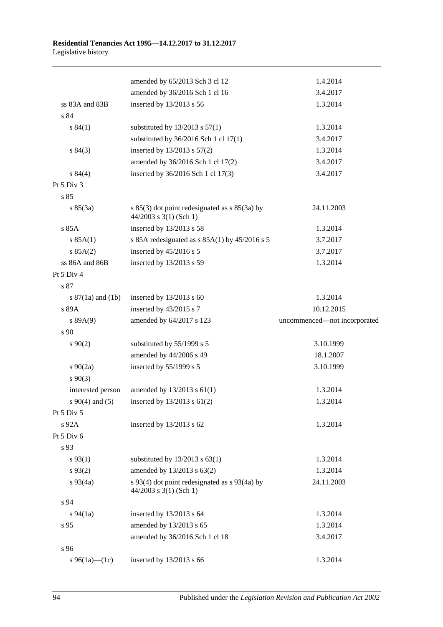|                       | amended by 65/2013 Sch 3 cl 12                                              | 1.4.2014                     |
|-----------------------|-----------------------------------------------------------------------------|------------------------------|
|                       | amended by 36/2016 Sch 1 cl 16                                              | 3.4.2017                     |
| ss 83A and 83B        | inserted by 13/2013 s 56                                                    | 1.3.2014                     |
| s 84                  |                                                                             |                              |
| s 84(1)               | substituted by $13/2013$ s $57(1)$                                          | 1.3.2014                     |
|                       | substituted by $36/2016$ Sch 1 cl 17(1)                                     | 3.4.2017                     |
| s 84(3)               | inserted by 13/2013 s 57(2)                                                 | 1.3.2014                     |
|                       | amended by 36/2016 Sch 1 cl 17(2)                                           | 3.4.2017                     |
| s 84(4)               | inserted by 36/2016 Sch 1 cl 17(3)                                          | 3.4.2017                     |
| Pt 5 Div 3            |                                                                             |                              |
| s 85                  |                                                                             |                              |
| s 85(3a)              | s $85(3)$ dot point redesignated as s $85(3a)$ by<br>44/2003 s 3(1) (Sch 1) | 24.11.2003                   |
| s 85A                 | inserted by 13/2013 s 58                                                    | 1.3.2014                     |
| s 85A(1)              | s 85A redesignated as $s$ 85A(1) by 45/2016 s 5                             | 3.7.2017                     |
| s 85A(2)              | inserted by 45/2016 s 5                                                     | 3.7.2017                     |
| ss 86A and 86B        | inserted by 13/2013 s 59                                                    | 1.3.2014                     |
| Pt 5 Div 4            |                                                                             |                              |
| s 87                  |                                                                             |                              |
| s $87(1a)$ and $(1b)$ | inserted by $13/2013$ s 60                                                  | 1.3.2014                     |
| s 89A                 | inserted by 43/2015 s 7                                                     | 10.12.2015                   |
| s 89A(9)              | amended by 64/2017 s 123                                                    | uncommenced-not incorporated |
| s 90                  |                                                                             |                              |
| $s\,90(2)$            | substituted by 55/1999 s 5                                                  | 3.10.1999                    |
|                       | amended by 44/2006 s 49                                                     | 18.1.2007                    |
| $s \ 90(2a)$          | inserted by 55/1999 s 5                                                     | 3.10.1999                    |
| $s\ 90(3)$            |                                                                             |                              |
| interested person     | amended by 13/2013 s 61(1)                                                  | 1.3.2014                     |
| $s\ 90(4)$ and (5)    | inserted by 13/2013 s 61(2)                                                 | 1.3.2014                     |
| Pt 5 Div 5            |                                                                             |                              |
| s 92A                 | inserted by $13/2013$ s 62                                                  | 1.3.2014                     |
| Pt 5 Div 6            |                                                                             |                              |
| s 93                  |                                                                             |                              |
| $s\,93(1)$            | substituted by $13/2013$ s $63(1)$                                          | 1.3.2014                     |
| $s\,93(2)$            | amended by 13/2013 s 63(2)                                                  | 1.3.2014                     |
| $s\,93(4a)$           | s 93(4) dot point redesignated as s 93(4a) by<br>44/2003 s 3(1) (Sch 1)     | 24.11.2003                   |
| s 94                  |                                                                             |                              |
| $s\,94(1a)$           | inserted by $13/2013$ s 64                                                  | 1.3.2014                     |
| s 95                  | amended by 13/2013 s 65                                                     | 1.3.2014                     |
|                       | amended by 36/2016 Sch 1 cl 18                                              | 3.4.2017                     |
| s 96                  |                                                                             |                              |
| s 96(1a)—(1c)         | inserted by 13/2013 s 66                                                    | 1.3.2014                     |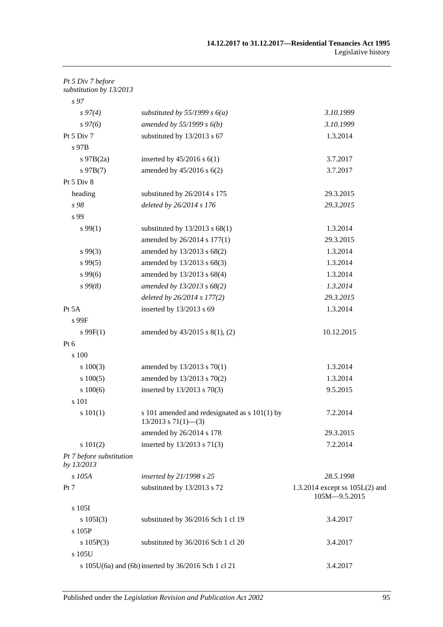| Pt 5 Div 7 before<br>substitution by 13/2013 |                                                                             |                                                 |
|----------------------------------------------|-----------------------------------------------------------------------------|-------------------------------------------------|
| s <sub>97</sub>                              |                                                                             |                                                 |
| $s\,97(4)$                                   | substituted by $55/1999$ s $6(a)$                                           | 3.10.1999                                       |
| $s\,97(6)$                                   | amended by $55/1999 s 6(b)$                                                 | 3.10.1999                                       |
| Pt 5 Div 7                                   | substituted by 13/2013 s 67                                                 | 1.3.2014                                        |
| s 97B                                        |                                                                             |                                                 |
| $s\ 97B(2a)$                                 | inserted by $45/2016$ s $6(1)$                                              | 3.7.2017                                        |
| $s\,97B(7)$                                  | amended by $45/2016$ s $6(2)$                                               | 3.7.2017                                        |
| Pt 5 Div 8                                   |                                                                             |                                                 |
| heading                                      | substituted by 26/2014 s 175                                                | 29.3.2015                                       |
| s 98                                         | deleted by 26/2014 s 176                                                    | 29.3.2015                                       |
| s 99                                         |                                                                             |                                                 |
| s 99(1)                                      | substituted by $13/2013$ s $68(1)$                                          | 1.3.2014                                        |
|                                              | amended by 26/2014 s 177(1)                                                 | 29.3.2015                                       |
| $s\,99(3)$                                   | amended by 13/2013 s 68(2)                                                  | 1.3.2014                                        |
| $s\,99(5)$                                   | amended by 13/2013 s 68(3)                                                  | 1.3.2014                                        |
| $s\,99(6)$                                   | amended by 13/2013 s 68(4)                                                  | 1.3.2014                                        |
| $s\,99(8)$                                   | amended by 13/2013 s 68(2)                                                  | 1.3.2014                                        |
|                                              | deleted by 26/2014 s 177(2)                                                 | 29.3.2015                                       |
| Pt 5A                                        | inserted by 13/2013 s 69                                                    | 1.3.2014                                        |
| s 99F                                        |                                                                             |                                                 |
| $s \, 99F(1)$                                | amended by 43/2015 s 8(1), (2)                                              | 10.12.2015                                      |
| $Pt\ 6$                                      |                                                                             |                                                 |
| s 100                                        |                                                                             |                                                 |
| $s\ 100(3)$                                  | amended by $13/2013$ s $70(1)$                                              | 1.3.2014                                        |
| s 100(5)                                     | amended by 13/2013 s 70(2)                                                  | 1.3.2014                                        |
| 100(6)                                       | inserted by 13/2013 s 70(3)                                                 | 9.5.2015                                        |
| s 101                                        |                                                                             |                                                 |
| s 101(1)                                     | s 101 amended and redesignated as $s$ 101(1) by<br>$13/2013$ s $71(1)$ —(3) | 7.2.2014                                        |
|                                              | amended by 26/2014 s 178                                                    | 29.3.2015                                       |
| s 101(2)                                     | inserted by 13/2013 s 71(3)                                                 | 7.2.2014                                        |
| Pt 7 before substitution<br>by 13/2013       |                                                                             |                                                 |
| s 105A                                       | inserted by 21/1998 s 25                                                    | 28.5.1998                                       |
| Pt 7                                         | substituted by 13/2013 s 72                                                 | 1.3.2014 except ss 105L(2) and<br>105M-9.5.2015 |
| s 105I                                       |                                                                             |                                                 |
| s 105I(3)                                    | substituted by 36/2016 Sch 1 cl 19                                          | 3.4.2017                                        |
| s 105P                                       |                                                                             |                                                 |
| s 105P(3)                                    | substituted by 36/2016 Sch 1 cl 20                                          | 3.4.2017                                        |
| s 105U                                       |                                                                             |                                                 |
|                                              | s 105U(6a) and (6b) inserted by 36/2016 Sch 1 cl 21                         | 3.4.2017                                        |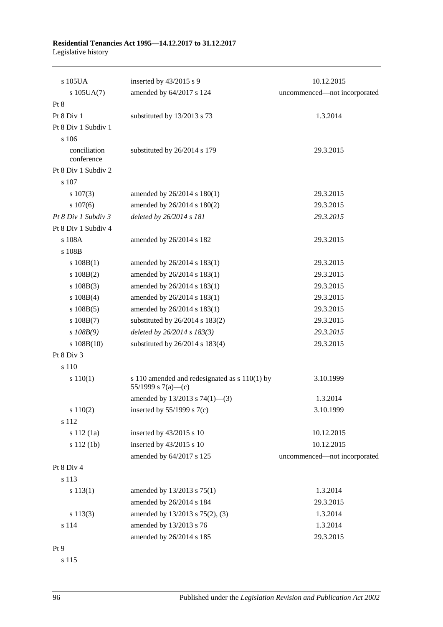| s 105UA                    | inserted by 43/2015 s 9                                             | 10.12.2015                   |
|----------------------------|---------------------------------------------------------------------|------------------------------|
| $s$ 105UA $(7)$            | amended by 64/2017 s 124                                            | uncommenced-not incorporated |
| Pt 8                       |                                                                     |                              |
| Pt 8 Div 1                 | substituted by 13/2013 s 73                                         | 1.3.2014                     |
| Pt 8 Div 1 Subdiv 1        |                                                                     |                              |
| s 106                      |                                                                     |                              |
| conciliation<br>conference | substituted by 26/2014 s 179                                        | 29.3.2015                    |
| Pt 8 Div 1 Subdiv 2        |                                                                     |                              |
| s 107                      |                                                                     |                              |
| $s\ 107(3)$                | amended by 26/2014 s 180(1)                                         | 29.3.2015                    |
| s 107(6)                   | amended by 26/2014 s 180(2)                                         | 29.3.2015                    |
| Pt 8 Div 1 Subdiv 3        | deleted by 26/2014 s 181                                            | 29.3.2015                    |
| Pt 8 Div 1 Subdiv 4        |                                                                     |                              |
| s 108A                     | amended by 26/2014 s 182                                            | 29.3.2015                    |
| s 108B                     |                                                                     |                              |
| s 108B(1)                  | amended by 26/2014 s 183(1)                                         | 29.3.2015                    |
| $s\ 108B(2)$               | amended by 26/2014 s 183(1)                                         | 29.3.2015                    |
| $s\ 108B(3)$               | amended by 26/2014 s 183(1)                                         | 29.3.2015                    |
| $s\ 108B(4)$               | amended by 26/2014 s 183(1)                                         | 29.3.2015                    |
| $s\ 108B(5)$               | amended by 26/2014 s 183(1)                                         | 29.3.2015                    |
| $s\ 108B(7)$               | substituted by 26/2014 s 183(2)                                     | 29.3.2015                    |
| $s$ 108B(9)                | deleted by $26/2014 s 183(3)$                                       | 29.3.2015                    |
| $s\ 108B(10)$              | substituted by 26/2014 s 183(4)                                     | 29.3.2015                    |
| Pt 8 Div 3                 |                                                                     |                              |
| s 110                      |                                                                     |                              |
| s 110(1)                   | s 110 amended and redesignated as s 110(1) by<br>55/1999 s 7(a)—(c) | 3.10.1999                    |
|                            | amended by $13/2013$ s $74(1)$ —(3)                                 | 1.3.2014                     |
| s 110(2)                   | inserted by $55/1999$ s $7(c)$                                      | 3.10.1999                    |
| s 112                      |                                                                     |                              |
| s 112(1a)                  | inserted by 43/2015 s 10                                            | 10.12.2015                   |
| s 112 (1b)                 | inserted by 43/2015 s 10                                            | 10.12.2015                   |
|                            | amended by 64/2017 s 125                                            | uncommenced-not incorporated |
| Pt 8 Div 4                 |                                                                     |                              |
| s 113                      |                                                                     |                              |
| s 113(1)                   | amended by 13/2013 s 75(1)                                          | 1.3.2014                     |
|                            | amended by 26/2014 s 184                                            | 29.3.2015                    |
| s 113(3)                   | amended by 13/2013 s 75(2), (3)                                     | 1.3.2014                     |
| s 114                      | amended by 13/2013 s 76                                             | 1.3.2014                     |
|                            | amended by 26/2014 s 185                                            | 29.3.2015                    |
| Pt 9                       |                                                                     |                              |

s 115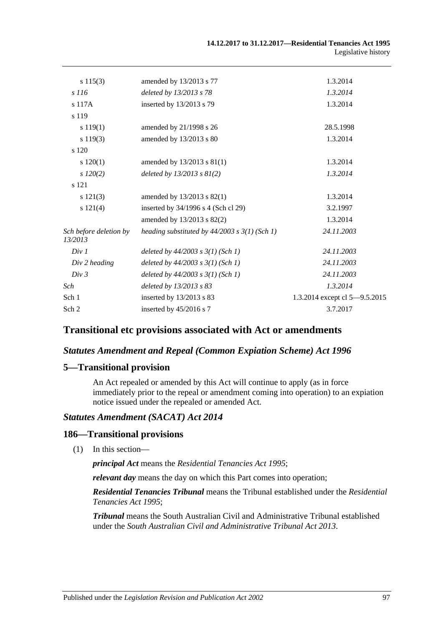| $s\ 115(3)$                       | amended by 13/2013 s 77                           | 1.3.2014                      |
|-----------------------------------|---------------------------------------------------|-------------------------------|
| s 116                             | deleted by 13/2013 s 78                           | 1.3.2014                      |
| s 117A                            | inserted by 13/2013 s 79                          | 1.3.2014                      |
| s 119                             |                                                   |                               |
| s 119(1)                          | amended by 21/1998 s 26                           | 28.5.1998                     |
| s 119(3)                          | amended by 13/2013 s 80                           | 1.3.2014                      |
| s 120                             |                                                   |                               |
| $s\ 120(1)$                       | amended by $13/2013$ s $81(1)$                    | 1.3.2014                      |
| $s\,120(2)$                       | deleted by $13/2013$ s $81(2)$                    | 1.3.2014                      |
| s 121                             |                                                   |                               |
| s 121(3)                          | amended by 13/2013 s 82(1)                        | 1.3.2014                      |
| s 121(4)                          | inserted by 34/1996 s 4 (Sch cl 29)               | 3.2.1997                      |
|                                   | amended by 13/2013 s 82(2)                        | 1.3.2014                      |
| Sch before deletion by<br>13/2013 | heading substituted by $44/2003$ s $3(1)$ (Sch 1) | 24.11.2003                    |
| Div 1                             | deleted by $44/2003$ s $3(1)$ (Sch 1)             | 24.11.2003                    |
| Div 2 heading                     | deleted by $44/2003$ s $3(1)$ (Sch 1)             | 24.11.2003                    |
| Div 3                             | deleted by $44/2003$ s $3(1)$ (Sch 1)             | 24.11.2003                    |
| Sch                               | deleted by 13/2013 s 83                           | 1.3.2014                      |
| Sch 1                             | inserted by 13/2013 s 83                          | 1.3.2014 except cl 5-9.5.2015 |
| Sch 2                             | inserted by 45/2016 s 7                           | 3.7.2017                      |
|                                   |                                                   |                               |

#### **Transitional etc provisions associated with Act or amendments**

#### *Statutes Amendment and Repeal (Common Expiation Scheme) Act 1996*

#### **5—Transitional provision**

An Act repealed or amended by this Act will continue to apply (as in force immediately prior to the repeal or amendment coming into operation) to an expiation notice issued under the repealed or amended Act.

#### *Statutes Amendment (SACAT) Act 2014*

#### **186—Transitional provisions**

(1) In this section—

*principal Act* means the *[Residential Tenancies Act](http://www.legislation.sa.gov.au/index.aspx?action=legref&type=act&legtitle=Residential%20Tenancies%20Act%201995) 1995*;

*relevant day* means the day on which this Part comes into operation;

*Residential Tenancies Tribunal* means the Tribunal established under the *[Residential](http://www.legislation.sa.gov.au/index.aspx?action=legref&type=act&legtitle=Residential%20Tenancies%20Act%201995)  [Tenancies Act](http://www.legislation.sa.gov.au/index.aspx?action=legref&type=act&legtitle=Residential%20Tenancies%20Act%201995) 1995*;

*Tribunal* means the South Australian Civil and Administrative Tribunal established under the *[South Australian Civil and Administrative Tribunal Act](http://www.legislation.sa.gov.au/index.aspx?action=legref&type=act&legtitle=South%20Australian%20Civil%20and%20Administrative%20Tribunal%20Act%202013) 2013*.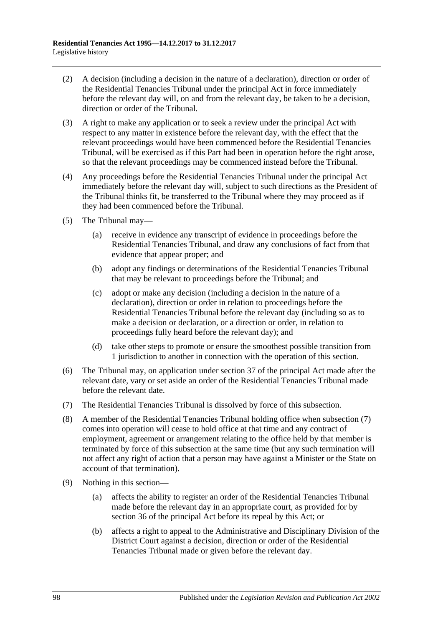- (2) A decision (including a decision in the nature of a declaration), direction or order of the Residential Tenancies Tribunal under the principal Act in force immediately before the relevant day will, on and from the relevant day, be taken to be a decision, direction or order of the Tribunal.
- (3) A right to make any application or to seek a review under the principal Act with respect to any matter in existence before the relevant day, with the effect that the relevant proceedings would have been commenced before the Residential Tenancies Tribunal, will be exercised as if this Part had been in operation before the right arose, so that the relevant proceedings may be commenced instead before the Tribunal.
- (4) Any proceedings before the Residential Tenancies Tribunal under the principal Act immediately before the relevant day will, subject to such directions as the President of the Tribunal thinks fit, be transferred to the Tribunal where they may proceed as if they had been commenced before the Tribunal.
- (5) The Tribunal may—
	- (a) receive in evidence any transcript of evidence in proceedings before the Residential Tenancies Tribunal, and draw any conclusions of fact from that evidence that appear proper; and
	- (b) adopt any findings or determinations of the Residential Tenancies Tribunal that may be relevant to proceedings before the Tribunal; and
	- (c) adopt or make any decision (including a decision in the nature of a declaration), direction or order in relation to proceedings before the Residential Tenancies Tribunal before the relevant day (including so as to make a decision or declaration, or a direction or order, in relation to proceedings fully heard before the relevant day); and
	- (d) take other steps to promote or ensure the smoothest possible transition from 1 jurisdiction to another in connection with the operation of this section.
- (6) The Tribunal may, on application under section 37 of the principal Act made after the relevant date, vary or set aside an order of the Residential Tenancies Tribunal made before the relevant date.
- <span id="page-97-0"></span>(7) The Residential Tenancies Tribunal is dissolved by force of this subsection.
- (8) A member of the Residential Tenancies Tribunal holding office when [subsection](#page-97-0) (7) comes into operation will cease to hold office at that time and any contract of employment, agreement or arrangement relating to the office held by that member is terminated by force of this subsection at the same time (but any such termination will not affect any right of action that a person may have against a Minister or the State on account of that termination).
- (9) Nothing in this section—
	- (a) affects the ability to register an order of the Residential Tenancies Tribunal made before the relevant day in an appropriate court, as provided for by section 36 of the principal Act before its repeal by this Act; or
	- (b) affects a right to appeal to the Administrative and Disciplinary Division of the District Court against a decision, direction or order of the Residential Tenancies Tribunal made or given before the relevant day.